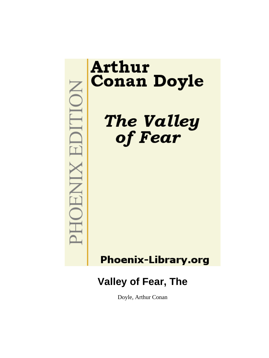**MOHNIX EDITION** 

# **Arthur Conan Doyle**

The Valley of Fear

**Phoenix-Library.org** 

## **Valley of Fear, The**

Doyle, Arthur Conan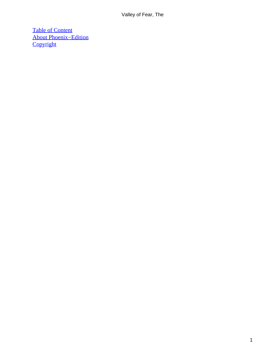[Table of Content](#page-149-0) [About Phoenix−Edition](#page-150-0) **[Copyright](#page-151-0)**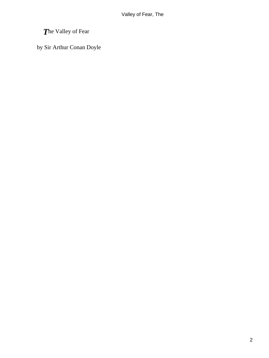## *T*he Valley of Fear

by Sir Arthur Conan Doyle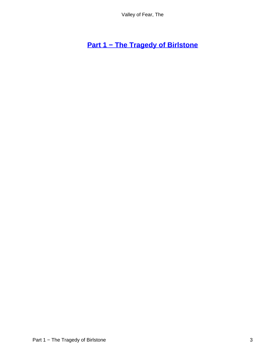**[Part 1 − The Tragedy of Birlstone](#page-149-0)**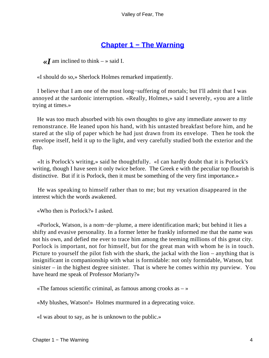## **[Chapter 1 − The Warning](#page-149-0)**

 $\ll I$  am inclined to think – » said I.

«I should do so,» Sherlock Holmes remarked impatiently.

 I believe that I am one of the most long−suffering of mortals; but I'll admit that I was annoyed at the sardonic interruption. «Really, Holmes,» said I severely, «you are a little trying at times.»

 He was too much absorbed with his own thoughts to give any immediate answer to my remonstrance. He leaned upon his hand, with his untasted breakfast before him, and he stared at the slip of paper which he had just drawn from its envelope. Then he took the envelope itself, held it up to the light, and very carefully studied both the exterior and the flap.

 «It is Porlock's writing,» said he thoughtfully. «I can hardly doubt that it is Porlock's writing, though I have seen it only twice before. The Greek e with the peculiar top flourish is distinctive. But if it is Porlock, then it must be something of the very first importance.»

 He was speaking to himself rather than to me; but my vexation disappeared in the interest which the words awakened.

«Who then is Porlock?» I asked.

 «Porlock, Watson, is a nom−de−plume, a mere identification mark; but behind it lies a shifty and evasive personality. In a former letter he frankly informed me that the name was not his own, and defied me ever to trace him among the teeming millions of this great city. Porlock is important, not for himself, but for the great man with whom he is in touch. Picture to yourself the pilot fish with the shark, the jackal with the lion – anything that is insignificant in companionship with what is formidable: not only formidable, Watson, but sinister – in the highest degree sinister. That is where he comes within my purview. You have heard me speak of Professor Moriarty?»

«The famous scientific criminal, as famous among crooks as  $-\infty$ 

«My blushes, Watson!» Holmes murmured in a deprecating voice.

«I was about to say, as he is unknown to the public.»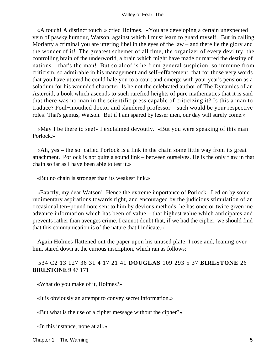«A touch! A distinct touch!» cried Holmes. «You are developing a certain unexpected vein of pawky humour, Watson, against which I must learn to guard myself. But in calling Moriarty a criminal you are uttering libel in the eyes of the law – and there lie the glory and the wonder of it! The greatest schemer of all time, the organizer of every deviltry, the controlling brain of the underworld, a brain which might have made or marred the destiny of nations – that's the man! But so aloof is he from general suspicion, so immune from criticism, so admirable in his management and self−effacement, that for those very words that you have uttered he could hale you to a court and emerge with your year's pension as a solatium for his wounded character. Is he not the celebrated author of The Dynamics of an Asteroid, a book which ascends to such rarefied heights of pure mathematics that it is said that there was no man in the scientific press capable of criticizing it? Is this a man to traduce? Foul−mouthed doctor and slandered professor – such would be your respective roles! That's genius, Watson. But if I am spared by lesser men, our day will surely come.»

 «May I be there to see!» I exclaimed devoutly. «But you were speaking of this man Porlock.»

 «Ah, yes – the so−called Porlock is a link in the chain some little way from its great attachment. Porlock is not quite a sound link – between ourselves. He is the only flaw in that chain so far as I have been able to test it.»

«But no chain is stronger than its weakest link.»

 «Exactly, my dear Watson! Hence the extreme importance of Porlock. Led on by some rudimentary aspirations towards right, and encouraged by the judicious stimulation of an occasional ten−pound note sent to him by devious methods, he has once or twice given me advance information which has been of value – that highest value which anticipates and prevents rather than avenges crime. I cannot doubt that, if we had the cipher, we should find that this communication is of the nature that I indicate.»

 Again Holmes flattened out the paper upon his unused plate. I rose and, leaning over him, stared down at the curious inscription, which ran as follows:

#### 534 C2 13 127 36 31 4 17 21 41 **DOUGLAS** 109 293 5 37 **BIRLSTONE** 26 **BIRLSTONE 9** 47 171

«What do you make of it, Holmes?»

«It is obviously an attempt to convey secret information.»

«But what is the use of a cipher message without the cipher?»

«In this instance, none at all.»

Chapter 1 − The Warning 5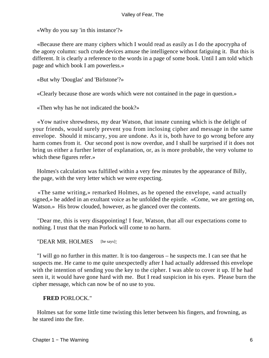«Why do you say 'in this instance'?»

 «Because there are many ciphers which I would read as easily as I do the apocrypha of the agony column: such crude devices amuse the intelligence without fatiguing it. But this is different. It is clearly a reference to the words in a page of some book. Until I am told which page and which book I am powerless.»

«But why 'Douglas' and 'Birlstone'?»

«Clearly because those are words which were not contained in the page in question.»

«Then why has he not indicated the book?»

 «Yow native shrewdness, my dear Watson, that innate cunning which is the delight of your friends, would surely prevent you from inclosing cipher and message in the same envelope. Should it miscarry, you are undone. As it is, both have to go wrong before any harm comes from it. Our second post is now overdue, and I shall be surprised if it does not bring us either a further letter of explanation, or, as is more probable, the very volume to which these figures refer.»

 Holmes's calculation was fulfilled within a very few minutes by the appearance of Billy, the page, with the very letter which we were expecting.

 «The same writing,» remarked Holmes, as he opened the envelope, «and actually signed,» he added in an exultant voice as he unfolded the epistle. «Come, we are getting on, Watson.» His brow clouded, however, as he glanced over the contents.

 "Dear me, this is very disappointing! I fear, Watson, that all our expectations come to nothing. I trust that the man Porlock will come to no harm.

"DEAR MR. HOLMES [he says]:

 "I will go no further in this matter. It is too dangerous – he suspects me. I can see that he suspects me. He came to me quite unexpectedly after I had actually addressed this envelope with the intention of sending you the key to the cipher. I was able to cover it up. If he had seen it, it would have gone hard with me. But I read suspicion in his eyes. Please burn the cipher message, which can now be of no use to you.

#### **FRED** PORLOCK."

 Holmes sat for some little time twisting this letter between his fingers, and frowning, as he stared into the fire.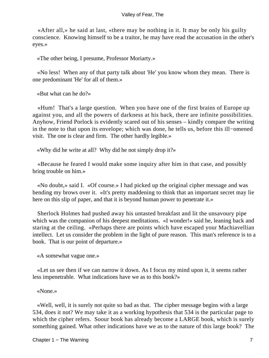«After all,» he said at last, «there may be nothing in it. It may be only his guilty conscience. Knowing himself to be a traitor, he may have read the accusation in the other's eyes.»

«The other being, I presume, Professor Moriarty.»

 «No less! When any of that party talk about 'He' you know whom they mean. There is one predominant 'He' for all of them.»

«But what can he do?»

 «Hum! That's a large question. When you have one of the first brains of Europe up against you, and all the powers of darkness at his back, there are infinite possibilities. Anyhow, Friend Porlock is evidently scared out of his senses – kindly compare the writing in the note to that upon its envelope; which was done, he tells us, before this ill−omened visit. The one is clear and firm. The other hardly legible.»

«Why did he write at all? Why did he not simply drop it?»

 «Because he feared I would make some inquiry after him in that case, and possibly bring trouble on him.»

 «No doubt,» said I. «Of course.» I had picked up the original cipher message and was bending my brows over it. «It's pretty maddening to think that an important secret may lie here on this slip of paper, and that it is beyond human power to penetrate it.»

 Sherlock Holmes had pushed away his untasted breakfast and lit the unsavoury pipe which was the companion of his deepest meditations. «I wonder!» said he, leaning back and staring at the ceiling. «Perhaps there are points which have escaped your Machiavellian intellect. Let us consider the problem in the light of pure reason. This man's reference is to a book. That is our point of departure.»

«A somewhat vague one.»

 «Let us see then if we can narrow it down. As I focus my mind upon it, it seems rather less impenetrable. What indications have we as to this book?»

«None.»

 «Well, well, it is surely not quite so bad as that. The cipher message begins with a large 534, does it not? We may take it as a working hypothesis that 534 is the particular page to which the cipher refers. Soour book has already become a LARGE book, which is surely something gained. What other indications have we as to the nature of this large book? The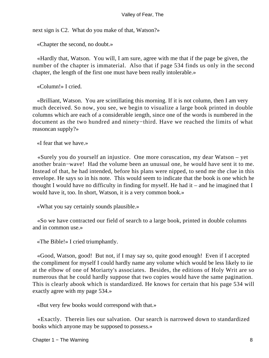next sign is C2. What do you make of that, Watson?»

«Chapter the second, no doubt.»

 «Hardly that, Watson. You will, I am sure, agree with me that if the page be given, the number of the chapter is immaterial. Also that if page 534 finds us only in the second chapter, the length of the first one must have been really intolerable.»

«Column!» I cried.

 «Brilliant, Watson. You are scintillating this morning. If it is not column, then I am very much deceived. So now, you see, we begin to visualize a large book printed in double columns which are each of a considerable iength, since one of the words is numbered in the document as the two hundred and ninety−third. Have we reached the limits of what reasoncan supply?»

«I fear that we have.»

 «Surely you do yourself an injustice. One more coruscation, my dear Watson – yet another brain−wave! Had the volume been an unusual one, he would have sent it to me. Instead of that, he had intended, before his plans were nipped, to send me the clue in this envelope. He says so in his note. This would seem to indicate that the book is one which he thought I would have no difficulty in finding for myself. He had it – and he imagined that I would have it, too. In short, Watson, it is a very common book.»

«What you say certainly sounds plausible.»

 «So we have contracted our field of search to a large book, printed in double columns and in common use.»

«The Bible!» I cried triumphantly.

 «Good, Watson, good! But not, if I may say so, quite good enough! Even if I accepted the compliment for myself I could hardly name any volume which would be less likely to iie at the elbow of one of Moriarty's associates. Besides, the editions of Holy Writ are so numerous that he could hardly suppose that two copies would have the same pagination. This is clearly abook which is standardized. He knows for certain that his page 534 will exactly agree with my page 534.»

«But very few books would correspond with that.»

 «Exactly. Therein lies our salvation. Our search is narrowed down to standardized books which anyone may be supposed to possess.»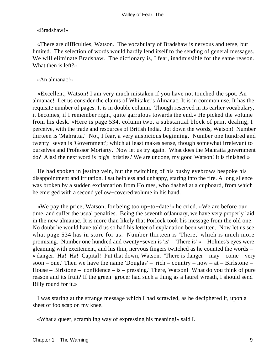#### «Bradshaw!»

 «There are difficulties, Watson. The vocabulary of Bradshaw is nervous and terse, but limited. The selection of words would hardly lend itself to the sending of general messages. We will eliminate Bradshaw. The dictionary is, I fear, inadmissible for the same reason. What then is left?»

#### «An almanac!»

 «Excellent, Watson! I am very much mistaken if you have not touched the spot. An almanac! Let us consider the claims of Whitaker's Almanac. It is in common use. It has the requisite number of pages. It is in double column. Though reserved in its earlier vocabulary, it becomes, if I remember right, quite garrulous towards the end.» He picked the volume from his desk. «Here is page 534, column two, a substantial block of print dealing, I perceive, with the trade and resources of British India. Jot down the words, Watson! Number thirteen is 'Mahratta.' Not, I fear, a very auspicious beginning. Number one hundred and twenty−seven is 'Government'; which at least makes sense, though somewhat irrelevant to ourselves and Professor Moriarty. Now let us try again. What does the Mahratta government do? Alas! the next word is 'pig's−bristles.' We are undone, my good Watson! It is finished!»

 He had spoken in jesting vein, but the twitching of his bushy eyebrows bespoke his disappointment and irritation. I sat helpless and unhappy, staring into the fire. A long silence was broken by a sudden exclamation from Holmes, who dashed at a cupboard, from which he emerged with a second yellow−covered volume in his hand.

 «We pay the price, Watson, for being too up−to−date!» he cried. «We are before our time, and suffer the usual penalties. Being the seventh ofJanuary, we have very properly laid in the new almanac. It is more than likely that Porlock took his message from the old one. No doubt he would have told us so had his letter of explanation been written. Now let us see what page 534 has in store for us. Number thirteen is 'There,' which is much more promising. Number one hundred and twenty−seven is 'is' – 'There is' » – Holmes's eyes were gleaming with excitement, and his thin, nervous fingers twitched as he counted the words – «'danger.' Ha! Ha! Capital! Put that down, Watson. 'There is danger – may – come – very – soon – one.' Then we have the name 'Douglas' – 'rich – country – now – at – Birlstone – House – Birlstone – confidence – is – pressing.' There, Watson! What do you think of pure reason and its fruit? If the green−grocer had such a thing as a laurel wreath, I should send Billy round for it.»

 I was staring at the strange message which I had scrawled, as he deciphered it, upon a sheet of foolscap on my knee.

«What a queer, scrambling way of expressing his meaning!» said I.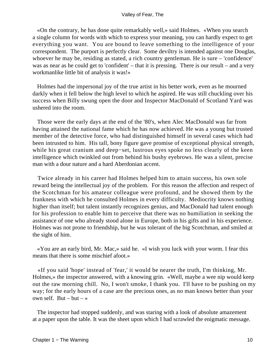«On the contrary, he has done quite remarkably well,» said Holmes. «When you search a single column for words with which to express your meaning, you can hardly expect to get everything you want. You are bound to leave something to the intelligence of your correspondent. The purport is perfectly clear. Some deviltry is intended against one Douglas, whoever he may be, residing as stated, a rich country gentleman. He is sure – 'confidence' was as near as he could get to 'confident' – that it is pressing. There is our result – and a very workmanlike little bit of analysis it was!»

 Holmes had the impersonal joy of the true artist in his better work, even as he mourned darkly when it fell below the high level to which he aspired. He was still chuckling over his success when Billy swung open the door and Inspector MacDonald of Scotland Yard was ushered into the room.

 Those were the early days at the end of the '80's, when Alec MacDonald was far from having attained the national fame which he has now achieved. He was a young but trusted member of the detective force, who had distinguished himself in several cases which had been intrusted to him. His tall, bony figure gave promise of exceptional physical strength, while his great cranium and deep−set, lustrous eyes spoke no less clearly of the keen intelligence which twinkled out from behind his bushy eyebrows. He was a silent, precise man with a dour nature and a hard Aberdonian accent.

 Twice already in his career had Holmes helped him to attain success, his own sole reward being the intellectual joy of the problem. For this reason the affection and respect of the Scotchman for his amateur colleague were profound, and he showed them by the frankness with which he consulted Holmes in every difficulty. Mediocrity knows nothing higher than itself; but talent instantly recognizes genius, and MacDonald had talent enough for his profession to enable him to perceive that there was no humiliation in seeking the assistance of one who already stood alone in Europe, both in his gifts and in his experience. Holmes was not prone to friendship, but he was tolerant of the big Scotchman, and smiled at the sight of him.

 «You are an early bird, Mr. Mac,» said he. «I wish you luck with your worm. I fear this means that there is some mischief afoot.»

 «If you said 'hope' instead of 'fear,' it would be nearer the truth, I'm thinking, Mr. Holmes,» the inspector answered, with a knowing grin. «Well, maybe a wee nip would keep out the raw morning chill. No, I won't smoke, I thank you. I'll have to be pushing on my way; for the early hours of a case are the precious ones, as no man knows better than your own self. But – but – »

 The inspector had stopped suddenly, and was staring with a look of absolute amazement at a paper upon the table. It was the sheet upon which I had scrawled the enigmatic message.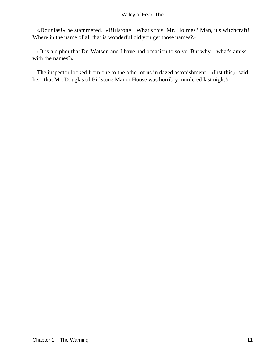«Douglas!» he stammered. «Birlstone! What's this, Mr. Holmes? Man, it's witchcraft! Where in the name of all that is wonderful did you get those names?»

 «It is a cipher that Dr. Watson and I have had occasion to solve. But why – what's amiss with the names?»

 The inspector looked from one to the other of us in dazed astonishment. «Just this,» said he, «that Mr. Douglas of Birlstone Manor House was horribly murdered last night!»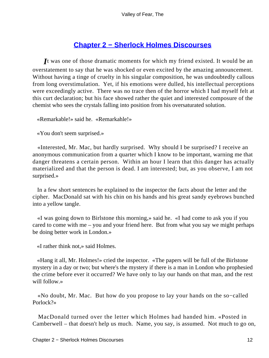## **[Chapter 2 − Sherlock Holmes Discourses](#page-149-0)**

*I*t was one of those dramatic moments for which my friend existed. It would be an overstatement to say that he was shocked or even excited by the amazing announcement. Without having a tinge of cruelty in his singular composition, he was undoubtedly callous from long overstimulation. Yet, if his emotions were dulled, his intellectual perceptions were exceedingly active. There was no trace then of the horror which I had myself felt at this curt declaration; but his face showed rather the quiet and interested composure of the chemist who sees the crystals falling into position from his oversaturated solution.

«Remarkable!» said he. «Remarkahle!»

«You don't seem surprised.»

 «Interested, Mr. Mac, but hardly surprised. Why should I be surprised? I receive an anonymous communication from a quarter which I know to be important, warning me that danger threatens a certain person. Within an hour I learn that this danger has actually materialized and that the person is dead. I am interested; but, as you observe, I am not surprised.»

 In a few short sentences he explained to the inspector the facts about the letter and the cipher. MacDonald sat with his chin on his hands and his great sandy eyebrows bunched into a yellow tangle.

 «I was going down to Birlstone this morning,» said he. «I had come to ask you if you cared to come with me – you and your friend here. But from what you say we might perhaps be doing better work in London.»

«I rather think not,» said Holmes.

 «Hang it all, Mr. Holmes!» cried the inspector. «The papers will be full of the Birlstone mystery in a day or two; but where's the mystery if there is a man in London who prophesied the crime before ever it occurred? We have only to lay our hands on that man, and the rest will follow.»

 «No doubt, Mr. Mac. But how do you propose to lay your hands on the so−called Porlock?»

 MacDonald turned over the letter which Holmes had handed him. «Posted in Camberwell – that doesn't help us much. Name, you say, is assumed. Not much to go on,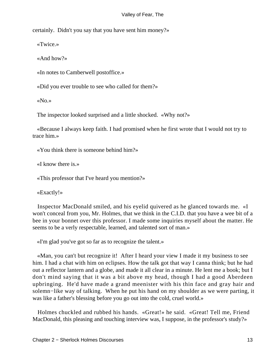certainly. Didn't you say that you have sent him money?»

«Twice.»

«And how?»

«In notes to Camberwell postoffice.»

«Did you ever trouble to see who called for them?»

«No.»

The inspector looked surprised and a little shocked. «Why not?»

 «Because I always keep faith. I had promised when he first wrote that I would not try to trace him.»

«You think there is someone behind him?»

«I know there is.»

«This professor that I've heard you mention?»

«Exactly!»

 Inspector MacDonald smiled, and his eyelid quivered as he glanced towards me. «I won't conceal from you, Mr. Holmes, that we think in the C.I.D. that you have a wee bit of a bee in your bonnet over this professor. I made some inquiries myself about the matter. He seems to be a verly respectable, learned, and talented sort of man.»

«I'm glad you've got so far as to recognize the talent.»

 «Man, you can't but recognize it! After I heard your view I made it my business to see him. I had a chat with him on eclipses. How the talk got that way I canna think; but he had out a reflector lantern and a globe, and made it all clear in a minute. He lent me a book; but I don't mind saying that it was a bit above my head, though I had a good Aberdeen upbringing. He'd have made a grand meenister with his thin face and gray hair and solemn−like way of talking. When he put his hand on my shoulder as we were parting, it was like a father's blessing before you go out into the cold, cruel world.»

 Holmes chuckled and rubbed his hands. «Great!» he said. «Great! Tell me, Friend MacDonald, this pleasing and touching interview was, I suppose, in the professor's study?»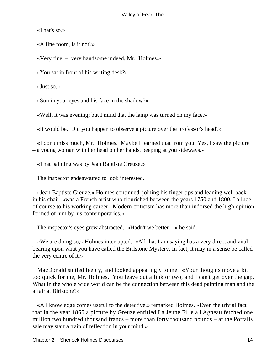«That's so.»

«A fine room, is it not?»

«Very fine – very handsome indeed, Mr. Holmes.»

«You sat in front of his writing desk?»

«Just so.»

«Sun in your eyes and his face in the shadow?»

«Well, it was evening; but I mind that the lamp was turned on my face.»

«It would be. Did you happen to observe a picture over the professor's head?»

 «I don't miss much, Mr. Holmes. Maybe I learned that from you. Yes, I saw the picture – a young woman with her head on her hands, peeping at you sideways.»

«That painting was by Jean Baptiste Greuze.»

The inspector endeavoured to look interested.

 «Jean Baptiste Greuze,» Holmes continued, joining his finger tips and leaning well back in his chair, «was a French artist who flourished between the years 1750 and 1800. I allude, of course to his working career. Modern criticism has more than indorsed the high opinion formed of him by his contemporaries.»

The inspector's eyes grew abstracted. «Hadn't we better  $-\infty$  he said.

 «We are doing so,» Holmes interrupted. «All that I am saying has a very direct and vital bearing upon what you have called the Birlstone Mystery. In fact, it may in a sense be called the very centre of it.»

 MacDonald smiled feebly, and looked appealingly to me. «Your thoughts move a bit too quick for me, Mr. Holmes. You leave out a link or two, and I can't get over the gap. What in the whole wide world can be the connection between this dead painting man and the affair at Birlstone?»

 «All knowledge comes useful to the detective,» remarked Holmes. «Even the trivial fact that in the year 1865 a picture by Greuze entitled La Jeune Fille a l'Agneau fetched one million two hundred thousand francs – more than forty thousand pounds – at the Portalis sale may start a train of reflection in your mind.»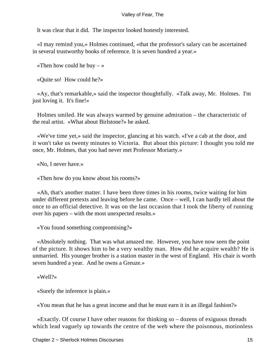It was clear that it did. The inspector looked honestly interested.

 «I may remind you,» Holmes continued, «that the professor's salary can be ascertained in several trustworthy books of reference. It is seven hundred a year.»

«Then how could he buy  $-\infty$ 

«Quite so! How could he?»

 «Ay, that's remarkable,» said the inspector thoughtfully. «Talk away, Mr. Holmes. I'm just loving it. It's fine!»

 Holmes smiled. He was always warmed by genuine admiration – the characteristic of the real artist. «What about Birlstone?» he asked.

 «We've time yet,» said the inspector, glancing at his watch. «I've a cab at the door, and it won't take us twenty minutes to Victoria. But about this picture: I thought you told me once, Mr. Holmes, that you had never met Professor Moriarty.»

«No, I never have.»

«Then how do you know about his rooms?»

 «Ah, that's another matter. I have been three times in his rooms, twice waiting for him under different pretexts and leaving before he came. Once – well, I can hardly tell about the once to an official detective. It was on the last occasion that I took the liberty of running over his papers – with the most unexpected results.»

«You found something compromising?»

 «Absolutely nothing. That was what amazed me. However, you have now seen the point of the picture. It shows him to be a very wealthy man. How did he acquire wealth? He is unmarried. His younger brother is a station master in the west of England. His chair is worth seven hundred a year. And he owns a Greuze.»

«Well?»

«Surely the inference is plain.»

«You mean that he has a great income and that he must earn it in an illegal fashion?»

 «Exactly. Of course I have other reasons for thinking so – dozens of exiguous threads which lead vaguely up towards the centre of the web where the poisonous, motionless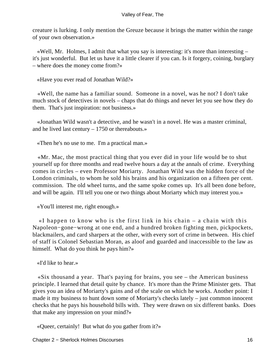creature is lurking. I only mention the Greuze because it brings the matter within the range of your own observation.»

 «Well, Mr. Holmes, I admit that what you say is interesting: it's more than interesting – it's just wonderful. But let us have it a little clearer if you can. Is it forgery, coining, burglary – where does the money come from?»

«Have you ever read of Jonathan Wild?»

 «Well, the name has a familiar sound. Someone in a novel, was he not? I don't take much stock of detectives in novels – chaps that do things and never let you see how they do them. That's just inspiration: not business.»

 «Jonathan Wild wasn't a detective, and he wasn't in a novel. He was a master criminal, and he lived last century – 1750 or thereabouts.»

«Then he's no use to me. I'm a practical man.»

 «Mr. Mac, the most practical thing that you ever did in your life would be to shut yourself up for three months and read twelve hours a day at the annals of crime. Everything comes in circles – even Professor Moriarty. Jonathan Wild was the hidden force of the London criminals, to whom he sold his brains and his organization on a fifteen per cent. commission. The old wheel turns, and the same spoke comes up. It's all been done before, and will be again. I'll tell you one or two things about Moriarty which may interest you.»

«You'll interest me, right enough.»

 «I happen to know who is the first link in his chain – a chain with this Napoleon−gone−wrong at one end, and a hundred broken fighting men, pickpockets, blackmailers, and card sharpers at the other, with every sort of crime in between. His chief of staff is Colonel Sebastian Moran, as aloof and guarded and inaccessible to the law as himself. What do you think he pays him?»

«I'd like to hear.»

 «Six thousand a year. That's paying for brains, you see – the American business principle. I learned that detail quite by chance. It's more than the Prime Minister gets. That gives you an idea of Moriarty's gains and of the scale on which he works. Another point: I made it my business to hunt down some of Moriarty's checks lately – just common innocent checks that he pays his household bills with. They were drawn on six different banks. Does that make any impression on your mind?»

«Queer, certainly! But what do you gather from it?»

Chapter 2 − Sherlock Holmes Discourses 16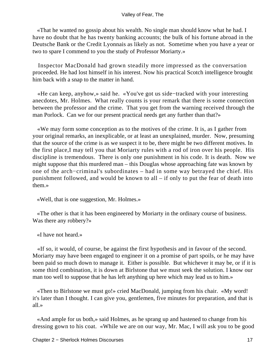«That he wanted no gossip about his wealth. No single man should know what he had. I have no doubt that he has twenty banking accounts; the bulk of his fortune abroad in the Deutsche Bank or the Credit Lyonnais as likely as not. Sometime when you have a year or two to spare I commend to you the study of Professor Moriarty.»

 Inspector MacDonald had grown steadily more impressed as the conversation proceeded. He had lost himself in his interest. Now his practical Scotch intelligence brought him back with a snap to the matter in hand.

 «He can keep, anyhow,» said he. «You've got us side−tracked with your interesting anecdotes, Mr. Holmes. What really counts is your remark that there is some connection between the professor and the crime. That you get from the warning received through the man Porlock. Can we for our present practical needs get any further than that?»

 «We may form some conception as to the motives of the crime. It is, as I gather from your original remarks, an inexplicable, or at least an unexplained, murder. Now, presuming that the source of the crime is as we suspect it to be, there might be two different motives. In the first place,I may tell you that Moriarty rules with a rod of iron over his people. His discipline is tremendous. There is only one punishment in his code. It is death. Now we might suppose that this murdered man – this Douglas whose approaching fate was known by one of the arch−criminal's subordinates – had in some way betrayed the chief. His punishment followed, and would be known to all – if only to put the fear of death into them.»

«Well, that is one suggestion, Mr. Holmes.»

 «The other is that it has been engineered by Moriarty in the ordinary course of business. Was there any robbery?»

«I have not heard.»

 «If so, it would, of course, be against the first hypothesis and in favour of the second. Moriarty may have been engaged to engineer it on a promise of part spoils, or he may have been paid so much down to manage it. Either is possible. But whichever it may be, or if it is some third combination, it is down at Birlstone that we must seek the solution. I know our man too well to suppose that he has left anything up here which may lead us to him.»

 «Then to Birlstone we must go!» cried MacDonald, jumping from his chair. «My word! it's later than I thought. I can give you, gentlemen, five minutes for preparation, and that is all.»

 «And ample for us both,» said Holmes, as he sprang up and hastened to change from his dressing gown to his coat. «While we are on our way, Mr. Mac, I will ask you to be good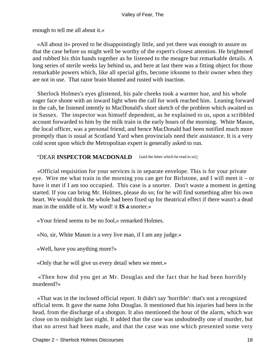enough to tell me all about it.»

 «All about it» proved to be disappointingly little, and yet there was enough to assure us that the case before us might well be worthy of the expert's closest attention. He brightened and rubbed his thin hands together as he listened to the meagre but remarkable details. A long series of sterile weeks lay behind us, and here at last there was a fitting object for those remarkable powers which, like all special gifts, become irksome to their owner when they are not in use. That razor brain blunted and rusted with inaction.

 Sherlock Holmes's eyes glistened, his pale cheeks took a warmer hue, and his whole eager face shone with an inward light when the call for work reached him. Leaning forward in the cab, he listened intently to MacDonald's short sketch of the problem which awaited us in Sussex. The inspector was himself dependent, as he explained to us, upon a scribbled account forwarded to him by the milk train in the early hours of the morning. White Mason, the local officer, was a personal friend, and hence MacDonald had been notified much more promptly than is usual at Scotland Yard when provincials need their assistance. It is a very cold scent upon which the Metropolitan expert is generally asked to run.

#### "DEAR **INSPECTOR MACDONALD** [said the letter which he read to us]:

 «Official requisition for your services is in separate envelope. This is for your private eye. Wire me what train in the morning you can get for Birlstone, and I will meet it – or have it met if I am too occupied. This case is a snorter. Don't waste a moment in getting started. If you can bring Mr. Holmes, please do so; for he will find something after his own heart. We would think the whole had been fixed up for theatrical effect if there wasn't a dead man in the middle of it. My word! it **IS a** snorter.»

«Your friend seems to be no fool,» remarked Holmes.

«No, sir, White Mason is a very live man, if I am any judge.»

«Well, have you anything more?»

«Only that he will give us every detail when we meet.»

 «Then how did you get at Mr. Douglas and the fact that he had been horribly murdered?»

 «That was in the inclosed official report. It didn't say 'horrible': that's not a recognized official term. It gave the name John Douglas. It mentioned that his injuries had been in the head, from the discharge of a shotgun. It also mentioned the hour of the alarm, which was close on to midnight last night. It added that the case was undoubtedly one of murder, but that no arrest had been made, and that the case was one which presented some very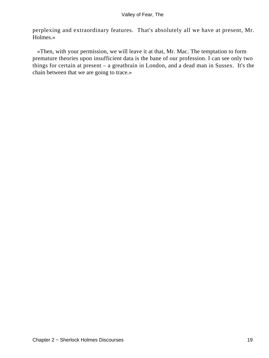perplexing and extraordinary features. That's absolutely all we have at present, Mr. Holmes.»

 «Then, with your permission, we will leave it at that, Mr. Mac. The temptation to form premature theories upon insufficient data is the bane of our profession. I can see only two things for certain at present – a greatbrain in London, and a dead man in Sussex. It's the chain between that we are going to trace.»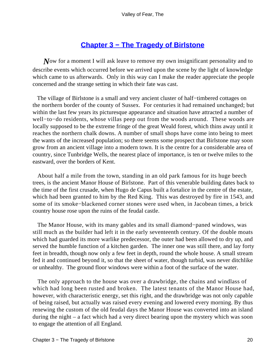## **[Chapter 3 − The Tragedy of Birlstone](#page-149-0)**

*N*ow for a moment I will ask leave to remove my own insignificant personality and to describe events which occurred before we arrived upon the scene by the light of knowledge which came to us afterwards. Only in this way can I make the reader appreciate the people concerned and the strange setting in which their fate was cast.

 The village of Birlstone is a small and very ancient cluster of half−timbered cottages on the northern border of the county of Sussex. For centuries it had remained unchanged; but within the last few years its picturesque appearance and situation have attracted a number of well−to−do residents, whose villas peep out from the woods around. These woods are locally supposed to be the extreme fringe of the great Weald forest, which thins away until it reaches the northern chalk downs. A number of small shops have come into being to meet the wants of the increased population; so there seems some prospect that Birlstone may soon grow from an ancient village into a modern town. It is the centre for a considerable area of country, since Tunbridge Wells, the nearest place of importance, is ten or twelve miles to the eastward, over the borders of Kent.

 About half a mile from the town, standing in an old park famous for its huge beech trees, is the ancient Manor House of Birlstone. Part of this venerable building dates back to the time of the first crusade, when Hugo de Capus built a fortalice in the centre of the estate, which had been granted to him by the Red King. This was destroyed by fire in 1543, and some of its smoke−blackened corner stones were used when, in Jacobean times, a brick country house rose upon the ruins of the feudal castle.

 The Manor House, with its many gables and its small diamond−paned windows, was still much as the builder had left it in the early seventeenth century. Of the double moats which had guarded its more warlike predecessor, the outer had been allowed to dry up, and served the humble function of a kitchen garden. The inner one was still there, and lay forty feet in breadth, though now only a few feet in depth, round the whole house. A small stream fed it and continued beyond it, so that the sheet of water, though turbid, was never ditchlike or unhealthy. The ground floor windows were within a foot of the surface of the water.

 The only approach to the house was over a drawbridge, the chains and windlass of which had long been rusted and broken. The latest tenants of the Manor House had, however, with characteristic energy, set this right, and the drawbridge was not only capable of being raised, but actually was raised every evening and lowered every morning. By thus renewing the custom of the old feudal days the Manor House was converted into an island during the night – a fact which had a very direct bearing upon the mystery which was soon to engage the attention of all England.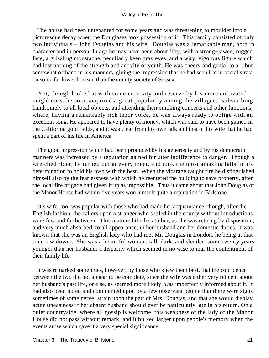The house had been untenanted for some years and was threatening to moulder into a picturesque decay when the Douglases took possession of it. This family consisted of only two individuals – John Douglas and his wife. Douglas was a remarkable man, both in character and in person. In age he may have been about fifty, with a strong−jawed, rugged face, a grizzling moustache, peculiarly keen gray eyes, and a wiry, vigorous figure which had lost nothing of the strength and activity of youth. He was cheery and genial to all, but somewhat offhand in his manners, giving the impression that he had seen life in social strata on some far lower horizon than the county society of Sussex.

 Yet, though looked at with some curiosity and reserve by his more cultivated neighbours, he soon acquired a great popularity among the villagers, subscribing handsomely to all local objects, and attending their smoking concerts and other functions, where, having a remarkably rich tenor voice, he was always ready to oblige with an excellent song. He appeared to have plenty of money, which was said to have been gained in the California gold fields, and it was clear from his own talk and that of his wife that he had spent a part of his life in America.

 The good impression which had been produced by his generosity and by his democratic manners was increased by a reputation gained for utter indifference to danger. Though a wretched rider, he turned out at every meet, and took the most amazing falls in his determination to hold his own with the best. When the vicarage caught fire he distinguished himself also by the fearlessness with which he reentered the building to save property, after the local fire brigade had given it up as impossible. Thus it came about that John Douglas of the Manor House had within five years won himself quite a reputation in Birlstone.

 His wife, too, was popular with those who had made her acquaintance; though, after the English fashion, the callers upon a stranger who settled in the county without introductions were few and far between. This mattered the less to her, as she was retiring by disposition, and very much absorbed, to all appearance, in her husband and her domestic duties. It was known that she was an English lady who had met Mr. Douglas in London, he being at that time a widower. She was a beautiful woman, tall, dark, and slender, some twenty years younger than her husband; a disparity which seemed in no wise to mar the contentment of their family life.

 It was remarked sometimes, however, by those who knew them best, that the confidence between the two did not appear to be complete, since the wife was either very reticent about her husband's past life, or else, as seemed more likely, was imperfectly informed about it. It had also been noted and commented upon by a few observant people that there were signs sometimes of some nerve−strain upon the part of Mrs. Douglas, and that she would display acute uneasiness if her absent husband should ever be patticularly late in his return. On a quiet countryside, where all gossip is welcome, this weakness of the lady of the Manor House did not pass without remark, and it bulked larger upon people's memory when the events arose which gave it a very special significance.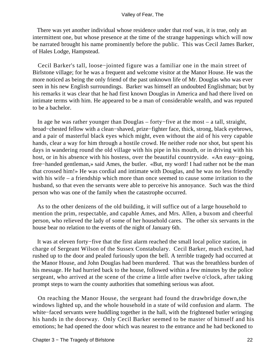There was yet another individual whose residence under that roof was, it is true, only an intermittent one, but whose presence at the time of the strange happenings which will now be narrated brought his name prominently before the public. This was Cecil James Barker, of Hales Lodge, Hampstead.

 Cecil Barker's tall, loose−jointed figure was a familiar one in the main street of Birlstone village; for he was a frequent and welcome visitor at the Manor House. He was the more noticed as being the only friend of the past unknown life of Mr. Douglas who was ever seen in his new English surroundings. Barker was himself an undoubted Englishman; but by his remarks it was clear that he had first known Douglas in America and had there lived on intimate terms with him. He appeared to be a man of considerable wealth, and was reputed to be a bachelor.

 In age he was rather younger than Douglas – forty−five at the most – a tall, straight, broad−chested fellow with a clean−shaved, prize−fighter face, thick, strong, black eyebrows, and a pair of masterful black eyes which might, even without the aid of his very capable hands, clear a way for him through a hostile crowd. He neither rode nor shot, but spent his days in wandering round the old village with his pipe in his mouth, or in driving with his host, or in his absence with his hostess, over the beautiful countryside. «An easy−going, free−handed gentleman,» said Ames, the butler. «But, my word! I had rather not be the man that crossed him!» He was cordial and intimate with Douglas, and he was no less friendly with his wife – a friendship which more than once seemed to cause some irritation to the husband, so that even the servants were able to perceive his annoyance. Such was the third person who was one of the family when the catastrophe occurred.

 As to the other denizens of the old building, it will suffice out of a large household to mention the prim, respectable, and capable Ames, and Mrs. Allen, a buxom and cheerful person, who relieved the lady of some of her household cares. The other six servants in the house bear no relation to the events of the night of January 6th.

 It was at eleven forty−five that the first alarm reached the small local police station, in charge of Sergeant Wilson of the Sussex Constabulary. Cecil Barker, much excited, had rushed up to the door and pealed furiously upon the bell. A terrible tragedy had occurred at the Manor House, and John Douglas had been murdered. That was the breathless burden of his message. He had hurried back to the house, followed within a few minutes by the police sergeant, who arrived at the scene of the crime a little after twelve o'clock, after taking prompt steps to warn the county authorities that something serious was afoot.

 On reaching the Manor House, the sergeant had found the drawbridge down,the windows lighted up, and the whole household in a state of wild confusion and alarm. The white−faced servants were huddling together in the hall, with the frightened butler wringing his hands in the doorway. Only Cecil Barker seemed to be master of himself and his emotions; he had opened the door which was nearest to the entrance and he had beckoned to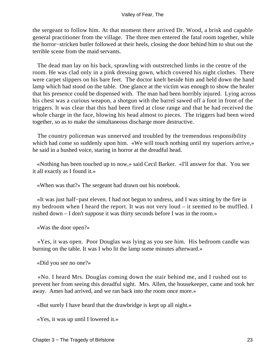the sergeant to follow him. At that moment there arrived Dr. Wood, a brisk and capable general practitioner from the village. The three men entered the fatal room together, while the horror−stricken butler followed at their heels, closing the door behind him to shut out the terrible scene from the maid servants.

 The dead man lay on his back, sprawling with outstretched limbs in the centre of the room. He was clad only in a pink dressing gown, which covered his night clothes. There were carpet slippers on his bare feet. The doctor knelt beside him and held down the hand lamp which had stood on the table. One glance at the victim was enough to show the healer that his presence could be dispensed with. The man had been horribly injured. Lying across his chest was a curious weapon, a shotgun with the barrel sawed off a foot in front of the triggers. It was clear that this had been fired at close range and that he had received the whole charge in the face, blowing his head almost to pieces. The triggers had been wired together, so as to make the simultaneous discharge more destructive.

 The country policeman was unnerved and troubled by the tremendous responsibility which had come so suddenly upon him. «We will touch nothing until my superiors arrive,» he said in a hushed voice, staring in horror at the dreadful head.

 «Nothing has been touched up to now,» said Cecil Barker. «I'll answer for that. You see it all exactly as I found it.»

«When was that?» The sergeant had drawn out his notebook.

 «It was just half−past eleven. I had not begun to undress, and I was sitting by the fire in my bedroom when I heard the report. It was not very loud – it seemed to be muffled. I rushed down – I don't suppose it was thirty seconds before I was in the room.»

«Was the door open?»

 «Yes, it was open. Poor Douglas was lying as you see him. His bedroom candle was burning on the table. It was I who lit the lamp some minutes afterward.»

«Did you see no one?»

 «No. I heard Mrs. Douglas coming down the stair behind me, and I rushed out to prevent her from seeing this dreadful sight. Mrs. Allen, the housekeeper, came and took her away. Ames had arrived, and we ran back into the room once more.»

«But surely I have heard that the drawbridge is kept up all night.»

«Yes, it was up until I lowered it.»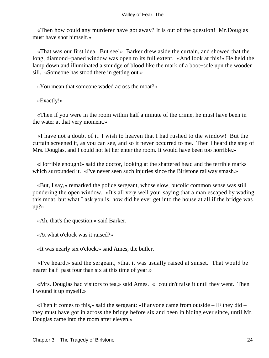«Then how could any murderer have got away? It is out of the question! Mr.Douglas must have shot himself.»

 «That was our first idea. But see!» Barker drew aside the curtain, and showed that the long, diamond−paned window was open to its full extent. «And look at this!» He held the lamp down and illuminated a smudge of blood like the mark of a boot−sole upn the wooden sill. «Someone has stood there in getting out.»

«You mean that someone waded across the moat?»

«Exactly!»

 «Then if you were in the room within half a minute of the crime, he must have been in the water at that very moment.»

 «I have not a doubt of it. I wish to heaven that I had rushed to the window! But the curtain screened it, as you can see, and so it never occurred to me. Then I heard the step of Mrs. Douglas, and I could not let her enter the room. It would have been too horrible.»

 «Horrible enough!» said the doctor, looking at the shattered head and the terrible marks which surrounded it. «I've never seen such injuries since the Birlstone railway smash.»

 «But, I say,» remarked the police sergeant, whose slow, bucolic common sense was still pondering the open window. «It's all very well your saying that a man escaped by wading this moat, but what I ask you is, how did he ever get into the house at all if the bridge was up?»

«Ah, that's the question,» said Barker.

«At what o'clock was it raised?»

«It was nearly six o'clock,» said Ames, the butler.

 «I've heard,» said the sergeant, «that it was usually raised at sunset. That would be nearer half−past four than six at this time of year.»

 «Mrs. Douglas had visitors to tea,» said Ames. «I couldn't raise it until they went. Then I wound it up myself.»

 «Then it comes to this,» said the sergeant: «If anyone came from outside – IF they did – they must have got in across the bridge before six and been in hiding ever since, until Mr. Douglas came into the room after eleven.»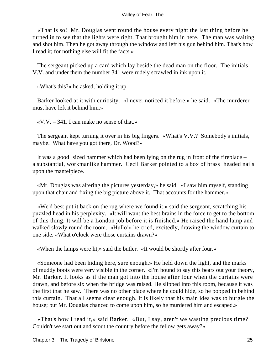«That is so! Mr. Douglas went round the house every night the last thing before he turned in to see that the lights were right. That brought him in here. The man was waiting and shot him. Then he got away through the window and left his gun behind him. That's how I read it; for nothing else will fit the facts.»

 The sergeant picked up a card which lay beside the dead man on the floor. The initials V.V. and under them the number 341 were rudely scrawled in ink upon it.

«What's this?» he asked, holding it up.

 Barker looked at it with curiosity. «I never noticed it before,» he said. «The murderer must have left it behind him.»

 $\langle V.V. - 341 \rangle$ . I can make no sense of that.»

 The sergeant kept turning it over in his big fingers. «What's V.V.? Somebody's initials, maybe. What have you got there, Dr. Wood?»

 It was a good−sized hammer which had been lying on the rug in front of the fireplace – a substantial, workmanlike hammer. Cecil Barker pointed to a box of brass−headed nails upon the mantelpiece.

 «Mr. Douglas was altering the pictures yesterday,» he said. «I saw him myself, standing upon that chair and fixing the big picture above it. That accounts for the hammer.»

 «We'd best put it back on the rug where we found it,» said the sergeant, scratching his puzzled head in his perplexity. «It will want the best brains in the force to get to the bottom of this thing. It will be a London job before it is finished.» He raised the hand lamp and walked slowly round the room. «Hullo!» he cried, excitedly, drawing the window curtain to one side. «What o'clock were those curtains drawn?»

«When the lamps were lit,» said the butler. «It would be shortly after four.»

 «Someone had been hiding here, sure enough.» He held down the light, and the marks of muddy boots were very visible in the corner. «I'm bound to say this bears out your theory, Mr. Barker. It looks as if the man got into the house after four when the curtains were drawn, and before six when the bridge was raised. He slipped into this room, because it was the first that he saw. There was no other place where he could hide, so he popped in behind this curtain. That all seems clear enough. It is likely that his main idea was to burgle the house; but Mr. Douglas chanced to come upon him, so he murdered him and escaped.»

 «That's how I read it,» said Barker. «But, I say, aren't we wasting precious time? Couldn't we start out and scout the country before the fellow gets away?»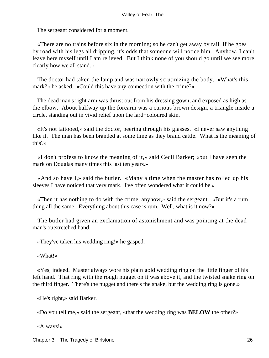The sergeant considered for a moment.

 «There are no trains before six in the morning; so he can't get away by rail. If he goes by road with his legs all dripping, it's odds that someone will notice him. Anyhow, I can't leave here myself until I am relieved. But I think none of you should go until we see more clearly how we all stand.»

 The doctor had taken the lamp and was narrowly scrutinizing the body. «What's this mark?» he asked. «Could this have any connection with the crime?»

 The dead man's right arm was thrust out from his dressing gown, and exposed as high as the elbow. About halfway up the forearm was a curious brown design, a triangle inside a circle, standing out in vivid relief upon the lard−coloured skin.

 «It's not tattooed,» said the doctor, peering through his glasses. «I never saw anything like it. The man has been branded at some time as they brand cattle. What is the meaning of this?»

 «I don't profess to know the meaning of it,» said Cecil Barker; «but I have seen the mark on Douglas many times this last ten years.»

 «And so have I,» said the butler. «Many a time when the master has rolled up his sleeves I have noticed that very mark. I've often wondered what it could be.»

 «Then it has nothing to do with the crime, anyhow,» said the sergeant. «But it's a rum thing all the same. Everything about this case is rum. Well, what is it now?»

 The butler had given an exclamation of astonishment and was pointing at the dead man's outstretched hand.

«They've taken his wedding ring!» he gasped.

«What!»

 «Yes, indeed. Master always wore his plain gold wedding ring on the little finger of his left hand. That ring with the rough nugget on it was above it, and the twisted snake ring on the third finger. There's the nugget and there's the snake, but the wedding ring is gone.»

«He's right,» said Barker.

«Do you tell me,» said the sergeant, «that the wedding ring was **BELOW** the other?»

«Always!»

Chapter 3 − The Tragedy of Birlstone 26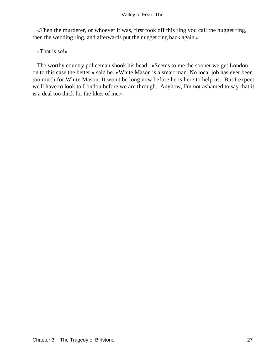«Then the murderer, or whoever it was, first took off this ring you call the nugget ring, then the wedding ring, and afterwards put the nugget ring back again.»

«That is so!»

 The worthy country policeman shook his head. «Seems to me the sooner we get London on to this case the better,» said he. «White Mason is a smart man. No local job has ever been too much for White Mason. It won't be long now before he is here to help us. But I expect we'll have to look to London before we are through. Anyhow, I'm not ashamed to say that it is a deal too thick for the likes of me.»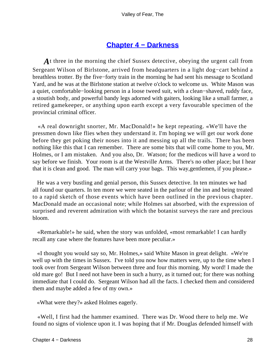### **[Chapter 4 − Darkness](#page-149-0)**

*A*t three in the morning the chief Sussex detective, obeying the urgent call from Sergeant Wilson of Birlstone, arrived from headquarters in a light dog−cart behind a breathless trotter. By the five−forty train in the morning he had sent his message to Scotland Yard, and he was at the Birlstone station at twelve o'clock to welcome us. White Mason was a quiet, comfortable−looking person in a loose tweed suit, with a clean−shaved, ruddy face, a stoutish body, and powerful bandy legs adorned with gaiters, looking like a small farmer, a retired gamekeeper, or anything upon earth except a very favourable specimen of the provincial criminal officer.

 «A real downright snorter, Mr. MacDonald!» he kept repeating. «We'll have the pressmen down like flies when they understand it. I'm hoping we will get our work done before they get poking their noses into it and messing up all the trails. There has been nothing like this that I can remember. There are some bits that will come home to you, Mr. Holmes, or I am mistaken. And you also, Dr. Watson; for the medicos will have a word to say before we finish. Your room is at the Westville Arms. There's no other place; but I hear that it is clean and good. The man will carry your bags. This way,gentlemen, if you please.»

 He was a very bustling and genial person, this Sussex detective. In ten minutes we had all found our quarters. In ten more we were seated in the parlour of the inn and being treated to a rapid sketch of those events which have been outlined in the previous chapter. MacDonald made an occasional note; while Holmes sat absorbed, with the expression of surprised and reverent admiration with which the botanist surveys the rare and precious bloom.

 «Remarkable!» he said, when the story was unfolded, «most remarkable! I can hardly recall any case where the features have been more peculiar.»

 «I thought you would say so, Mr. Holmes,» said White Mason in great delight. «We're well up with the times in Sussex. I've told you now how matters were, up to the time when I took over from Sergeant Wilson between three and four this morning. My word! I made the old mare go! But I need not have been in such a hurry, as it turned out; for there was nothing immediate that I could do. Sergeant Wilson had all the facts. I checked them and considered them and maybe added a few of my own.»

«What were they?» asked Holmes eagerly.

 «Well, I first had the hammer examined. There was Dr. Wood there to help me. We found no signs of violence upon it. I was hoping that if Mr. Douglas defended himself with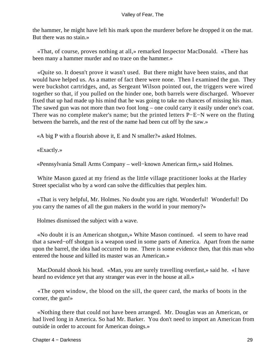the hammer, he might have left his mark upon the murderer before he dropped it on the mat. But there was no stain.»

 «That, of course, proves nothing at all,» remarked Inspector MacDonald. «There has been many a hammer murder and no trace on the hammer.»

 «Quite so. It doesn't prove it wasn't used. But there might have been stains, and that would have helped us. As a matter of fact there were none. Then I examined the gun. They were buckshot cartridges, and, as Sergeant Wilson pointed out, the triggers were wired together so that, if you pulled on the hinder one, both barrels were discharged. Whoever fixed that up had made up his mind that he was going to take no chances of missing his man. The sawed gun was not more than two foot long – one could carry it easily under one's coat. There was no complete maker's name; but the printed letters P−E−N were on the fluting between the barrels, and the rest of the name had been cut off by the saw.»

«A big P with a flourish above it, E and N smaller?» asked Holmes.

«Exactly.»

«Pennsylvania Small Arms Company – well−known American firm,» said Holmes.

 White Mason gazed at my friend as the little village practitioner looks at the Harley Street specialist who by a word can solve the difficulties that perplex him.

 «That is very helpful, Mr. Holmes. No doubt you are right. Wonderful! Wonderful! Do you carry the names of all the gun makers in the world in your memory?»

Holmes dismissed the subject with a wave.

 «No doubt it is an American shotgun,» White Mason continued. «I seem to have read that a sawed−off shotgun is a weapon used in some parts of America. Apart from the name upon the barrel, the idea had occurred to me. There is some evidence then, that this man who entered the house and killed its master was an American.»

 MacDonald shook his head. «Man, you are surely travelling overfast,» said he. «I have heard no evidence yet that any stranger was ever in the house at all.»

 «The open window, the blood on the sill, the queer card, the marks of boots in the corner, the gun!»

 «Nothing there that could not have been arranged. Mr. Douglas was an American, or had lived long in America. So had Mr. Barker. You don't need to import an American from outside in order to account for American doings.»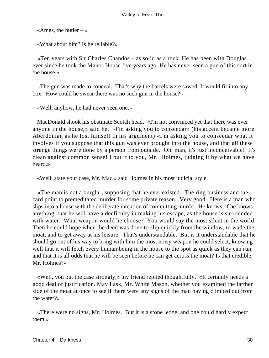«Ames, the butler  $-\infty$ 

«What about him? Is he reliable?»

 «Ten years with Sir Charles Chandos – as solid as a rock. He has been with Douglas ever since he took the Manor House five years ago. He has never seen a gun of this sort in the house.»

 «The gun was made to conceal. That's why the barrels were sawed. It would fit into any box. How could he swear there was no such gun in the house?»

«Well, anyhow, he had never seen one.»

 MacDonald shook his obstinate Scotch head. «I'm not convinced yet that there was ever anyone in the house,» said he. «I'm asking you to conseedar» (his accent became more Aberdonian as he lost himself in his argument) «I'm asking you to conseedar what it involves if you suppose that this gun was ever brought into the house, and that all these strange things were done by a person from outside. Oh, man, it's just inconceivable! It's clean against common sense! I put it to you, Mr. Holmes, judging it by what we have heard.»

«Well, state your case, Mr. Mac,» said Holmes in his most judicial style.

 «The man is not a burglar, supposing that he ever existed. The ring business and the card point to premeditated murder for some private reason. Very good. Here is a man who slips into a house with the deliberate intention of committing murder. He knows, if he knows anything, that he will have a deeficulty in making his escape, as the house is surrounded with water. What weapon would he choose? You would say the most silent in the world. Then he could hope when the deed was done to slip quickly from the window, to wade the moat, and to get away at his leisure. That's understandable. But is it understandable that he should go out of his way to bring with him the most noisy weapon he could select, knowing well that it will fetch every human being in the house to the spot as quick as they can run, and that it is all odds that he will be seen before he can get across the moat? Is that credible, Mr. Holmes?»

 «Well, you put the case strongly,» my friend replied thoughtfully. «It certainly needs a good deal of justification. May I ask, Mr. White Mason, whether you examined the farther side of the moat at once to see if there were any signs of the man having climbed out from the water?»

 «There were no signs, Mr. Holmes. But it is a stone ledge, and one could hardly expect them.»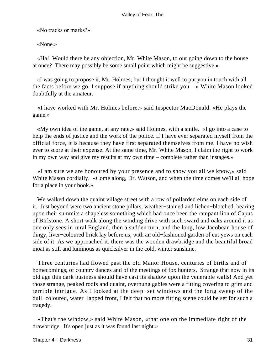«No tracks or marks?»

«None.»

 «Ha! Would there be any objection, Mr. White Mason, to our going down to the house at once? There may possibly be some small point which might be suggestive.»

 «I was going to propose it, Mr. Holmes; but I thought it well to put you in touch with all the facts before we go. I suppose if anything should strike you – » White Mason looked doubtfully at the amateur.

 «I have worked with Mr. Holmes before,» said Inspector MacDonald. «He plays the game.»

 «My own idea of the game, at any rate,» said Holmes, with a smile. «I go into a case to help the ends of justice and the work of the police. If I have ever separated myself from the official force, it is because they have first separated themselves from me. I have no wish ever to score at their expense. At the same time, Mr. White Mason, I claim the right to work in my own way and give my results at my own time – complete rather than instages.»

 «I am sure we are honoured by your presence and to show you all we know,» said White Mason cordially. «Come along, Dr. Watson, and when the time comes we'll all hope for a place in your book.»

We walked down the quaint village street with a row of pollarded elms on each side of it. Just beyond were two ancient stone pillars, weather−stained and lichen−blotched, bearing upon their summits a shapeless something which had once been the rampant lion of Capus of Birlstone. A short walk along the winding drive with such sward and oaks around it as one only sees in rural England, then a sudden turn, and the long, low Jacobean house of dingy, liver−coloured brick lay before us, with an old−fashioned garden of cut yews on each side of it. As we approached it, there was the wooden drawbridge and the beautiful broad moat as still and luminous as quicksilver in the cold, winter sunshine.

 Three centuries had flowed past the old Manor House, centuries of births and of homecomings, of country dances and of the meetings of fox hunters. Strange that now in its old age this dark business should have cast its shadow upon the venerable walls! And yet those strange, peaked roofs and quaint, overhung gables were a fitting covering to grim and terrible intrigue. As I looked at the deep−set windows and the long sweep of the dull−coloured, water−lapped front, I felt that no more fitting scene could be set for such a tragedy.

 «That's the window,» said White Mason, «that one on the immediate right of the drawbridge. It's open just as it was found last night.»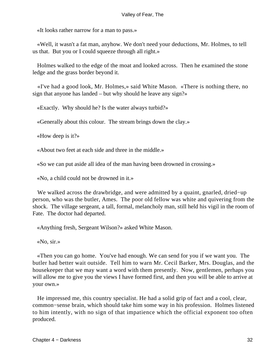«It looks rather narrow for a man to pass.»

 «Well, it wasn't a fat man, anyhow. We don't need your deductions, Mr. Holmes, to tell us that. But you or I could squeeze through all right.»

 Holmes walked to the edge of the moat and looked across. Then he examined the stone ledge and the grass border beyond it.

 «I've had a good look, Mr. Holmes,» said White Mason. «There is nothing there, no sign that anyone has landed – but why should he leave any sign?»

«Exactly. Why should he? Is the water always turbid?»

«Generally about this colour. The stream brings down the clay.»

«How deep is it?»

«About two feet at each side and three in the middle.»

«So we can put aside all idea of the man having been drowned in crossing.»

«No, a child could not be drowned in it.»

 We walked across the drawbridge, and were admitted by a quaint, gnarled, dried−up person, who was the butler, Ames. The poor old fellow was white and quivering from the shock. The village sergeant, a tall, formal, melancholy man, still held his vigil in the room of Fate. The doctor had departed.

«Anything fresh, Sergeant Wilson?» asked White Mason.

«No, sir.»

 «Then you can go home. You've had enough. We can send for you if we want you. The butler had better wait outside. Tell him to warn Mr. Cecil Barker, Mrs. Douglas, and the housekeeper that we may want a word with them presently. Now, gentlemen, perhaps you will allow me to give you the views I have formed first, and then you will be able to arrive at your own.»

 He impressed me, this country specialist. He had a solid grip of fact and a cool, clear, common−sense brain, which should take him some way in his profession. Holmes listened to him intently, with no sign of that impatience which the official exponent too often produced.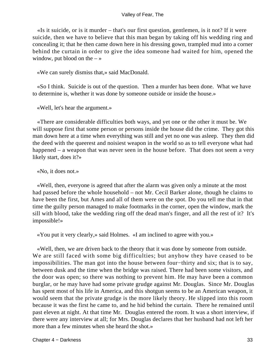«Is it suicide, or is it murder – that's our first question, gentlemen, is it not? If it were suicide, then we have to believe that this man began by taking off his wedding ring and concealing it; that he then came down here in his dressing gown, trampled mud into a corner behind the curtain in order to give the idea someone had waited for him, opened the window, put blood on the  $-\infty$ 

«We can surely dismiss that,» said MacDonald.

 «So I think. Suicide is out of the question. Then a murder has been done. What we have to determine is, whether it was done by someone outside or inside the house.»

«Well, let's hear the argument.»

 «There are considerable difficulties both ways, and yet one or the other it must be. We will suppose first that some person or persons inside the house did the crime. They got this man down here at a time when everything was still and yet no one was asleep. They then did the deed with the queerest and noisiest weapon in the world so as to tell everyone what had happened – a weapon that was never seen in the house before. That does not seem a very likely start, does it?»

«No, it does not.»

 «Well, then, everyone is agreed that after the alarm was given only a minute at the most had passed before the whole household – not Mr. Cecil Barker alone, though he claims to have been the first, but Ames and all of them were on the spot. Do you tell me that in that time the guilty person managed to make footmarks in the corner, open the window, mark the sill with blood, take the wedding ring off the dead man's finger, and all the rest of it? It's impossible!»

«You put it very clearly,» said Holmes. «I am inclined to agree with you.»

 «Well, then, we are driven back to the theory that it was done by someone from outside. We are still faced with some big difficulties; but anyhow they have ceased to be impossibilities. The man got into the house between four−thirty and six; that is to say, between dusk and the time when the bridge was raised. There had been some visitors, and the door was open; so there was nothing to prevent him. He may have been a common burglar, or he may have had some private grudge against Mr. Douglas. Since Mr. Douglas has spent most of his life in America, and this shotgun seems to be an American weapon, it would seem that the private grudge is the more likely theory. He slipped into this room because it was the first he came to, and he hid behind the curtain. There he remained until past eleven at night. At that time Mr. Douglas entered the room. It was a short interview, if there were any interview at all; for Mrs. Douglas declares that her husband had not left her more than a few minutes when she heard the shot.»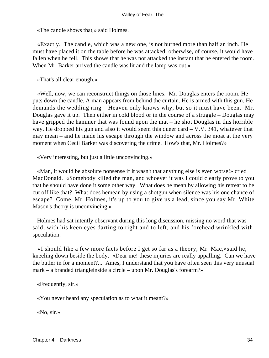«The candle shows that,» said Holmes.

 «Exactly. The candle, which was a new one, is not burned more than half an inch. He must have placed it on the table before he was attacked; otherwise, of course, it would have fallen when he fell. This shows that he was not attacked the instant that he entered the room. When Mr. Barker arrived the candle was lit and the lamp was out.»

«That's all clear enough.»

 «Well, now, we can reconstruct things on those lines. Mr. Douglas enters the room. He puts down the candle. A man appears from behind the curtain. He is armed with this gun. He demands the wedding ring – Heaven only knows why, but so it must have been. Mr. Douglas gave it up. Then either in cold blood or in the course of a struggle – Douglas may have gripped the hammer that was found upon the mat – he shot Douglas in this horrible way. He dropped his gun and also it would seem this queer card – V.V. 341, whatever that may mean – and he made his escape through the window and across the moat at the very moment when Cecil Barker was discovering the crime. How's that, Mr. Holmes?»

«Very interesting, but just a little unconvincing.»

 «Man, it would be absolute nonsense if it wasn't that anything else is even worse!» cried MacDonald. «Somebody killed the man, and whoever it was I could clearly prove to you that he should have done it some other way. What does he mean by allowing his retreat to be cut off like that? What does hemean by using a shotgun when silence was his one chance of escape? Come, Mr. Holmes, it's up to you to give us a lead, since you say Mr. White Mason's theory is unconvincing.»

 Holmes had sat intently observant during this long discussion, missing no word that was said, with his keen eyes darting to right and to left, and his forehead wrinkled with speculation.

 «I should like a few more facts before I get so far as a theory, Mr. Mac,»said he, kneeling down beside the body. «Dear me! these injuries are really appalling. Can we have the butler in for a moment?... Ames, I understand that you have often seen this very unusual mark – a branded triangleinside a circle – upon Mr. Douglas's forearm?»

«Frequently, sir.»

«You never heard any speculation as to what it meant?»

«No, sir.»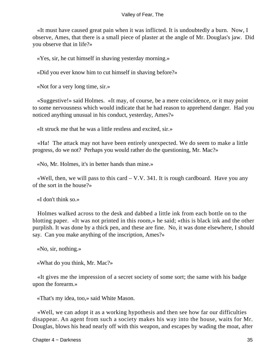«It must have caused great pain when it was inflicted. It is undoubtedly a burn. Now, I observe, Ames, that there is a small piece of plaster at the angle of Mr. Douglas's jaw. Did you observe that in life?»

«Yes, sir, he cut himself in shaving yesterday morning.»

«Did you ever know him to cut himself in shaving before?»

«Not for a very long time, sir.»

 «Suggestive!» said Holmes. «It may, of course, be a mere coincidence, or it may point to some nervousness which would indicate that he had reason to apprehend danger. Had you noticed anything unusual in his conduct, yesterday, Ames?»

«It struck me that he was a little restless and excited, sir.»

 «Ha! The attack may not have been entirely unexpected. We do seem to make a little progress, do we not? Perhaps you would rather do the questioning, Mr. Mac?»

«No, Mr. Holmes, it's in better hands than mine.»

«Well, then, we will pass to this card  $-$  V.V. 341. It is rough cardboard. Have you any of the sort in the house?»

«I don't think so.»

 Holmes walked across to the desk and dabbed a little ink from each bottle on to the blotting paper. «It was not printed in this room,» he said; «this is black ink and the other purplish. It was done by a thick pen, and these are fine. No, it was done elsewhere, I should say. Can you make anything of the inscription, Ames?»

«No, sir, nothing.»

«What do you think, Mr. Mac?»

 «It gives me the impression of a secret society of some sort; the same with his badge upon the forearm.»

«That's my idea, too,» said White Mason.

 «Well, we can adopt it as a working hypothesis and then see how far our difficulties disappear. An agent from such a society makes his way into the house, waits for Mr. Douglas, blows his head nearly off with this weapon, and escapes by wading the moat, after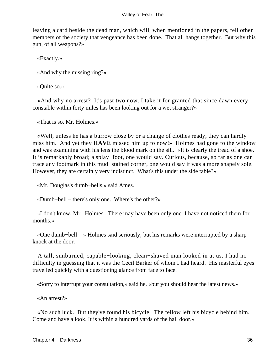leaving a card beside the dead man, which will, when mentioned in the papers, tell other members of the society that vengeance has been done. That all hangs together. But why this gun, of all weapons?»

«Exactly.»

«And why the missing ring?»

«Quite so.»

 «And why no arrest? It's past two now. I take it for granted that since dawn every constable within forty miles has been looking out for a wet stranger?»

«That is so, Mr. Holmes.»

 «Well, unless he has a burrow close by or a change of clothes ready, they can hardly miss him. And yet they **HAVE** missed him up to now!» Holmes had gone to the window and was examining with his lens the blood mark on the sill. «It is clearly the tread of a shoe. It is remarkably broad; a splay−foot, one would say. Curious, because, so far as one can trace any footmark in this mud−stained corner, one would say it was a more shapely sole. However, they are certainly very indistinct. What's this under the side table?»

«Mr. Douglas's dumb−bells,» said Ames.

«Dumb−bell – there's only one. Where's the other?»

 «I don't know, Mr. Holmes. There may have been only one. I have not noticed them for months.»

 «One dumb−bell – » Holmes said seriously; but his remarks were interrupted by a sharp knock at the door.

 A tall, sunburned, capable−looking, clean−shaved man looked in at us. I had no difficulty in guessing that it was the Cecil Barker of whom I had heard. His masterful eyes travelled quickly with a questioning glance from face to face.

«Sorry to interrupt your consultation,» said he, «but you should hear the latest news.»

«An arrest?»

 «No such luck. But they've found his bicycle. The fellow left his bicycle behind him. Come and have a look. It is within a hundred yards of the hall door.»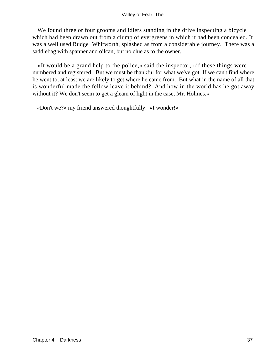We found three or four grooms and idlers standing in the drive inspecting a bicycle which had been drawn out from a clump of evergreens in which it had been concealed. It was a well used Rudge−Whitworth, splashed as from a considerable journey. There was a saddlebag with spanner and oilcan, but no clue as to the owner.

 «It would be a grand help to the police,» said the inspector, «if these things were numbered and registered. But we must be thankful for what we've got. If we can't find where he went to, at least we are likely to get where he came from. But what in the name of all that is wonderful made the fellow leave it behind? And how in the world has he got away without it? We don't seem to get a gleam of light in the case, Mr. Holmes.»

«Don't we?» my friend answered thoughtfully. «I wonder!»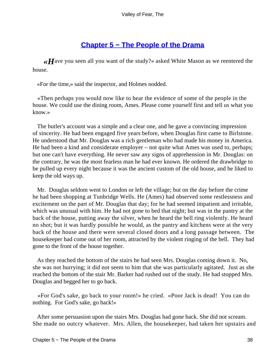# **[Chapter 5 − The People of the Drama](#page-149-0)**

*«H*ave you seen all you want of the study?» asked White Mason as we reentered the house.

«For the time,» said the inspector, and Holmes nodded.

 «Then perhaps you would now like to hear the evidence of some of the people in the house. We could use the dining room, Ames. Please come yourself first and tell us what you know.»

 The butler's account was a simple and a clear one, and he gave a convincing impression of sincerity. He had been engaged five years before, when Douglas first came to Birlstone. He understood that Mr. Douglas was a rich gentleman who had made his money in America. He had been a kind and considerate employer – not quite what Ames was used to, perhaps; but one can't have everything. He never saw any signs of apprehension in Mr. Douglas: on the contrary, he was the most fearless man he had ever known. He ordered the drawbridge to be pulled up every night because it was the ancient custom of the old house, and he liked to keep the old ways up.

 Mr. Douglas seldom went to London or left the village; but on the day before the crime he had been shopping at Tunbridge Wells. He (Ames) had observed some restlessness and excitement on the part of Mr. Douglas that day; for he had seemed impatient and irritable, which was unusual with him. He had not gone to bed that night; but was in the pantry at the back of the house, putting away the silver, when he heard the bell ring violently. He heard no shot; but it was hardly possible he would, as the pantry and kitchens were at the very back of the house and there were several closed doors and a long passage between. The housekeeper had come out of her room, attracted by the violent ringing of the bell. They had gone to the front of the house together.

 As they reached the bottom of the stairs he had seen Mrs. Douglas coming down it. No, she was not hurrying; it did not seem to him that she was particularly agitated. Just as she reached the bottom of the stair Mr. Barker had rushed out of the study. He had stopped Mrs. Douglas and begged her to go back.

 «For God's sake, go back to your room!» he cried. «Poor Jack is dead! You can do nothing. For God's sake, go back!»

 After some persuasion upon the stairs Mrs. Douglas had gone back. She did not scream. She made no outcry whatever. Mrs. Allen, the housekeeper, had taken her upstairs and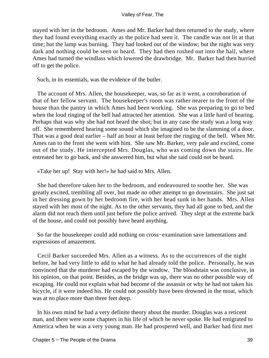stayed with her in the bedroom. Ames and Mr. Barker had then returned to the study, where they had found everything exactly as the police had seen it. The candle was not lit at that time; but the lamp was burning. They had looked out of the window; but the night was very dark and nothing could be seen or heard. They had then rushed out into the hall, where Ames had turned the windlass which lowered the drawbridge. Mr. Barker had then hurried off to get the police.

Such, in its essentials, was the evidence of the butler.

 The account of Mrs. Allen, the housekeeper, was, so far as it went, a corroboration of that of her fellow servant. The housekeeper's room was rather nearer to the front of the house than the pantry in which Ames had been working. She was preparing to go to bed when the loud ringing of the bell had attracted her attention. She was a little hard of hearing. Perhaps that was why she had not heard the shot; but in any case the study was a long way off. She remembered hearing some sound which she imagined to be the slamming of a door. That was a good deal earlier – half an hour at least before the ringing of the bell. When Mr. Ames ran to the front she went with him. She saw Mr. Barker, very pale and excited, come out of the study. He intercepted Mrs. Douglas, who was coming down the stairs. He entreated her to go back, and she answered him, but what she said could not be heard.

«Take her up! Stay with her!» he had said to Mrs. Allen.

 She had therefore taken her to the bedroom, and endeavoured to soothe her. She was greatly excited, trembling all over, but made no other attempt to go downstairs. She just sat in her dressing gown by her bedroom fire, with her head sunk in her hands. Mrs. Allen stayed with her most of the night. As to the other servants, they had all gone to bed, and the alarm did not reach them until just before the police arrived. They slept at the extreme back of the house, and could not possibly have heard anything.

 So far the housekeeper could add nothing on cross−examination save lamentations and expressions of amazement.

 Cecil Barker succeeded Mrs. Allen as a witness. As to the occurrences of the night before, he had very little to add to what he had already told the police. Personally, he was convinced that the murderer had escaped by the window. The bloodstain was conclusive, in his opinion, on that point. Besides, as the bridge was up, there was no other possible way of escaping. He could not explain what had become of the assassin or why he had not taken his bicycle, if it were indeed his. He could not possibly have been drowned in the moat, which was at no place more than three feet deep.

 In his own mind he had a very definite theory about the murder. Douglas was a reticent man, and there were some chapters in his life of which he never spoke. He had emigrated to America when he was a very young man. He had prospered well, and Barker had first met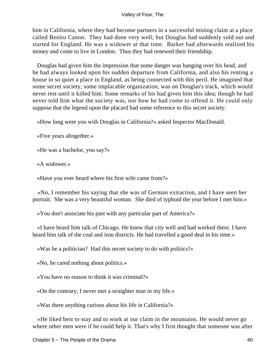him in California, where they had become partners in a successful mining claim at a place called Benito Canon. They had done very well; but Douglas had suddenly sold out and started for England. He was a widower at that time. Barker had afterwards realized his money and come to live in London. Thus they had renewed their friendship.

 Douglas had given him the impression that some danger was hanging over his head, and he had always looked upon his sudden departure from California, and also his renting a house in so quiet a place in England, as being connected with this peril. He imagined that some secret society, some implacable organization, was on Douglas's track, which would never rest until it killed him. Some remarks of his had given him this idea; though he had never told him what the society was, nor how he had come to offend it. He could only suppose that the legend upon the placard had some reference to this secret society.

«How long were you with Douglas in California?» asked Inspector MacDonald.

«Five years altogether.»

«He was a bachelor, you say?»

«A widower.»

«Have you ever heard where his first wife came from?»

 «No, I remember his saying that she was of German extraction, and I have seen her portrait. She was a very beautiful woman. She died of typhoid the year before I met him.»

«You don't associate his past with any particular part of America?»

 «I have heard him talk of Chicago. He knew that city well and had worked there. I have heard him talk of the coal and iron districts. He had travelled a good deal in his time.»

«Was he a politician? Had this secret society to do with politics?»

«No, he cared nothing about politics.»

«You have no reason to think it was criminal?»

«On the contrary, I never met a straighter man in my life.»

«Was there anything curious about his life in California?»

 «He liked best to stay and to work at our claim in the mountains. He would never go where other men were if he could help it. That's why I first thought that someone was after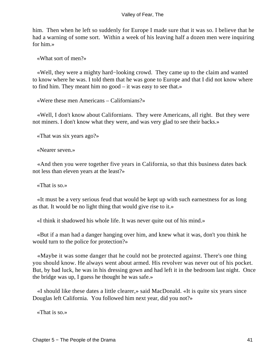him. Then when he left so suddenly for Europe I made sure that it was so. I believe that he had a warning of some sort. Within a week of his leaving half a dozen men were inquiring for him.»

«What sort of men?»

 «Well, they were a mighty hard−looking crowd. They came up to the claim and wanted to know where he was. I told them that he was gone to Europe and that I did not know where to find him. They meant him no good – it was easy to see that.»

«Were these men Americans – Californians?»

 «Well, I don't know about Californians. They were Americans, all right. But they were not miners. I don't know what they were, and was very glad to see their backs.»

«That was six years ago?»

«Nearer seven.»

 «And then you were together five years in California, so that this business dates back not less than eleven years at the least?»

«That is so.»

 «It must be a very serious feud that would be kept up with such earnestness for as long as that. It would be no light thing that would give rise to it.»

«I think it shadowed his whole life. It was never quite out of his mind.»

 «But if a man had a danger hanging over him, and knew what it was, don't you think he would turn to the police for protection?»

 «Maybe it was some danger that he could not be protected against. There's one thing you should know. He always went about armed. His revolver was never out of his pocket. But, by bad luck, he was in his dressing gown and had left it in the bedroom last night. Once the bridge was up, I guess he thought he was safe.»

 «I should like these dates a little clearer,» said MacDonald. «It is quite six years since Douglas left California. You followed him next year, did you not?»

«That is so.»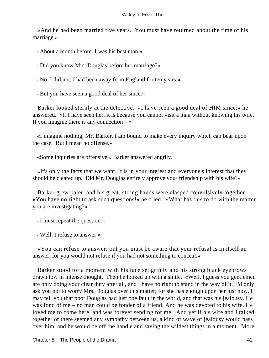«And he had been married five years. You must have returned about the time of his marriage.»

«About a month before. I was his best man.»

«Did you know Mrs. Douglas before her marriage?»

«No, I did not. I had been away from England for ten years.»

«But you have seen a good deal of her since.»

 Barker looked sternly at the detective. «I have seen a good deal of HIM since,» he answered. «If I have seen her, it is because you cannot visit a man without knowing his wife. If you imagine there is any connection  $-\infty$ 

 «I imagine nothing, Mr. Barker. I am bound to make every inquiry which can bear upon the case. But I mean no offense.»

«Some inquiries are offensive,» Barker answered angrily.

 «It's only the facts that we want. It is in your interest and everyone's interest that they should be cleared up. Did Mr. Douglas entirely approve your friendship with his wife?»

 Barker grew paler, and his great, strong hands were clasped convulsively together. «You have no right to ask such questions!» he cried. «What has this to do with the matter you are investigating?»

«I must repeat the question.»

«Well, I refuse to answer.»

 «You can refuse to answer; but you must be aware that your refusal is in itself an answer, for you would not refuse if you had not something to conceal.»

 Barker stood for a moment with his face set grimly and his strong black eyebrows drawn low in intense thought. Then he looked up with a smile. «Well, I guess you gentlemen are only doing your clear duty after all, and I have no right to stand in the way of it. I'd only ask you not to worry Mrs. Douglas over this matter; for she has enough upon her just now. I may tell you that poor Douglas had just one fault in the world, and that was his jealousy. He was fond of me – no man could be fonder of a friend. And he was devoted to his wife. He loved me to come here, and was forever sending for me. And yet if his wife and I talked together or there seemed any sympathy between us, a kind of wave of jealousy would pass over him, and he would be off the handle and saying the wildest things in a moment. More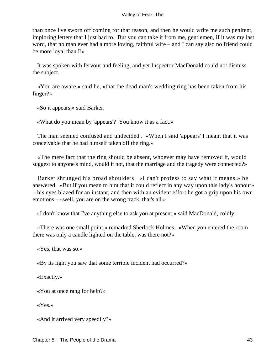than once I've sworn off coming for that reason, and then he would write me such penitent, imploring letters that I just had to. But you can take it from me, gentlemen, if it was my last word, that no man ever had a more loving, faithful wife – and I can say also no friend could be more loyal than I!»

 It was spoken with fervour and feeling, and yet Inspector MacDonald could not dismiss the subject.

 «You are aware,» said he, «that the dead man's wedding ring has been taken from his finger?»

«So it appears,» said Barker.

«What do you mean by 'appears'? You know it as a fact.»

 The man seemed confused and undecided . «When I said 'appears' I meant that it was conceivable that he had himself taken off the ring.»

 «The mere fact that the ring should be absent, whoever may have removed it, would suggest to anyone's mind, would it not, that the marriage and the tragedy were connected?»

 Barker shrugged his broad shoulders. «I can't profess to say what it means,» he answered. «But if you mean to hint that it could reflect in any way upon this lady's honour» – his eyes blazed for an instant, and then with an evident effort he got a grip upon his own emotions – «well, you are on the wrong track, that's all.»

«I don't know that I've anything else to ask you at present,» said MacDonald, coldly.

 «There was one small point,» remarked Sherlock Holmes. «When you entered the room there was only a candle lighted on the table, was there not?»

«Yes, that was so.»

«By its light you saw that some terrible incident had occurred?»

«Exactly.»

«You at once rang for help?»

«Yes.»

«And it arrived very speedily?»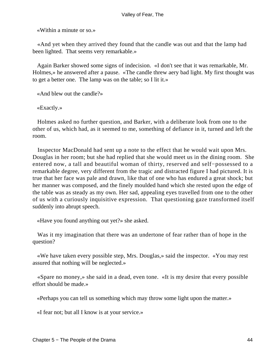«Within a minute or so.»

 «And yet when they arrived they found that the candle was out and that the lamp had been lighted. That seems very remarkable.»

 Again Barker showed some signs of indecision. «I don't see that it was remarkable, Mr. Holmes,» he answered after a pause. «The candle threw aery bad light. My first thought was to get a better one. The lamp was on the table; so I lit it.»

«And blew out the candle?»

«Exactly.»

 Holmes asked no further question, and Barker, with a deliberate look from one to the other of us, which had, as it seemed to me, something of defiance in it, turned and left the room.

 Inspector MacDonald had sent up a note to the effect that he would wait upon Mrs. Douglas in her room; but she had replied that she would meet us in the dining room. She entered now, a tall and beautiful woman of thirty, reserved and self−possessed to a remarkable degree, very different from the tragic and distracted figure I had pictured. It is true that her face was pale and drawn, like that of one who has endured a great shock; but her manner was composed, and the finely moulded hand which she rested upon the edge of the table was as steady as my own. Her sad, appealing eyes travelled from one to the other of us with a curiously inquisitive expression. That questioning gaze transformed itself suddenly into abrupt speech.

«Have you found anything out yet?» she asked.

 Was it my imagination that there was an undertone of fear rather than of hope in the question?

 «We have taken every possible step, Mrs. Douglas,» said the inspector. «You may rest assured that nothing will be neglected.»

 «Spare no money,» she said in a dead, even tone. «It is my desire that every possible effort should be made.»

«Perhaps you can tell us something which may throw some light upon the matter.»

«I fear not; but all I know is at your service.»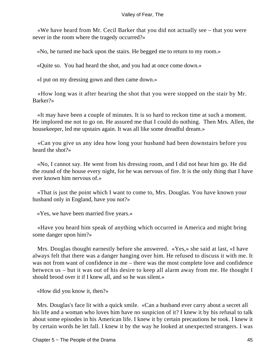«We have heard from Mr. Cecil Barker that you did not actually see – that you were never in the room where the tragedy occurred?»

«No, he turned me back upon the stairs. He begged me to return to my room.»

«Quite so. You had heard the shot, and you had at once come down.»

«I put on my dressing gown and then came down.»

 «How long was it after hearing the shot that you were stopped on the stair by Mr. Barker?»

 «It may have been a couple of minutes. It is so hard to reckon time at such a moment. He implored me not to go on. He assured me that I could do nothing. Then Mrs. Allen, the housekeeper, led me upstairs again. It was all like some dreadful dream.»

 «Can you give us any idea how long your husband had been downstairs before you heard the shot?»

 «No, I cannot say. He went from his dressing room, and I did not hear him go. He did the round of the house every night, for he was nervous of fire. It is the only thing that I have ever known him nervous of.»

 «That is just the point which I want to come to, Mrs. Douglas. You have known your husband only in England, have you not?»

«Yes, we have been married five years.»

 «Have you heard him speak of anything which occurred in America and might bring some danger upon him?»

 Mrs. Douglas thought earnestly before she answered. «Yes,» she said at last, «I have always felt that there was a danger hanging over him. He refused to discuss it with me. It was not from want of confidence in me – there was the most complete love and confidence betwecn us – but it was out of his desire to keep all alarm away from me. He thought I should brood over it if I knew all, and so he was silent.»

«How did you know it, then?»

 Mrs. Douglas's face lit with a quick smile. «Can a husband ever carry about a secret all his life and a woman who loves him have no suspicion of it? I knew it by his refusal to talk about some episodes in his American life. I knew it by certain precautions he took. I knew it by certain words he let fall. I knew it by the way he looked at unexpected strangers. I was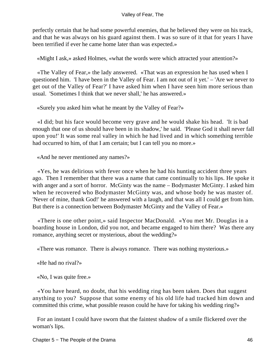perfectly certain that he had some powerful enemies, that he believed they were on his track, and that he was always on his guard against them. I was so sure of it that for years I have been terrified if ever he came home later than was expected.»

«Might I ask,» asked Holmes, «what the words were which attracted your attention?»

 «The Valley of Fear,» the lady answered. «That was an expression he has used when I questioned him. 'I have been in the Valley of Fear. I am not out of it yet.' – 'Are we never to get out of the Valley of Fear?' I have asked him when I have seen him more serious than usual. 'Sometimes I think that we never shall,' he has answered.»

«Surely you asked him what he meant by the Valley of Fear?»

 «I did; but his face would become very grave and he would shake his head. 'It is bad enough that one of us should have been in its shadow,' he said. 'Please God it shall never fall upon you!' It was some real valley in which he had lived and in which something terrible had occurred to him, of that I am certain; but I can tell you no more.»

«And he never mentioned any names?»

 «Yes, he was delirious with fever once when he had his hunting accident three years ago. Then I remember that there was a name that came continually to his lips. He spoke it with anger and a sort of horror. McGinty was the name – Bodymaster McGinty. I asked him when he recovered who Bodymaster McGinty was, and whose body he was master of. 'Never of mine, thank God!' he answered with a laugh, and that was all I could get from him. But there is a connection between Bodymaster McGinty and the Valley of Fear.»

 «There is one other point,» said Inspector MacDonald. «You met Mr. Douglas in a boarding house in London, did you not, and became engaged to him there? Was there any romance, anything secret or mysterious, about the wedding?»

«There was romance. There is always romance. There was nothing mysterious.»

«He had no rival?»

«No, I was quite free.»

 «You have heard, no doubt, that his wedding ring has been taken. Does that suggest anything to you? Suppose that some enemy of his old life had tracked him down and committed this crime, what possible reason could he have for taking his wedding ring?»

 For an instant I could have sworn that the faintest shadow of a smile flickered over the woman's lips.

Chapter 5 − The People of the Drama 46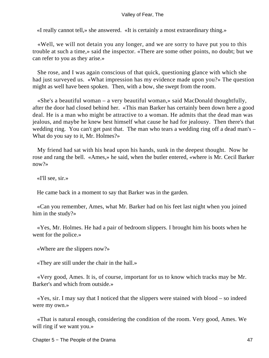«I really cannot tell,» she answered. «It is certainly a most extraordinary thing.»

 «Well, we will not detain you any longer, and we are sorry to have put you to this trouble at such a time,» said the inspector. «There are some other points, no doubt; but we can refer to you as they arise.»

 She rose, and I was again conscious of that quick, questioning glance with which she had just surveyed us. «What impression has my evidence made upon you?» The question might as well have been spoken. Then, with a bow, she swept from the room.

 «She's a beautiful woman – a very beautiful woman,» said MacDonald thoughtfully, after the door had closed behind her. «This man Barker has certainly been down here a good deal. He is a man who might be attractive to a woman. He admits that the dead man was jealous, and maybe he knew best himself what cause he had for jealousy. Then there's that wedding ring. You can't get past that. The man who tears a wedding ring off a dead man's – What do you say to it, Mr. Holmes?»

 My friend had sat with his head upon his hands, sunk in the deepest thought. Now he rose and rang the bell. «Ames,» he said, when the butler entered, «where is Mr. Cecil Barker now?»

«I'll see, sir.»

He came back in a moment to say that Barker was in the garden.

 «Can you remember, Ames, what Mr. Barker had on his feet last night when you joined him in the study?»

 «Yes, Mr. Holmes. He had a pair of bedroom slippers. I brought him his boots when he went for the police.»

«Where are the slippers now?»

«They are still under the chair in the hall.»

 «Very good, Ames. It is, of course, important for us to know which tracks may be Mr. Barker's and which from outside.»

 «Yes, sir. I may say that I noticed that the slippers were stained with blood – so indeed were my own.»

 «That is natural enough, considering the condition of the room. Very good, Ames. We will ring if we want you.»

Chapter 5 − The People of the Drama 47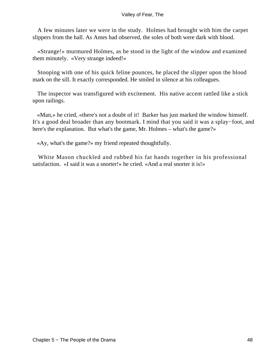A few minutes later we were in the study. Holmes had brought with him the carpet slippers from the hall. As Ames had observed, the soles of both were dark with blood.

 «Strange!» murmured Holmes, as he stood in the light of the window and examined them minutely. «Very strange indeed!»

 Stooping with one of his quick feline pounces, he placed the slipper upon the blood mark on the sill. It exactly corresponded. He smiled in silence at his colleagues.

 The inspector was transfigured with excitement. His native accent rattled like a stick upon railings.

 «Man,» he cried, «there's not a doubt of it! Barker has just marked the window himself. It's a good deal broader than any bootmark. I mind that you said it was a splay−foot, and here's the explanation. But what's the game, Mr. Holmes – what's the game?»

«Ay, what's the game?» my friend repeated thoughtfully.

 White Mason chuckled and rubbed his fat hands together in his professional satisfaction. «I said it was a snorter!» he cried. «And a real snorter it is!»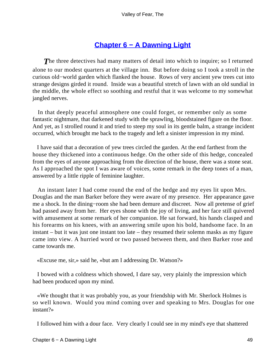# **[Chapter 6 − A Dawning Light](#page-149-0)**

**The three detectives had many matters of detail into which to inquire; so I returned** alone to our modest quarters at the village inn. But before doing so I took a stroll in the curious old−world garden which flanked the house. Rows of very ancient yew trees cut into strange designs girded it round. Inside was a beautiful stretch of lawn with an old sundial in the middle, the whole effect so soothing and restful that it was welcome to my somewhat jangled nerves.

 In that deeply peaceful atmosphere one could forget, or remember only as some fantastic nightmare, that darkened study with the sprawling, bloodstained figure on the floor. And yet, as I strolled round it and tried to steep my soul in its gentle balm, a strange incident occurred, which brought me back to the tragedy and left a sinister impression in my mind.

 I have said that a decoration of yew trees circled the garden. At the end farthest from the house they thickened into a continuous hedge. On the other side of this hedge, concealed from the eyes of anyone approaching from the direction of the house, there was a stone seat. As I approached the spot I was aware of voices, some remark in the deep tones of a man, answered by a little ripple of feminine laughter.

 An instant later I had come round the end of the hedge and my eyes lit upon Mrs. Douglas and the man Barker before they were aware of my presence. Her appearance gave me a shock. In the dining−room she had been demure and discreet. Now all pretense of grief had passed away from her. Her eyes shone with the joy of living, and her face still quivered with amusement at some remark of her companion. He sat forward, his hands clasped and his forearms on his knees, with an answering smile upon his bold, handsome face. In an instant – but it was just one instant too late – they resumed their solemn masks as my figure came into view. A hurried word or two passed between them, and then Barker rose and came towards me.

«Excuse me, sir,» said he, «but am I addressing Dr. Watson?»

 I bowed with a coldness which showed, I dare say, very plainly the impression which had been produced upon my mind.

 «We thought that it was probably you, as your friendship with Mr. Sherlock Holmes is so well known. Would you mind coming over and speaking to Mrs. Douglas for one instant?»

I followed him with a dour face. Very clearly I could see in my mind's eye that shattered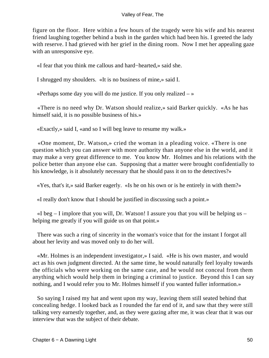figure on the floor. Here within a few hours of the tragedy were his wife and his nearest friend laughing together behind a bush in the garden which had been his. I greeted the lady with reserve. I had grieved with her grief in the dining room. Now I met her appealing gaze with an unresponsive eye.

«I fear that you think me callous and hard−hearted,» said she.

I shrugged my shoulders. «It is no business of mine,» said I.

«Perhaps some day you will do me justice. If you only realized  $-\infty$ 

 «There is no need why Dr. Watson should realize,» said Barker quickly. «As he has himself said, it is no possible business of his.»

«Exactly,» said I, «and so I will beg leave to resume my walk.»

 «One moment, Dr. Watson,» cried the woman in a pleading voice. «There is one question which you can answer with more authority than anyone else in the world, and it may make a very great difference to me. You know Mr. Holmes and his relations with the police better than anyone else can. Supposing that a matter were brought confidentially to his knowledge, is it absolutely necessary that he should pass it on to the detectives?»

«Yes, that's it,» said Barker eagerly. «Is he on his own or is he entirely in with them?»

«I really don't know that I should be justified in discussing such a point.»

 $\ll$ I beg – I implore that you will, Dr. Watson! I assure you that you will be helping us – helping me greatly if you will guide us on that point.»

 There was such a ring of sincerity in the woman's voice that for the instant I forgot all about her levity and was moved only to do her will.

 «Mr. Holmes is an independent investigator,» I said. «He is his own master, and would act as his own judgment directed. At the same time, he would naturally feel loyalty towards the officials who were working on the same case, and he would not conceal from them anything which would help them in bringing a criminal to justice. Beyond this I can say nothing, and I would refer you to Mr. Holmes himself if you wanted fuller information.»

 So saying I raised my hat and went upon my way, leaving them still seated behind that concealing hedge. I looked back as I rounded the far end of it, and saw that they were still talking very earnestly together, and, as they were gazing after me, it was clear that it was our interview that was the subject of their debate.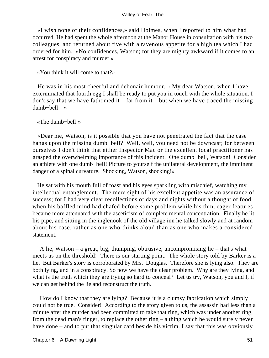«I wish none of their confidences,» said Holmes, when I reported to him what had occurred. He had spent the whole afternoon at the Manor House in consultation with his two colleagues, and returned about five with a ravenous appetite for a high tea which I had ordered for him. «No confidences, Watson; for they are mighty awkward if it comes to an arrest for conspiracy and murder.»

# «You think it will come to that?»

 He was in his most cheerful and debonair humour. «My dear Watson, when I have exterminated that fourth egg I shall be ready to put you in touch with the whole situation. I don't say that we have fathomed it – far from it – but when we have traced the missing dumb−bell – »

# «The dumb−bell!»

 «Dear me, Watson, is it possible that you have not penetrated the fact that the case hangs upon the missing dumb−bell? Well, well, you need not be downcast; for between ourselves I don't think that either Inspector Mac or the excellent local practitioner has grasped the overwhelming importance of this incident. One dumb−bell, Watson! Consider an athlete with one dumb−bell! Picture to yourself the unilateral development, the imminent danger of a spinal curvature. Shocking, Watson, shocking!»

 He sat with his mouth full of toast and his eyes sparkling with mischief, watching my intellectual entanglement. The mere sight of his excellent appetite was an assurance of success; for I had very clear recollections of days and nights without a thought of food, when his baffled mind had chafed before some problem while his thin, eager features became more attenuated with the asceticism of complete mental concentration. Finally he lit his pipe, and sitting in the inglenook of the old village inn he talked slowly and at random about his case, rather as one who thinks aloud than as one who makes a considered statement.

 "A lie, Watson – a great, big, thumping, obtrusive, uncompromising lie – that's what meets us on the threshold! There is our starting point. The whole story told by Barker is a lie. But Barker's story is corroborated by Mrs. Douglas. Therefore she is lying also. They are both lying, and in a conspiracy. So now we have the clear problem. Why are they lying, and what is the truth which they are trying so hard to conceal? Let us try, Watson, you and I, if we can get behind the lie and reconstruct the truth.

 "How do I know that they are lying? Because it is a clumsy fabrication which simply could not be true. Consider! According to the story given to us, the assassin had less than a minute after the murder had been committed to take that ring, which was under another ring, from the dead man's finger, to replace the other ring – a thing which he would surely never have done – and to put that singular card beside his victim. I say that this was obviously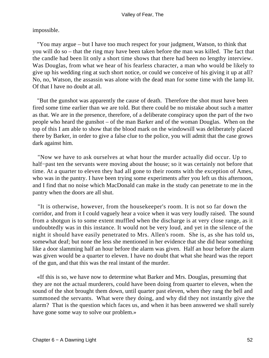impossible.

 "You may argue – but I have too much respect for your judgment, Watson, to think that you will do so – that the ring may have been taken before the man was killed. The fact that the candle had been lit only a short time shows that there had been no lengthy interview. Was Douglas, from what we hear of his fearless character, a man who would be likely to give up his wedding ring at such short notice, or could we conceive of his giving it up at all? No, no, Watson, the assassin was alone with the dead man for some time with the lamp lit. Of that I have no doubt at all.

 "But the gunshot was apparently the cause of death. Therefore the shot must have been fired some time earlier than we are told. But there could be no mistake about such a matter as that. We are in the presence, therefore, of a deliberate conspiracy upon the part of the two people who heard the gunshot – of the man Barker and of the woman Douglas. When on the top of this I am able to show that the blood mark on the windowsill was deliberately placed there by Barker, in order to give a false clue to the police, you will admit that the case grows dark against him.

 "Now we have to ask ourselves at what hour the murder actually did occur. Up to half–past ten the servants were moving about the house; so it was certainly not before that time. At a quarter to eleven they had all gone to their rooms with the exception of Ames, who was in the pantry. I have been trying some experiments after you left us this afternoon, and I find that no noise which MacDonald can make in the study can penetrate to me in the pantry when the doors are all shut.

 "It is otherwise, however, from the housekeeper's room. It is not so far down the corridor, and from it I could vaguely hear a voice when it was very loudly raised. The sound from a shotgun is to some extent muffled when the discharge is at very close range, as it undoubtedly was in this instance. It would not be very loud, and yet in the silence of the night it should have easily penetrated to Mrs. Allen's room. She is, as she has told us, somewhat deaf; but none the less she mentioned in her evidence that she did hear something like a door slamming half an hour before the alarm was given. Half an hour before the alarm was given would be a quarter to eleven. I have no doubt that what she heard was the report of the gun, and that this was the real instant of the murder.

 «If this is so, we have now to determine what Barker and Mrs. Douglas, presuming that they are not the actual murderers, could have been doing from quarter to eleven, when the sound of the shot brought them down, until quarter past eleven, when they rang the bell and summoned the servants. What were they doing, and why did they not instantly give the alarm? That is the question which faces us, and when it has been answered we shall surely have gone some way to solve our problem.»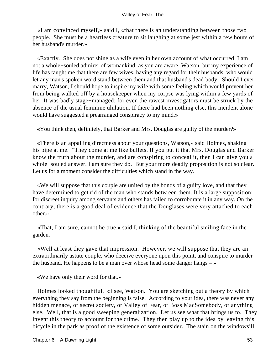«I am convinced myself,» said I, «that there is an understanding between those two people. She must be a heartless creature to sit laughing at some jest within a few hours of her husband's murder.»

 «Exactly. She does not shine as a wife even in her own account of what occurred. I am not a whole−souled admirer of womankind, as you are aware, Watson, but my experience of life has taught me that there are few wives, having any regard for their husbands, who would let any man's spoken word stand between them and that husband's dead body. Should I ever marry, Watson, I should hope to inspire my wife with some feeling which would prevent her from being walked off by a housekeeper when my corpse was lying within a few yards of her. It was badly stage−managed; for even the rawest investigators must be struck by the absence of the usual feminine ululation. If there had been nothing else, this incident alone would have suggested a prearranged conspiracy to my mind.»

«You think then, definitely, that Barker and Mrs. Douglas are guilty of the murder?»

 «There is an appalling directness about your questions, Watson,» said Holmes, shaking his pipe at me. "They come at me like bullets. If you put it that Mrs. Douglas and Barker know the truth about the murder, and are conspiring to conceal it, then I can give you a whole−souled answer. I am sure they do. But your more deadly proposition is not so clear. Let us for a moment consider the difficulties which stand in the way.

 «We will suppose that this couple are united by the bonds of a guilty love, and that they have determined to get rid of the man who stands betw een them. It is a large supposition; for discreet inquiry among servants and others has failed to corroborate it in any way. On the contrary, there is a good deal of evidence that the Douglases were very attached to each other.»

 «That, I am sure, cannot he true,» said I, thinking of the beautiful smiling face in the garden.

 «Well at least they gave that impression. However, we will suppose that they are an extraordinarily astute couple, who deceive everyone upon this point, and conspire to murder the husband. He happens to be a man over whose head some danger hangs  $-\infty$ 

«We have only their word for that.»

 Holmes looked thoughtful. «I see, Watson. You are sketching out a theory by which everything they say from the beginning is false. According to your idea, there was never any hidden menace, or secret society, or Valley of Fear, or Boss MacSomebody, or anything else. Well, that is a good sweeping generalization. Let us see what that brings us to. They invent this theory to account for the crime. They then play up to the idea by leaving this bicycle in the park as proof of the existence of some outsider. The stain on the windowsill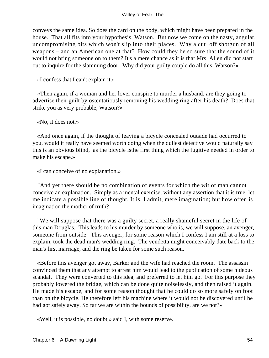conveys the same idea. So does the card on the body, which might have been prepared in the house. That all fits into your hypothesis, Watson. But now we come on the nasty, angular, uncompromising bits which won't slip into their places. Why a cut−off shotgun of all weapons – and an American one at that? How could they be so sure that the sound of it would not bring someone on to them? It's a mere chance as it is that Mrs. Allen did not start out to inquire for the slamming door. Why did your guilty couple do all this, Watson?»

«I confess that I can't explain it.»

 «Then again, if a woman and her lover conspire to murder a husband, are they going to advertise their guilt by ostentatiously removing his wedding ring after his death? Does that strike you as very probable, Watson?»

«No, it does not.»

 «And once again, if the thought of leaving a bicycle concealed outside had occurred to you, would it really have seemed worth doing when the dullest detective would naturally say this is an obvious blind, as the bicycle isthe first thing which the fugitive needed in order to make his escape.»

«I can conceive of no explanation.»

 "And yet there should be no combination of events for which the wit of man cannot conceive an explanation. Simply as a mental exercise, without any assertion that it is true, let me indicate a possible line of thought. It is, I admit, mere imagination; but how often is imagination the mother of truth?

 "We will suppose that there was a guilty secret, a really shameful secret in the life of this man Douglas. This leads to his murder by someone who is, we will suppose, an avenger, someone from outside. This avenger, for some reason which I confess I am still at a loss to explain, took the dead man's wedding ring. The vendetta might conceivably date back to the man's first marriage, and the ring be taken for some such reason.

 «Before this avenger got away, Barker and the wife had reached the room. The assassin convinced them that any attempt to arrest him would lead to the publication of some hideous scandal. They were converted to this idea, and preferred to let him go. For this purpose they probably lowered the bridge, which can be done quite noiselessly, and then raised it again. He made his escape, and for some reason thought that he could do so more safely on foot than on the bicycle. He therefore left his machine where it would not be discovered until he had got safely away. So far we are within the bounds of possibility, are we not?»

«Well, it is possible, no doubt,» said I, with some reserve.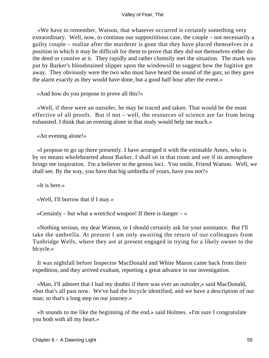«We have to remember, Watson, that whatever occurred is certainly something very extraordinary. Well, now, to continue our supposititious case, the couple – not necessarily a guilty couple – realize after the murderer is gone that they have placed themselves in a position in which it may be difficult for them to prove that they did not themselves either do the deed or connive at it. They rapidly and rather clumsily met the situation. The mark was put by Barker's bloodstained slipper upon the windowsill to suggest how the fugitive got away. They obviously were the two who must have heard the sound of the gun; so they gave the alarm exactly as they would have done, but a good half hour after the event.»

«And how do you propose to prove all this?»

 «Well, if there were an outsider, he may be traced and taken. That would be the most effective of all proofs. But if not – well, the resources of science are far from being exhausted. I think that an evening alone in that study would help me much.»

«An evening alone!»

 «I propose to go up there presently. I have arranged it with the estimable Ames, who is by no means wholehearted about Barker. I shall sit in that room and see if its atmosphere brings me inspiration. I'm a believer in the genius loci. You smile, Friend Watson. Well, we shall see. By the way, you have that big umbrella of yours, have you not?»

«It is here.»

«Well, I'll borrow that if I may.»

«Certainly – but what a wretchcd weapon! If there is danger  $-\infty$ 

 «Nothing serious, my dear Watson, or I should certainly ask for your assistance. But I'll take the umbrella. At present I am only awaiting the return of our colleagues from Tunbridge Wells, where they are at present engaged in trying for a likely owner to the blcycle.»

 It was nightfall before Inspector MacDonald and White Mason came back from their expedition, and they arrived exultant, reporting a great advance in our investigation.

 «Man, I'll admeet that I had my doubts if there was ever an outsider,» said MacDonald, «but that's all past now. We've had the bicycle identified, and we have a description of our man; so that's a long step on our journey.»

 «It sounds to me like the beginning of the end,» said Holmes. «I'm sure I congratulate you both with all my heart.»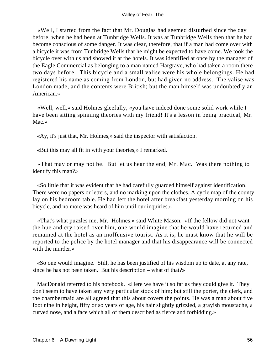«Well, I started from the fact that Mr. Douglas had seemed disturbed since the day before, when he had been at Tunbridge Wells. It was at Tunbridge Wells then that he had become conscious of some danger. It was clear, therefore, that if a man had come over with a bicycle it was from Tunbridge Wells that he might be expected to have come. We took the bicycle over with us and showed it at the hotels. It was identified at once by the manager of the Eagle Commercial as belonging to a man named Hargrave, who had taken a room there two days before. This bicycle and a small valise were his whole belongings. He had registered his name as coming from London, but had given no address. The valise was London made, and the contents were British; but the man himself was undoubtedly an American.»

 «Well, well,» said Holmes gleefully, «you have indeed done some solid work while I have been sitting spinning theories with my friend! It's a lesson in being practical, Mr. Mac.»

«Ay, it's just that, Mr. Holmes,» said the inspector with satisfaction.

«But this may all fit in with your theories,» I remarked.

 «That may or may not be. But let us hear the end, Mr. Mac. Was there nothing to identify this man?»

 «So little that it was evident that he had carefully guarded himself against identification. There were no papers or letters, and no marking upon the clothes. A cycle map of the county lay on his bedroom table. He had left the hotel after breakfast yesterday morning on his bicycle, and no more was heard of him until our inquiries.»

 «That's what puzzles me, Mr. Holmes,» said White Mason. «If the fellow did not want the hue and cry raised over him, one would imagine that he would have returned and remained at the hotel as an inoffensive tourist. As it is, he must know that he will be reported to the police by the hotel manager and that his disappearance will be connected with the murder.»

 «So one would imagine. Still, he has been justified of his wisdom up to date, at any rate, since he has not been taken. But his description – what of that?»

 MacDonald referred to his notebook. «Here we have it so far as they could give it. They don't seem to have taken any very particular stock of him; but still the porter, the clerk, and the chambermaid are all agreed that this about covers the points. He was a man about five foot nine in height, fifty or so years of age, his hair slightly grizzled, a grayish moustache, a curved nose, and a face which all of them described as fierce and forbidding.»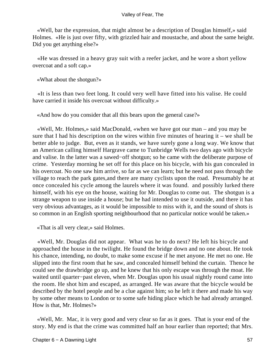«Well, bar the expression, that might almost be a description of Douglas himself,» said Holmes. «He is just over fifty, with grizzled hair and moustache, and about the same height. Did you get anything else?»

 «He was dressed in a heavy gray suit with a reefer jacket, and he wore a short yellow overcoat and a soft cap.»

«What about the shotgun?»

 «It is less than two feet long. It could very well have fitted into his valise. He could have carried it inside his overcoat without difficulty.»

«And how do you consider that all this bears upon the general case?»

 «Well, Mr. Holmes,» said MacDonald, «when we have got our man – and you may be sure that I had his description on the wires within five minutes of hearing it – we shall be better able to judge. But, even as it stands, we have surely gone a long way. We know that an American calling himself Hargrave came to Tunbridge Wells two days ago with bicycle and valise. In the latter was a sawed−off shotgun; so he came with the deliberate purpose of crime. Yesterday morning he set off for this place on his bicycle, with his gun concealed in his overcoat. No one saw him arrive, so far as we can learn; but he need not pass through the village to reach the park gates,and there are many cyclists upon the road. Presumably he at once concealed his cycle among the laurels where it was found. and possibly lurked there himself, with his eye on the house, waiting for Mr. Douglas to come out. The shotgun is a strange weapon to use inside a house; but he had intended to use it outside, and there it has very obvious advantages, as it would be impossible to miss with it, and the sound of shots is so common in an English sporting neighbourhood that no particular notice would be taken.»

«That is all very clear,» said Holmes.

 «Well, Mr. Douglas did not appear. What was he to do next? He left his bicycle and approached the house in the twilight. He found the bridge down and no one about. He took his chance, intending, no doubt, to make some excuse if he met anyone. He met no one. He slipped into the first room that he saw, and concealed himself behind the curtain. Thence he could see the drawbridge go up, and he knew that his only escape was through the moat. He waited until quarter−past eleven, when Mr. Douglas upon his usual nightly round came into the room. He shot him and escaped, as arranged. He was aware that the bicycle would be described by the hotel people and be a clue against him; so he left it there and made his way by some other means to London or to some safe hiding place which he had already arranged. How is that, Mr. Holmes?»

 «Well, Mr. Mac, it is very good and very clear so far as it goes. That is your end of the story. My end is that the crime was committed half an hour earlier than reported; that Mrs.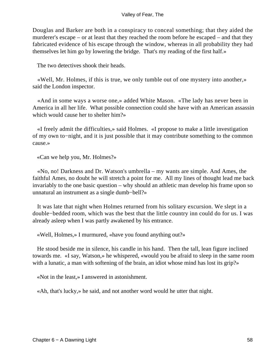Douglas and Barker are both in a conspiracy to conceal something; that they aided the murderer's escape – or at least that they reached the room before he escaped – and that they fabricated evidence of his escape through the window, whereas in all probability they had themselves let him go by lowering the bridge. That's my reading of the first half.»

The two detectives shook their heads.

 «Well, Mr. Holmes, if this is true, we only tumble out of one mystery into another,» said the London inspector.

 «And in some ways a worse one,» added White Mason. «The lady has never been in America in all her life. What possible connection could she have with an American assassin which would cause her to shelter him?»

 «I freely admit the difficulties,» said Holmes. «I propose to make a little investigation of my own to−night, and it is just possible that it may contribute something to the common cause.»

«Can we help you, Mr. Holmes?»

 «No, no! Darkness and Dr. Watson's umbrella – my wants are simple. And Ames, the faithful Ames, no doubt he will stretch a point for me. All my lines of thought lead me back invariably to the one basic question – why should an athletic man develop his frame upon so unnatural an instrument as a single dumb−bell?»

 It was late that night when Holmes returned from his solitary excursion. We slept in a double−bedded room, which was the best that the little country inn could do for us. I was already asleep when I was partly awakened by his entrance.

«Well, Holmes,» I murmured, «have you found anything out?»

 He stood beside me in silence, his candle in his hand. Then the tall, lean figure inclined towards me. «I say, Watson,» he whispered, «would you be afraid to sleep in the same room with a lunatic, a man with softening of the brain, an idiot whose mind has lost its grip?»

«Not in the least,» I answered in astonishment.

«Ah, that's lucky,» he said, and not another word would he utter that night.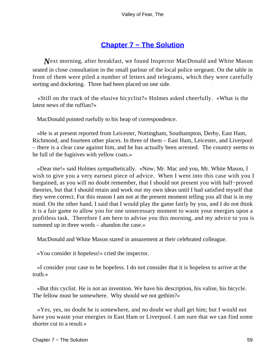# **[Chapter 7 − The Solution](#page-149-0)**

*N*ext morning, after breakfast, we found Inspector MacDonald and White Mason seated in close consultation in the small parlour of the local police sergeant. On the table in front of them were piled a number of letters and telegrams, which they were carefully sorting and docketing. Three had been placed on one side.

 «Still on the track of the elusive bicyclist?» Holmes asked cheerfully. «What is the latest news of the ruffian?»

MacDonald pointed ruefully to his heap of correspondence.

 «He is at present reported from Leicester, Nottingham, Southampton, Derby, East Ham, Richmond, and fourteen other places. In three of them – East Ham, Leicester, and Liverpool – there is a clear case against him, and he has actually been arrested. The country seems to be full of the fugitives with yellow coats.»

 «Dear me!» said Holmes sympathetically. «Now, Mr. Mac and you, Mr. White Mason, I wish to give you a very earnest piece of advice. When I went into this case with you I bargained, as you will no doubt remember, that I should not present you with half−proved theories, but that I should retain and work out my own ideas until I had satisfied myself that they were correct. For this reason I am not at the present moment telling you all that is in my mind. On the other hand, I said that I would play the game fairly by you, and I do not think it is a fair game to allow you for one unnecessary moment to waste your energies upon a profitless task. Therefore I am here to advise you this morning, and my advice to you is summed up in three words – abandon the case.»

MacDonald and White Mason stared in amazement at their celebrated colleague.

«You consider it hopeless!» cried the inspector.

 «I consider your case to be hopeless. I do not consider that it is hopeless to arrive at the truth.»

 «But this cyclist. He is not an invention. We have his description, his valise, his bicycle. The fellow must be somewhere. Why should we not gethim?»

 «Yes, yes, no doubt he is somewhere, and no doubt we shall get him; but I would not have you waste your energies in East Ham or Liverpool. I am sure that we can find some shorter cut to a result.»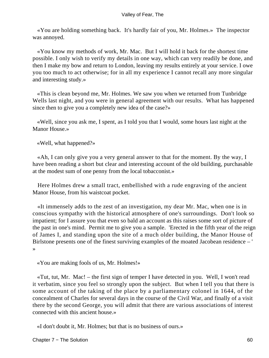«You are holding something back. It's hardly fair of you, Mr. Holmes.» The inspector was annoyed.

 «You know my methods of work, Mr. Mac. But I will hold it back for the shortest time possible. I only wish to verify my details in one way, which can very readily be done, and then I make my bow and return to London, leaving my results entirely at your service. I owe you too much to act otherwise; for in all my experience I cannot recall any more singular and interesting study.»

 «This is clean beyond me, Mr. Holmes. We saw you when we returned from Tunbridge Wells last night, and you were in general agreement with our results. What has happened since then to give you a completely new idea of the case?»

 «Well, since you ask me, I spent, as I told you that I would, some hours last night at the Manor House.»

«Well, what happened?»

 «Ah, I can only give you a very general answer to that for the moment. By the way, I have been reading a short but clear and interesting account of the old building, purchasable at the modest sum of one penny from the local tobacconist.»

 Here Holmes drew a small tract, embellished with a rude engraving of the ancient Manor House, from his waistcoat pocket.

 «It immensely adds to the zest of an investigation, my dear Mr. Mac, when one is in conscious sympathy with the historical atmosphere of one's surroundings. Don't look so impatient; for I assure you that even so bald an account as this raises some sort of picture of the past in one's mind. Permit me to give you a sample. 'Erected in the fifth year of the reign of James I, and standing upon the site of a much older building, the Manor House of Birlstone presents one of the finest surviving examples of the moated Jacobean residence – ' »

«You are making fools of us, Mr. Holmes!»

 «Tut, tut, Mr. Mac! – the first sign of temper I have detected in you. Well, I won't read it verbatim, since you feel so strongly upon the subject. But when I tell you that there is some account of the taking of the place by a parliamentary colonel in 1644, of the concealment of Charles for several days in the course of the Civil War, and finally of a visit there by the second George, you will admit that there are various associations of interest connected with this ancient house.»

«I don't doubt it, Mr. Holmes; but that is no business of ours.»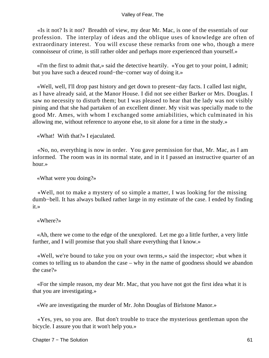«Is it not? Is it not? Breadth of view, my dear Mr. Mac, is one of the essentials of our profession. The interplay of ideas and the oblique uses of knowledge are often of extraordinary interest. You will excuse these remarks from one who, though a mere connoisseur of crime, is still rather older and perhaps more experienced than yourself.»

 «I'm the first to admit that,» said the detective heartily. «You get to your point, I admit; but you have such a deuced round−the−corner way of doing it.»

 «Well, well, I'll drop past history and get down to present−day facts. I called last night, as I have already said, at the Manor House. I did not see either Barker or Mrs. Douglas. I saw no necessity to disturb them; but I was pleased to hear that the lady was not visibly pining and that she had partaken of an excellent dinner. My visit was specially made to the good Mr. Ames, with whom I exchanged some amiabilities, which culminated in his allowing me, without reference to anyone else, to sit alone for a time in the study.»

«What! With that?» I ejaculated.

 «No, no, everything is now in order. You gave permission for that, Mr. Mac, as I am informed. The room was in its normal state, and in it I passed an instructive quarter of an hour.»

«What were you doing?»

 «Well, not to make a mystery of so simple a matter, I was looking for the missing dumb−bell. It has always bulked rather large in my estimate of the case. I ended by finding it.»

«Where?»

 «Ah, there we come to the edge of the unexplored. Let me go a little further, a very little further, and I will promise that you shall share everything that I know.»

 «Well, we're bound to take you on your own terms,» said the inspector; «but when it comes to telling us to abandon the case – why in the name of goodness should we abandon the case?»

 «For the simple reason, my dear Mr. Mac, that you have not got the first idea what it is that you are investigating.»

«We are investigating the murder of Mr. John Douglas of Birlstone Manor.»

 «Yes, yes, so you are. But don't trouble to trace the mysterious gentleman upon the bicycle. I assure you that it won't help you.»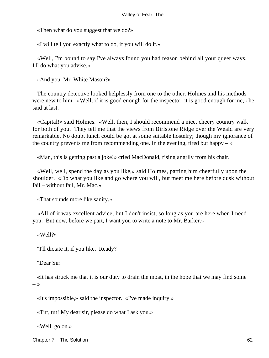«Then what do you suggest that we do?»

«I will tell you exactly what to do, if you will do it.»

 «Well, I'm bound to say I've always found you had reason behind all your queer ways. I'll do what you advise.»

«And you, Mr. White Mason?»

 The country detective looked helplessly from one to the other. Holmes and his methods were new to him. «Well, if it is good enough for the inspector, it is good enough for me,» he said at last.

 «Capital!» said Holmes. «Well, then, I should recommend a nice, cheery country walk for both of you. They tell me that the views from Birlstone Ridge over the Weald are very remarkable. No doubt lunch could be got at some suitable hostelry; though my ignorance of the country prevents me from recommending one. In the evening, tired but happy  $-\infty$ 

«Man, this is getting past a joke!» cried MacDonald, rising angrily from his chair.

 «Well, well, spend the day as you like,» said Holmes, patting him cheerfully upon the shoulder. «Do what you like and go where you will, but meet me here before dusk without fail – without fail, Mr. Mac.»

«That sounds more like sanity.»

 «All of it was excellent advice; but I don't insist, so long as you are here when I need you. But now, before we part, I want you to write a note to Mr. Barker.»

«Well?»

"I'll dictate it, if you like. Ready?

"Dear Sir:

 «It has struck me that it is our duty to drain the moat, in the hope that we may find some  $\rightarrow$ 

«It's impossible,» said the inspector. «I've made inquiry.»

«Tut, tut! My dear sir, please do what I ask you.»

«Well, go on.»

Chapter 7 − The Solution 62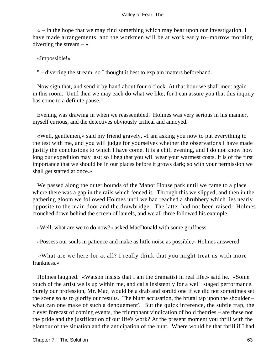« – in the hope that we may find something which may bear upon our investigation. I have made arrangements, and the workmen will be at work early to−morrow morning diverting the stream  $-$  »

«Impossible!»

" – diverting the stream; so I thought it best to explain matters beforehand.

 Now sign that, and send it by hand about four o'clock. At that hour we shall meet again in this room. Until then we may each do what we like; for I can assure you that this inquiry has come to a definite pause."

 Evening was drawing in when we reassembled. Holmes was very serious in his manner, myself curious, and the detectives obviously critical and annoyed.

 «Well, gentlemen,» said my friend gravely, «I am asking you now to put everything to the test with me, and you will judge for yourselves whether the observations I have made justify the conclusions to which I have come. It is a chill evening, and I do not know how long our expedition may last; so I beg that you will wear your warmest coats. It is of the first importance that we should be in our places before it grows dark; so with your permission we shall get started at once.»

 We passed along the outer bounds of the Manor House park until we came to a place where there was a gap in the rails which fenced it. Through this we slipped, and then in the gathering gloom we followed Holmes until we had reached a shrubbery which lies nearly opposite to the main door and the drawbridge. The latter had not been raised. Holmes crouched down behind the screen of laurels, and we all three followed his example.

«Well, what are we to do now?» asked MacDonald with some gruffness.

«Possess our souls in patience and make as little noise as possible,» Holmes answered.

 «What are we here for at all? I really think that you might treat us with more frankness.»

 Holmes laughed. «Watson insists that I am the dramatist in real life,» said he. «Some touch of the artist wells up within me, and calls insistently for a well−staged performance. Surely our profession, Mr. Mac, would be a drab and sordid one if we did not sometimes set the scene so as to glorify our results. The blunt accusation, the brutal tap upon the shoulder – what can one make of such a denouement? But the quick inference, the subtle trap, the clever forecast of coming events, the triumphant vindication of bold theories – are these not the pride and the justification of our life's work? At the present moment you thrill with the glamour of the situation and the anticipation of the hunt. Where would be that thrill if I had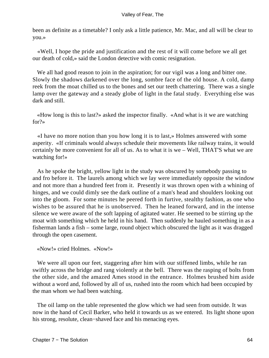been as definite as a timetable? I only ask a little patience, Mr. Mac, and all will be clear to you.»

 «Well, I hope the pride and justification and the rest of it will come before we all get our death of cold,» said the London detective with comic resignation.

We all had good reason to join in the aspiration; for our vigil was a long and bitter one. Slowly the shadows darkened over the long, sombre face of the old house. A cold, damp reek from the moat chilled us to the bones and set our teeth chattering. There was a single lamp over the gateway and a steady globe of light in the fatal study. Everything else was dark and still.

 «How long is this to last?» asked the inspector finally. «And what is it we are watching for?»

 «I have no more notion than you how long it is to last,» Holmes answered with some asperity. «If criminals would always schedule their movements like railway trains, it would certainly be more convenient for all of us. As to what it is we – Well, THAT'S what we are watching for!»

 As he spoke the bright, yellow light in the study was obscured by somebody passing to and fro before it. The laurels among which we lay were immediately opposite the window and not more than a hundred feet from it. Presently it was thrown open with a whining of hinges, and we could dimly see the dark outline of a man's head and shoulders looking out into the gloom. For some minutes he peered forth in furtive, stealthy fashion, as one who wishes to be assured that he is unobserved. Then he leaned forward, and in the intense silence we were aware of the soft lapping of agitated water. He seemed to be stirring up the moat with something which he held in his hand. Then suddenly he hauled something in as a fisherman lands a fish – some large, round object which obscured the light as it was dragged through the open casement.

«Now!» cried Holmes. «Now!»

We were all upon our feet, staggering after him with our stiffened limbs, while he ran swiftly across the bridge and rang violently at the bell. There was the rasping of bolts from the other side, and the amazed Ames stood in the entrance. Holmes brushed him aside without a word and, followed by all of us, rushed into the room which had been occupied by the man whom we had been watching.

 The oil lamp on the table represented the glow which we had seen from outside. It was now in the hand of Cecil Barker, who held it towards us as we entered. Its light shone upon his strong, resolute, clean−shaved face and his menacing eyes.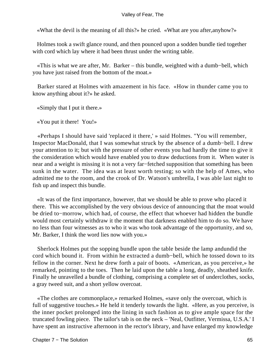«What the devil is the meaning of all this?» he cried. «What are you after,anyhow?»

 Holmes took a swift glance round, and then pounced upon a sodden bundle tied together with cord which lay where it had been thrust under the writing table.

 «This is what we are after, Mr. Barker – this bundle, weighted with a dumb−bell, which you have just raised from the bottom of the moat.»

 Barker stared at Holmes with amazement in his face. «How in thunder came you to know anything about it?» he asked.

«Simply that I put it there.»

«You put it there! You!»

 «Perhaps I should have said 'replaced it there,' » said Holmes. "You will remember, Inspector MacDonald, that I was somewhat struck by the absence of a dumb−bell. I drew your attention to it; but with the pressure of other events you had hardly the time to give it the consideration which would have enabled you to draw deductions from it. When water is near and a weight is missing it is not a very far−fetched supposition that something has been sunk in the water. The idea was at least worth testing; so with the help of Ames, who admitted me to the room, and the crook of Dr. Watson's umbrella, I was able last night to fish up and inspect this bundle.

 «It was of the first importance, however, that we should be able to prove who placed it there. This we accomplished by the very obvious device of announcing that the moat would be dried to−morrow, which had, of course, the effect that whoever had hidden the bundle would most certainly withdraw it the moment that darkness enabled him to do so. We have no less than four witnesses as to who it was who took advantage of the opportunity, and so, Mr. Barker, I think the word lies now with you.»

 Sherlock Holmes put the sopping bundle upon the table beside the lamp andundid the cord which bound it. From within he extracted a dumb−bell, which he tossed down to its fellow in the corner. Next he drew forth a pair of boots. «American, as you perceive,» he remarked, pointing to the toes. Then he laid upon the table a long, deadly, sheathed knife. Finally he unravelled a bundle of clothing, comprising a complete set of underclothes, socks, a gray tweed suit, and a short yellow overcoat.

 «The clothes are commonplace,» remarked Holmes, «save only the overcoat, which is full of suggestive touches.» He held it tenderly towards the light. «Here, as you perceive, is the inner pocket prolonged into the lining in such fashion as to give ample space for the truncated fowling piece. The tailor's tab is on the neck – 'Neal, Outfitter, Vermissa, U.S.A.' I have spent an instructive afternoon in the rector's library, and have enlarged my knowledge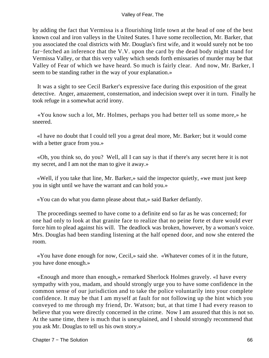by adding the fact that Vermissa is a flourishing little town at the head of one of the best known coal and iron valleys in the United States. I have some recollection, Mr. Barker, that you associated the coal districts with Mr. Douglas's first wife, and it would surely not be too far−fetched an inference that the V.V. upon the card by the dead body might stand for Vermissa Valley, or that this very valley which sends forth emissaries of murder may be that Valley of Fear of which we have heard. So much is fairly clear. And now, Mr. Barker, I seem to be standing rather in the way of your explanation.»

 It was a sight to see Cecil Barker's expressive face during this exposition of the great detective. Anger, amazement, consternation, and indecision swept over it in turn. Finally he took refuge in a somewhat acrid irony.

 «You know such a lot, Mr. Holmes, perhaps you had better tell us some more,» he sneered.

 «I have no doubt that I could tell you a great deal more, Mr. Barker; but it would come with a better grace from you.»

 «Oh, you think so, do you? Well, all I can say is that if there's any secret here it is not my secret, and I am not the man to give it away.»

 «Well, if you take that line, Mr. Barker,» said the inspector quietly, «we must just keep you in sight until we have the warrant and can hold you.»

«You can do what you damn please about that,» said Barker defiantly.

 The proceedings seemed to have come to a definite end so far as he was concerned; for one had only to look at that granite face to realize that no peine forte et dure would ever force him to plead against his will. The deadlock was broken, however, by a woman's voice. Mrs. Douglas had been standing listening at the half opened door, and now she entered the room.

 «You have done enough for now, Cecil,» said she. «Whatever comes of it in the future, you have done enough.»

 «Enough and more than enough,» remarked Sherlock Holmes gravely. «I have every sympathy with you, madam, and should strongly urge you to have some confidence in the common sense of our jurisdiction and to take the police voluntarily into your complete confidence. It may be that I am myself at fault for not following up the hint which you conveyed to me through my friend, Dr. Watson; but, at that time I had every reason to believe that you were directly concerned in the crime. Now I am assured that this is not so. At the same time, there is much that is unexplained, and I should strongly recommend that you ask Mr. Douglas to tell us his own story.»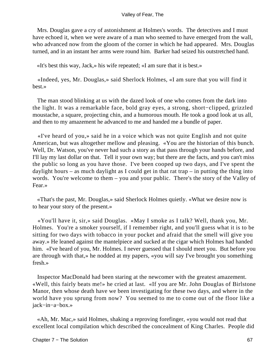Mrs. Douglas gave a cry of astonishment at Holmes's words. The detectives and I must have echoed it, when we were aware of a man who seemed to have emerged from the wall, who advanced now from the gloom of the corner in which he had appeared. Mrs. Douglas turned, and in an instant her arms were round him. Barker had seized his outstretched hand.

«It's best this way, Jack,» his wife repeated; «I am sure that it is best.»

 «Indeed, yes, Mr. Douglas,» said Sherlock Holmes, «I am sure that you will find it best.»

 The man stood blinking at us with the dazed look of one who comes from the dark into the light. It was a remarkable face, bold gray eyes, a strong, short−clipped, grizzled moustache, a square, projecting chin, and a humorous mouth. He took a good look at us all, and then to my amazement he advanced to me and handed me a bundle of paper.

 «I've heard of you,» said he in a voice which was not quite English and not quite American, but was altogether mellow and pleasing. «You are the historian of this bunch. Well, Dr. Watson, you've never had such a story as that pass through your hands before, and I'll lay my last dollar on that. Tell it your own way; but there are the facts, and you can't miss the public so long as you have those. I've been cooped up two days, and I've spent the daylight hours – as much daylight as I could get in that rat trap – in putting the thing into words. You're welcome to them – you and your public. There's the story of the Valley of Fear.»

 «That's the past, Mr. Douglas,» said Sherlock Holmes quietly. «What we desire now is to hear your story of the present.»

 «You'll have it, sir,» said Douglas. «May I smoke as I talk? Well, thank you, Mr. Holmes. You're a smoker yourself, if I remember right, and you'll guess what it is to be sitting for two days with tobacco in your pocket and afraid that the smell will give you away.» He leaned against the mantelpiece and sucked at the cigar which Holmes had handed him. «I've heard of you, Mr. Holmes. I never guessed that I should meet you. But before you are through with that,» he nodded at my papers, «you will say I've brought you something fresh.»

 Inspector MacDonald had been staring at the newcomer with the greatest amazement. «Well, this fairly beats me!» he cried at last. «If you are Mr. John Douglas of Birlstone Manor, then whose death have we been investigating for these two days, and where in the world have you sprung from now? You seemed to me to come out of the floor like a jack−in−a−box.»

 «Ah, Mr. Mac,» said Holmes, shaking a reproving forefinger, «you would not read that excellent local compilation which described the concealment of King Charles. People did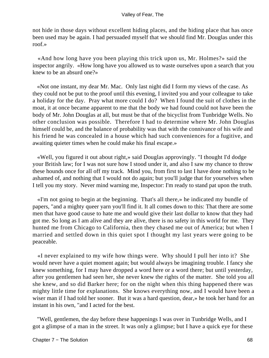not hide in those days without excellent hiding places, and the hiding place that has once been used may be again. I had persuaded myself that we should find Mr. Douglas under this roof.»

 «And how long have you been playing this trick upon us, Mr. Holmes?» said the inspector angrily. «How long have you allowed us to waste ourselves upon a search that you knew to be an absurd one?»

 «Not one instant, my dear Mr. Mac. Only last night did I form my views of the case. As they could not be put to the proof until this evening, I invited you and your colleague to take a holiday for the day. Pray what more could I do? When I found the suit of clothes in the moat, it at once became apparent to me that the body we had found could not have been the body of Mr. John Douglas at all, but must be that of the bicyclist from Tunbridge Wells. No other conclusion was possible. Therefore I had to determine where Mr. John Douglas himself could be, and the balance of probability was that with the connivance of his wife and his friend he was concealed in a house which had such conveniences for a fugitive, and awaiting quieter times when he could make his final escape.»

 «Well, you figured it out about right,» said Douglas approvingly. "I thought I'd dodge your British law; for I was not sure how I stood under it, and also I saw my chance to throw these hounds once for all off my track. Mind you, from first to last I have done nothing to be ashamed of, and nothing that I would not do again; but you'll judge that for yourselves when I tell you my story. Never mind warning me, Inspector: I'm ready to stand pat upon the truth.

 «I'm not going to begin at the beginning. That's all there,» he indicated my bundle of papers, "and a mighty queer yarn you'll find it. It all comes down to this: That there are some men that have good cause to hate me and would give their last dollar to know that they had got me. So long as I am alive and they are alive, there is no safety in this world for me. They hunted me from Chicago to California, then they chased me out of America; but when I married and settled down in this quiet spot I thought my last years were going to be peaceable.

 «I never explained to my wife how things were. Why should I pull her into it? She would never have a quiet moment again; but would always be imagining trouble. I fancy she knew something, for I may have dropped a word here or a word there; but until yesterday, after you gentlemen had seen her, she never knew the rights of the matter. She told you all she knew, and so did Barker here; for on the night when this thing happened there was mighty little time for explanations. She knows everything now, and I would have been a wiser man if I had told her sooner. But it was a hard question, dear,» he took her hand for an instant in his own, "and I acted for the best.

 "Well, gentlemen, the day before these happenings I was over in Tunbridge Wells, and I got a glimpse of a man in the street. It was only a glimpse; but I have a quick eye for these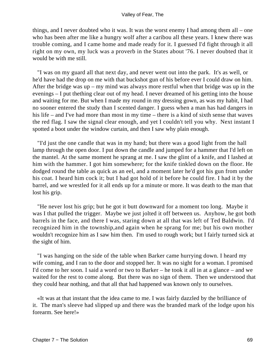things, and I never doubted who it was. It was the worst enemy I had among them all – one who has been after me like a hungry wolf after a caribou all these years. I knew there was trouble coming, and I came home and made ready for it. I guessed I'd fight through it all right on my own, my luck was a proverb in the States about '76. I never doubted that it would be with me still.

 "I was on my guard all that next day, and never went out into the park. It's as well, or he'd have had the drop on me with that buckshot gun of his before ever I could draw on him. After the bridge was up – my mind was always more restful when that bridge was up in the evenings – I put thething clear out of my head. I never dreamed of his getting into the house and waiting for me. But when I made my round in my dressing gown, as was my habit, I had no sooner entered the study than I scented danger. I guess when a man has had dangers in his life – and I've had more than most in my time – there is a kind of sixth sense that waves the red flag. I saw the signal clear enough, and yet I couldn't tell you why. Next instant I spotted a boot under the window curtain, and then I saw why plain enough.

 "I'd just the one candle that was in my hand; but there was a good light from the hall lamp through the open door. I put down the candle and jumped for a hammer that I'd left on the mantel. At the same moment he sprang at me. I saw the glint of a knife, and I lashed at him with the hammer. I got him somewhere; for the knife tinkled down on the floor. He dodged round the table as quick as an eel, and a moment later he'd got his gun from under his coat. I heard him cock it; but I had got hold of it before he could fire. I had it by the barrel, and we wrestled for it all ends up for a minute or more. It was death to the man that lost his grip.

 "He never lost his grip; but he got it butt downward for a moment too long. Maybe it was I that pulled the trigger. Maybe we just jolted it off between us. Anyhow, he got both barrels in the face, and there I was, staring down at all that was left of Ted Baldwin. I'd recognized him in the township,and again when he sprang for me; but his own mother wouldn't recognize him as I saw him then. I'm used to rough work; but I fairly turned sick at the sight of him.

 "I was hanging on the side of the table when Barker came hurrying down. I heard my wife coming, and I ran to the door and stopped her. It was no sight for a woman. I promised I'd come to her soon. I said a word or two to Barker – he took it all in at a glance – and we waited for the rest to come along. But there was no sign of them. Then we understood that they could hear nothing, and that all that had happened was known only to ourselves.

 «It was at that instant that the idea came to me. I was fairly dazzled by the brilliance of it. The man's sleeve had slipped up and there was the branded mark of the lodge upon his forearm. See here!»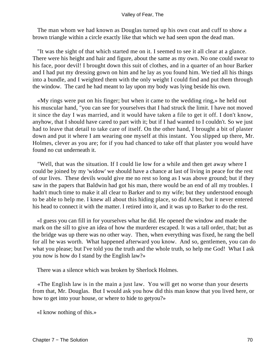The man whom we had known as Douglas turned up his own coat and cuff to show a brown triangle within a circle exactly like that which we had seen upon the dead man.

 "It was the sight of that which started me on it. I seemed to see it all clear at a glance. There were his height and hair and figure, about the same as my own. No one could swear to his face, poor devil! I brought down this suit of clothes, and in a quarter of an hour Barker and I had put my dressing gown on him and he lay as you found him. We tied all his things into a bundle, and I weighted them with the only weight I could find and put them through the window. The card he had meant to lay upon my body was lying beside his own.

 «My rings were put on his finger; but when it came to the wedding ring,» he held out his muscular hand, "you can see for yourselves that I had struck the limit. I have not moved it since the day I was married, and it would have taken a file to get it off. I don't know, anyhow, that I should have cared to part with it; but if I had wanted to I couldn't. So we just had to leave that detail to take care of itself. On the other hand, I brought a bit of plaster down and put it where I am wearing one myself at this instant. You slipped up there, Mr. Holmes, clever as you are; for if you had chanced to take off that plaster you would have found no cut underneath it.

 "Well, that was the situation. If I could lie low for a while and then get away where I could be joined by my 'widow' we should have a chance at last of living in peace for the rest of our lives. These devils would give me no rest so long as I was above ground; but if they saw in the papers that Baldwin had got his man, there would be an end of all my troubles. I hadn't much time to make it all clear to Barker and to my wife; but they understood enough to be able to help me. I knew all about this hiding place, so did Ames; but it never entered his head to connect it with the matter. I retired into it, and it was up to Barker to do the rest.

 «I guess you can fill in for yourselves what he did. He opened the window and made the mark on the sill to give an idea of how the murderer escaped. It was a tall order, that; but as the bridge was up there was no other way. Then, when everything was fixed, he rang the bell for all he was worth. What happened afterward you know. And so, gentlemen, you can do what you please; but I've told you the truth and the whole truth, so help me God! What I ask you now is how do I stand by the English law?»

There was a silence which was broken by Sherlock Holmes.

 «The English law is in the main a just law. You will get no worse than your deserts from that, Mr. Douglas. But I would ask you how did this man know that you lived here, or how to get into your house, or where to hide to getyou?»

«I know nothing of this.»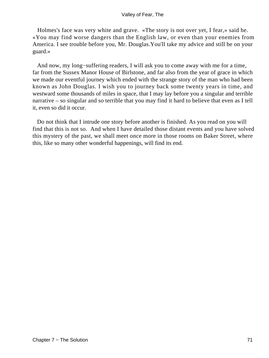Holmes's face was very white and grave. «The story is not over yet, I fear,» said he. «You may find worse dangers than the English law, or even than your enemies from America. I see trouble before you, Mr. Douglas.You'll take my advice and still be on your guard.»

 And now, my long−suffering readers, I will ask you to come away with me for a time, far from the Sussex Manor House of Birlstone, and far also from the year of grace in which we made our eventful journey which ended with the strange story of the man who had been known as John Douglas. I wish you to journey back some twenty years in time, and westward some thousands of miles in space, that I may lay before you a singular and terrible narrative – so singular and so terrible that you may find it hard to believe that even as I tell it, even so did it occur.

 Do not think that I intrude one story before another is finished. As you read on you will find that this is not so. And when I have detailed those distant events and you have solved this mystery of the past, we shall meet once more in those rooms on Baker Street, where this, like so many other wonderful happenings, will find its end.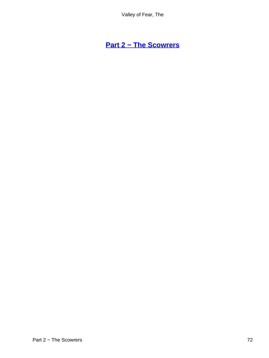# **[Part 2 − The Scowrers](#page-149-0)**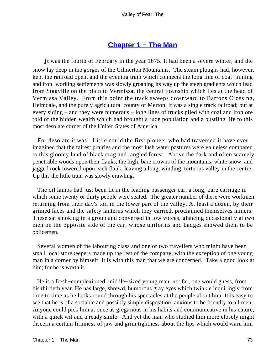## **[Chapter 1 − The Man](#page-149-0)**

*I*t was the fourth of February in the year 1875. It had been a severe winter, and the snow lay deep in the gorges of the Gilmerton Mountains. The steam ploughs had, however, kept the railroad open, and the evening train which connects the long line of coal−mining and iron−working settlements was slowly groaning its way up the steep gradients which lead from Stagville on the plain to Vermissa, the central township which lies at the head of Vermissa Valley. From this point the track sweeps downward to Bartons Crossing, Helmdale, and the purely agricultural county of Merton. It was a single track railroad; but at every siding – and they were numerous – long lines of trucks piled with coal and iron ore told of the hidden wealth which had brought a rude population and a bustling life to this most desolate corner of the United States of America.

 For desolate it was! Little could the first pioneer who had traversed it have ever imagined that the fairest prairies and the most lush water pastures were valueless compared to this gloomy land of black crag and tangled forest. Above the dark and often scarcely penetrable woods upon their flanks, the high, bare crowns of the mountains, white snow, and jagged rock towered upon each flank, leaving a long, winding, tortuous valley in the centre. Up this the little train was slowly crawling.

 The oil lamps had just been lit in the leading passenger car, a long, bare carriage in which some twenty or thirty people were seated. The greater number of these were workmen returning from their day's toil in the lower part of the valley. At least a dozen, by their grimed faces and the safety lanterns which they carried, proclaimed themselves miners. These sat smoking in a group and conversed in low voices, glancing occasionally at two men on the opposite side of the car, whose uniforms and badges showed them to be policemen.

 Several women of the labouring class and one or two travellers who might have been small local storekeepers made up the rest of the company, with the exception of one young man in a corner by himself. It is with this man that we are concerned. Take a good look at him; for he is worth it.

 He is a fresh−complexioned, middle−sized young man, not far, one would guess, from his thirtieth year. He has large, shrewd, humorous gray eyes which twinkle inquiringly from time to time as he looks round through his spectacles at the people about him. It is easy to see that he is of a sociable and possibly simple disposition, anxious to be friendly to all men. Anyone could pick him at once as gregarious in his habits and communicative in his nature, with a quick wit and a ready smile. And yet the man who studied him more closely might discern a certain firmness of jaw and grim tightness about the lips which would warn him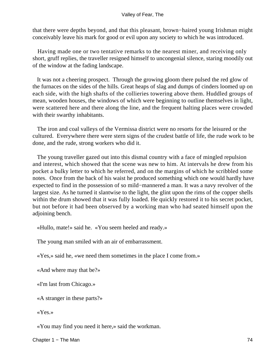that there were depths beyond, and that this pleasant, brown−haired young Irishman might conceivably leave his mark for good or evil upon any society to which he was introduced.

 Having made one or two tentative remarks to the nearest miner, and receiving only short, gruff replies, the traveller resigned himself to uncongenial silence, staring moodily out of the window at the fading landscape.

 It was not a cheering prospect. Through the growing gloom there pulsed the red glow of the furnaces on the sides of the hills. Great heaps of slag and dumps of cinders loomed up on each side, with the high shafts of the collieries towering above them. Huddled groups of mean, wooden houses, the windows of which were beginning to outline themselves in light, were scattered here and there along the line, and the frequent halting places were crowded with their swarthy inhabitants.

 The iron and coal valleys of the Vermissa district were no resorts for the leisured or the cultured. Everywhere there were stern signs of the crudest battle of life, the rude work to be done, and the rude, strong workers who did it.

 The young traveller gazed out into this dismal country with a face of mingled repulsion and interest, which showed that the scene was new to him. At intervals he drew from his pocket a bulky letter to which he referred, and on the margins of which he scribbled some notes. Once from the back of his waist he produced something which one would hardly have expected to find in the possession of so mild−mannered a man. It was a navy revolver of the largest size. As he turned it slantwise to the light, the glint upon the rims of the copper shells within the drum showed that it was fully loaded. He quickly restored it to his secret pocket, but not before it had been observed by a working man who had seated himself upon the adjoining bench.

«Hullo, mate!» said he. «You seem heeled and ready.»

The young man smiled with an air of embarrassment.

«Yes,» said he, «we need them sometimes in the place I come from.»

«And where may that be?»

«I'm last from Chicago.»

«A stranger in these parts?»

«Yes.»

«You may find you need it here,» said the workman.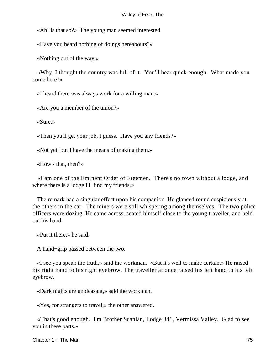«Ah! is that so?» The young man seemed interested.

«Have you heard nothing of doings hereabouts?»

«Nothing out of the way.»

 «Why, I thought the country was full of it. You'll hear quick enough. What made you come here?»

«I heard there was always work for a willing man.»

«Are you a member of the union?»

«Sure.»

«Then you'll get your job, I guess. Have you any friends?»

«Not yet; but I have the means of making them.»

«How's that, then?»

 «I am one of the Eminent Order of Freemen. There's no town without a lodge, and where there is a lodge I'll find my friends.»

 The remark had a singular effect upon his companion. He glanced round suspiciously at the others in the car. The miners were still whispering among themselves. The two police officers were dozing. He came across, seated himself close to the young traveller, and held out his hand.

«Put it there,» he said.

A hand−grip passed between the two.

 «I see you speak the truth,» said the workman. «But it's well to make certain.» He raised his right hand to his right eyebrow. The traveller at once raised his left hand to his left eyebrow.

«Dark nights are unpleasant,» said the workman.

«Yes, for strangers to travel,» the other answered.

 «That's good enough. I'm Brother Scanlan, Lodge 341, Vermissa Valley. Glad to see you in these parts.»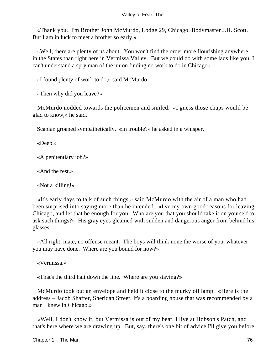«Thank you. I'm Brother John McMurdo, Lodge 29, Chicago. Bodymaster J.H. Scott. But I am in luck to meet a brother so early.»

 «Well, there are plenty of us about. You won't find the order more flourishing anywhere in the States than right here in Vermissa Valley. But we could do with some lads like you. I can't understand a spry man of the union finding no work to do in Chicago.»

«I found plenty of work to do,» said McMurdo.

«Then why did you leave?»

 McMurdo nodded towards the policemen and smiled. «I guess those chaps would be glad to know,» he said.

Scanlan groaned sympathetically. «In trouble?» he asked in a whisper.

«Deep.»

«A penitentiary job?»

«And the rest.»

«Not a killing!»

 «It's early days to talk of such things,» said McMurdo with the air of a man who had been surprised into saying more than he intended. «I've my own good reasons for leaving Chicago, and let that be enough for you. Who are you that you should take it on yourself to ask such things?» His gray eyes gleamed with sudden and dangerous anger from behind his glasses.

 «All right, mate, no offense meant. The boys will think none the worse of you, whatever you may have done. Where are you bound for now?»

«Vermissa.»

«That's the third halt down the line. Where are you staying?»

 McMurdo took out an envelope and held it close to the murky oil lamp. «Here is the address – Jacob Shafter, Sheridan Street. It's a boarding house that was recommended by a man I knew in Chicago.»

 «Well, I don't know it; but Vermissa is out of my beat. I live at Hobson's Patch, and that's here where we are drawing up. But, say, there's one bit of advice I'll give you before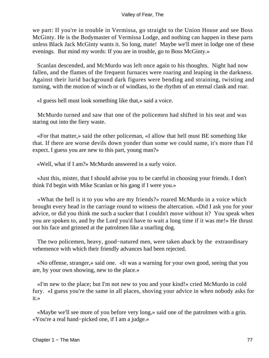we part: If you're in trouble in Vermissa, go straight to the Union House and see Boss McGinty. He is the Bodymaster of Vermissa Lodge, and nothing can happen in these parts unless Black Jack McGinty wants it. So long, mate! Maybe we'll meet in lodge one of these evenings. But mind my words: If you are in trouble, go to Boss McGinty.»

 Scanlan descended, and McMurdo was left once again to his thoughts. Night had now fallen, and the flames of the frequent furnaces were roaring and leaping in the darkness. Against their lurid background dark figures were bending and straining, twisting and turning, with the motion of winch or of windlass, to the rhythm of an eternal clank and roar.

«I guess hell must look something like that,» said a voice.

 McMurdo turned and saw that one of the policemen had shifted in his seat and was staring out into the fiery waste.

 «For that matter,» said the other policeman, «I allow that hell must BE something like that. If there are worse devils down yonder than some we could name, it's more than I'd expect. I guess you are new to this part, young man?»

«Well, what if I am?» McMurdo answered in a surly voice.

 «Just this, mister, that I should advise you to be careful in choosing your friends. I don't think I'd begin with Mike Scanlan or his gang if I were you.»

 «What the hell is it to you who are my friends?» roared McMurdo in a voice which brought every head in the carriage round to witness the altercation. «Did I ask you for your advice, or did you think me such a sucker that I couldn't move without it? You speak when you are spoken to, and by the Lord you'd have to wait a long time if it was me!» He thrust out his face and grinned at the patrolmen like a snarling dog.

 The two policemen, heavy, good−natured men, were taken aback by the extraordinary vehemence with which their friendly advances had been rejected.

 «No offense, stranger,» said one. «It was a warning for your own good, seeing that you are, by your own showing, new to the place.»

 «I'm new to the place; but I'm not new to you and your kind!» cried McMurdo in cold fury. «I guess you're the same in all places, shoving your advice in when nobody asks for it.»

 «Maybe we'll see more of you before very long,» said one of the patrolmen with a grin. «You're a real hand−picked one, if I am a judge.»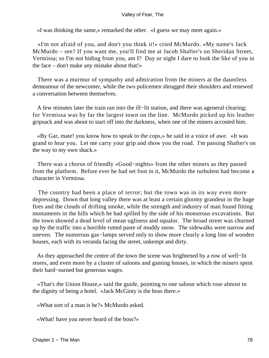«I was thinking the same,» remarked the other. «I guess we may meet again.»

 «I'm not afraid of you, and don't you think it!» cried McMurdo. «My name's Jack McMurdo – see? If you want me, you'll find me at Jacob Shafter's on Sheridan Street, Vermissa; so I'm not hiding from you, am I? Day or night I dare to look the like of you in the face – don't make any mistake about that!»

 There was a murmur of sympathy and admiration from the miners at the dauntless demeanour of the newcomer, while the two policemen shrugged their shoulders and renewed a conversation between themselves.

 A few minutes later the train ran into the ill−lit station, and there was ageneral clearing; for Vermissa was by far the largest town on the line. McMurdo picked up his leather gripsack and was about to start off into the darkness, when one of the miners accosted him.

 «By Gar, mate! you know how to speak to the cops,» he said in a voice of awe. «It was grand to hear you. Let me carry your grip and show you the road. I'm passing Shafter's on the way to my own shack.»

 There was a chorus of friendly «Good−nights» from the other miners as they passed from the platform. Before ever he had set foot in it, McMurdo the turbulent had become a character in Vermissa.

 The country had been a place of terror; but the town was in its way even more depressing. Down that long valley there was at least a certain gloomy grandeur in the huge fires and tbe clouds of drifting smoke, while the strength and industry of man found fitting monuments in the hills which he had spilled by the side of his monstrous excavations. But the town showed a dead level of mean ugliness and squalor. The broad street was churned up by the traffic into a horrible rutted paste of muddy snow. The sidewalks were narrow and uneven. The numerous gas−lamps served only to show more clearly a long line of wooden houses, each with its veranda facing the street, unkempt and dirty.

 As they approached the centre of the town the scene was brightened by a row of well−lit stores, and even more by a cluster of saloons and gaming houses, in which the miners spent their hard−earned but generous wages.

 «That's the Union House,» said the guide, pointing to one saloon which rose almost to the dignity of being a hotel. «Jack McGinty is the boss there.»

«What sort of a man is he?» McMurdo asked.

«What! have you never heard of the boss?»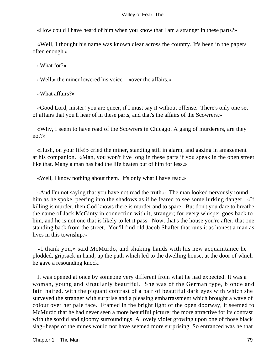«How could I have heard of him when you know that I am a stranger in these parts?»

 «Well, I thought his name was known clear across the country. It's been in the papers often enough.»

«What for?»

«Well,» the miner lowered his voice – «over the affairs.»

«What affairs?»

 «Good Lord, mister! you are queer, if I must say it without offense. There's only one set of affairs that you'll hear of in these parts, and that's the affairs of the Scowrers.»

 «Why, I seem to have read of the Scowrers in Chicago. A gang of murderers, are they not?»

 «Hush, on your life!» cried the miner, standing still in alarm, and gazing in amazement at his companion. «Man, you won't live long in these parts if you speak in the open street like that. Many a man has had the life beaten out of him for less.»

«Well, I know nothing about them. It's only what I have read.»

 «And I'm not saying that you have not read the truth.» The man looked nervously round him as he spoke, peering into the shadows as if he feared to see some lurking danger. «If killing is murder, then God knows there is murder and to spare. But don't you dare to breathe the name of Jack McGinty in connection with it, stranger; for every whisper goes back to him, and he is not one that is likely to let it pass. Now, that's the house you're after, that one standing back from the street. You'll find old Jacob Shafter that runs it as honest a man as lives in this township.»

 «I thank you,» said McMurdo, and shaking hands with his new acquaintance he plodded, gripsack in hand, up the path which led to the dwelling house, at the door of which he gave a resounding knock.

 It was opened at once by someone very different from what he had expected. It was a woman, young and singularly beautiful. She was of the German type, blonde and fair−haired, with the piquant contrast of a pair of beautiful dark eyes with which she surveyed the stranger with surprise and a pleasing embarrassment which brought a wave of colour over her pale face. Framed in the bright light of the open doorway, it seemed to McMurdo that he had never seen a more beautiful picture; the more attractive for its contrast with the sordid and gloomy surroundings. A lovely violet growing upon one of those black slag−heaps of the mines would not have seemed more surprising. So entranced was he that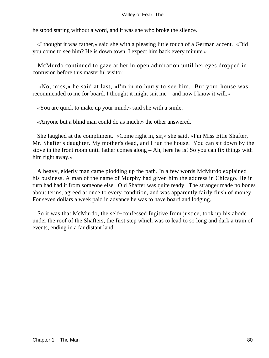he stood staring without a word, and it was she who broke the silence.

 «I thought it was father,» said she with a pleasing little touch of a German accent. «Did you come to see him? He is down town. I expect him back every minute.»

 McMurdo continued to gaze at her in open admiration until her eyes dropped in confusion before this masterful visitor.

 «No, miss,» he said at last, «I'm in no hurry to see him. But your house was recommended to me for board. I thought it might suit me – and now I know it will.»

«You are quick to make up your mind,» said she with a smile.

«Anyone but a blind man could do as much,» the other answered.

 She laughed at the compliment. «Come right in, sir,» she said. «I'm Miss Ettie Shafter, Mr. Shafter's daughter. My mother's dead, and I run the house. You can sit down by the stove in the front room until father comes along – Ah, here he is! So you can fix things with him right away.»

 A heavy, elderly man came plodding up the path. In a few words McMurdo explained his business. A man of the name of Murphy had given him the address in Chicago. He in turn had had it from someone else. Old Shafter was quite ready. The stranger made no bones about terms, agreed at once to every condition, and was apparently fairly flush of money. For seven dollars a week paid in advance he was to have board and lodging.

 So it was that McMurdo, the self−confessed fugitive from justice, took up his abode under the roof of the Shafters, the first step which was to lead to so long and dark a train of events, ending in a far distant land.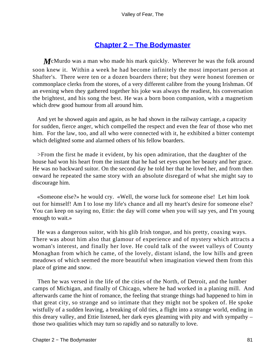## **[Chapter 2 − The Bodymaster](#page-149-0)**

*M*cMurdo was a man who made his mark quickly. Wherever he was the folk around soon knew it. Within a week he had become infinitely the most important person at Shafter's. There were ten or a dozen boarders there; but they were honest foremen or commonplace clerks from the stores, of a very different calibre from the young Irishman. Of an evening when they gathered together his joke was always the readiest, his conversation the brightest, and his song the best. He was a born boon companion, with a magnetism which drew good humour from all around him.

 And yet he showed again and again, as he had shown in the railway carriage, a capacity for sudden, fierce anger, which compelled the respect and even the fear of those who met him. For the law, too, and all who were connected with it, he exhibited a bitter contempt which delighted some and alarmed others of his fellow boarders.

 >From the first he made it evident, by his open admiration, that the daughter of the house had won his heart from the instant that he had set eyes upon her beauty and her grace. He was no backward suitor. On the second day he told her that he loved her, and from then onward he repeated the same story with an absolute disregard of what she might say to discourage him.

 «Someone else?» he would cry. «Well, the worse luck for someone else! Let him look out for himself! Am I to lose my life's chance and all my heart's desire for someone else? You can keep on saying no, Ettie: the day will come when you will say yes, and I'm young enough to wait.»

 He was a dangerous suitor, with his glib Irish tongue, and his pretty, coaxing ways. There was about him also that glamour of experience and of mystery which attracts a woman's interest, and finally her love. He could talk of the sweet valleys of County Monaghan from which he came, of the lovely, distant island, the low hills and green meadows of which seemed the more beautiful when imagination viewed them from this place of grime and snow.

 Then he was versed in the life of the cities of the North, of Detroit, and the lumber camps of Michigan, and finally of Chicago, where he had worked in a planing mill. And afterwards came the hint of romance, the feeling that strange things had happened to him in that great city, so strange and so intimate that they might not be spoken of. He spoke wistfully of a sudden leaving, a breaking of old ties, a flight into a strange world, ending in this dreary valley, and Ettie listened, her dark eyes gleaming with pity and with sympathy – those two qualities which may turn so rapidly and so naturally to love.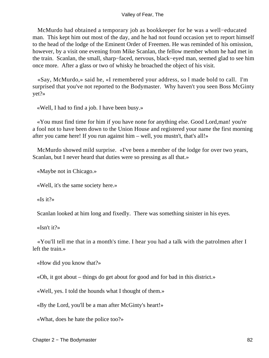McMurdo had obtained a temporary job as bookkeeper for he was a well−educated man. This kept him out most of the day, and he had not found occasion yet to report himself to the head of the lodge of the Eminent Order of Freemen. He was reminded of his omission, however, by a visit one evening from Mike Scanlan, the fellow member whom he had met in the train. Scanlan, the small, sharp−faced, nervous, black−eyed man, seemed glad to see him once more. After a glass or two of whisky he broached the object of his visit.

 «Say, McMurdo,» said he, «I remembered your address, so l made bold to call. I'm surprised that you've not reported to the Bodymaster. Why haven't you seen Boss McGinty yet?»

«Well, I had to find a job. I have been busy.»

 «You must find time for him if you have none for anything else. Good Lord,man! you're a fool not to have been down to the Union House and registered your name the first morning after you came here! If you run against him – well, you mustn't, that's all!»

 McMurdo showed mild surprise. «I've been a member of the lodge for over two years, Scanlan, but I never heard that duties were so pressing as all that.»

«Maybe not in Chicago.»

«Well, it's the same society here.»

«Is it?»

Scanlan looked at him long and fixedly. There was something sinister in his eyes.

«Isn't it?»

 «You'll tell me that in a month's time. I hear you had a talk with the patrolmen after I left the train.»

«How did you know that?»

«Oh, it got about – things do get about for good and for bad in this district.»

«Well, yes. I told the hounds what I thought of them.»

«By the Lord, you'll be a man after McGinty's heart!»

«What, does he hate the police too?»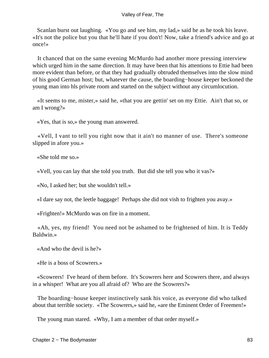Scanlan burst out laughing. «You go and see him, my lad,» said he as he took his leave. «It's not the police but you that he'll hate if you don't! Now, take a friend's advice and go at once!»

 It chanced that on the same evening McMurdo had another more pressing interview which urged him in the same direction. It may have been that his attentions to Ettie had been more evident than before, or that they had gradually obtruded themselves into the slow mind of his good German host; but, whatever the cause, the boarding−house keeper beckoned the young man into hls private room and started on the subject without any circumlocution.

 «It seems to me, mister,» said he, «that you are gettin' set on my Ettie. Ain't that so, or am I wrong?»

«Yes, that is so,» the young man answered.

 «Vell, I vant to tell you right now that it ain't no manner of use. There's someone slipped in afore you.»

«She told me so.»

«Vell, you can lay that she told you truth. But did she tell you who it vas?»

«No, I asked her; but she wouldn't tell.»

«I dare say not, the leetle baggage! Perhaps she did not vish to frighten you avay.»

«Frighten!» McMurdo was on fire in a moment.

 «Ah, yes, my friend! You need not be ashamed to be frightened of him. It is Teddy Baldwin.»

«And who the devil is he?»

«He is a boss of Scowrers.»

 «Scowrers! I've heard of them before. It's Scowrers here and Scowrers there, and always in a whisper! What are you all afraid of? Who are the Scowrers?»

 The boarding−house keeper instinctively sank his voice, as everyone did who talked about that terrible society. «The Scowrers,» said he, «are the Eminent Order of Freemen!»

The young man stared. «Why, I am a member of that order myself.»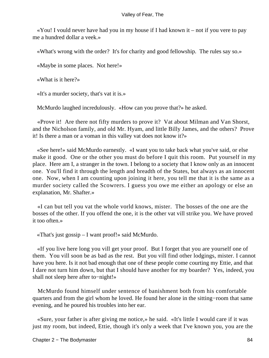$\ll$ You! I vould never have had you in my house if I had known it – not if you vere to pay me a hundred dollar a veek.»

«What's wrong with the order? It's for charity and good fellowship. The rules say so.»

«Maybe in some places. Not here!»

«What is it here?»

«It's a murder society, that's vat it is.»

McMurdo laughed incredulously. «How can you prove that?» he asked.

 «Prove it! Are there not fifty murders to prove it? Vat about Milman and Van Shorst, and the Nicholson family, and old Mr. Hyam, and little Billy James, and the others? Prove it! Is there a man or a voman in this valley vat does not know it?»

 «See here!» said McMurdo earnestly. «I want you to take back what you've said, or else make it good. One or the other you must do before I quit this room. Put yourself in my place. Here am I, a stranger in the town. I belong to a society that I know only as an innocent one. You'll find it through the length and breadth of the States, but always as an innocent one. Now, when I am counting upon joining it here, you tell me that it is the same as a murder society called the Scowrers. I guess you owe me either an apology or else an explanation, Mr. Shafter.»

 «I can but tell you vat the whole vorld knows, mister. The bosses of the one are the bosses of the other. If you offend the one, it is the other vat vill strike you. We have proved it too often.»

«That's just gossip – I want proof!» said McMurdo.

 «If you live here long you vill get your proof. But I forget that you are yourself one of them. You vill soon be as bad as the rest. But you vill find other lodgings, mister. I cannot have you here. Is it not bad enough that one of these people come courting my Ettie, and that I dare not turn him down, but that I should have another for my boarder? Yes, indeed, you shall not sleep here after to−night!»

 McMurdo found himself under sentence of banishment both from his comfortable quarters and from the girl whom he loved. He found her alone in the sitting−room that same evening, and he poured his troubles into her ear.

 «Sure, your father is after giving me notice,» he said. «It's little I would care if it was just my room, but indeed, Ettie, though it's only a week that I've known you, you are the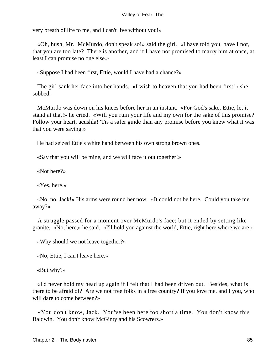very breath of life to me, and I can't live without you!»

 «Oh, hush, Mr. McMurdo, don't speak so!» said the girl. «I have told you, have I not, that you are too late? There is another, and if I have not promised to marry him at once, at least I can promise no one else.»

«Suppose I had been first, Ettie, would I have had a chance?»

 The girl sank her face into her hands. «I wish to heaven that you had been first!» she sobbed.

 McMurdo was down on his knees before her in an instant. «For God's sake, Ettie, let it stand at that!» he cried. «Will you ruin your life and my own for the sake of this promise? Follow your heart, acushla! 'Tis a safer guide than any promise before you knew what it was that you were saying.»

He had seized Ettie's white hand between his own strong brown ones.

«Say that you will be mine, and we will face it out together!»

«Not here?»

«Yes, here.»

 «No, no, Jack!» His arms were round her now. «It could not be here. Could you take me away?»

 A struggle passed for a moment over McMurdo's face; but it ended by setting like granite. «No, here,» he said. «I'll hold you against the world, Ettie, right here where we are!»

«Why should we not leave together?»

«No, Ettie, I can't leave here.»

«But why?»

 «I'd never hold my head up again if I felt that I had been driven out. Besides, what is there to be afraid of? Are we not free folks in a free country? If you love me, and I you, who will dare to come between?»

 «You don't know, Jack. You've been here too short a time. You don't know this Baldwin. You don't know McGinty and his Scowrers.»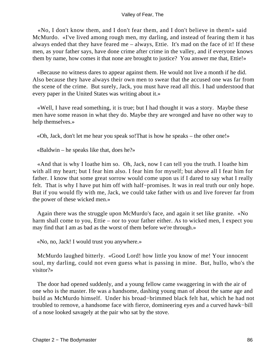«No, I don't know them, and I don't fear them, and I don't believe in them!» said McMurdo. «I've lived among rough men, my darling, and instead of fearing them it has always ended that they have feared me – always, Ettie. It's mad on the face of it! If these men, as your father says, have done crime after crime in the valley, and if everyone knows them by name, how comes it that none are brought to justice? You answer me that, Ettie!»

 «Because no witness dares to appear against them. He would not live a month if he did. Also because they have always their own men to swear that the accused one was far from the scene of the crime. But surely, Jack, you must have read all this. I had understood that every paper in the United States was writing about it.»

 «Well, I have read something, it is true; but I had thought it was a story. Maybe these men have some reason in what they do. Maybe they are wronged and have no other way to help themselves.»

«Oh, Jack, don't let me hear you speak so!That is how he speaks – the other one!»

«Baldwin – he speaks like that, does he?»

 «And that is why I loathe him so. Oh, Jack, now I can tell you the truth. I loathe him with all my heart; but I fear him also. I fear him for myself; but above all I fear him for father. I know that some great sorrow would come upon us if I dared to say what I really felt. That is why I have put him off with half−promises. It was in real truth our only hope. But if you would fly with me, Jack, we could take father with us and live forever far from the power of these wicked men.»

 Again there was the struggle upon McMurdo's face, and again it set like granite. «No harm shall come to you, Ettie – nor to your father either. As to wicked men, I expect you may find that I am as bad as the worst of them before we're through.»

«No, no, Jack! I would trust you anywhere.»

 McMurdo laughed bitterly. «Good Lord! how little you know of me! Your innocent soul, my darling, could not even guess what is passing in mine. But, hullo, who's the visitor?»

 The door had opened suddenly, and a young fellow came swaggering in with the air of one who is the master. He was a handsome, dashing young man of about the same age and build as McMurdo himself. Under his broad−brimmed black felt hat, which he had not troubled to remove, a handsome face with fierce, domineering eyes and a curved hawk−bill of a nose looked savagely at the pair who sat by the stove.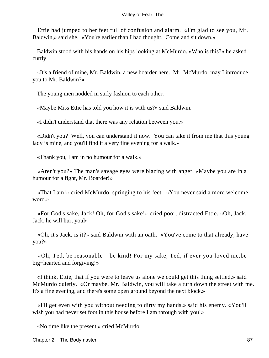Ettie had jumped to her feet full of confusion and alarm. «I'm glad to see you, Mr. Baldwin,» said she. «You're earlier than I had thought. Come and sit down.»

 Baldwin stood with his hands on his hips looking at McMurdo. «Who is this?» he asked curtly.

 «It's a friend of mine, Mr. Baldwin, a new boarder here. Mr. McMurdo, may I introduce you to Mr. Baldwin?»

The young men nodded in surly fashion to each other.

«Maybe Miss Ettie has told you how it is with us?» said Baldwin.

«I didn't understand that there was any relation between you.»

 «Didn't you? Well, you can understand it now. You can take it from me that this young lady is mine, and you'll find it a very fine evening for a walk.»

«Thank you, I am in no humour for a walk.»

 «Aren't you?» The man's savage eyes were blazing with anger. «Maybe you are in a humour for a fight, Mr. Boarder!»

 «That I am!» cried McMurdo, springing to his feet. «You never said a more welcome word.»

 «For God's sake, Jack! Oh, for God's sake!» cried poor, distracted Ettie. «Oh, Jack, Jack, he will hurt youl»

 «Oh, it's Jack, is it?» said Baldwin with an oath. «You've come to that already, have you?»

 «Oh, Ted, be reasonable – be kind! For my sake, Ted, if ever you loved me,be big−hearted and forgiving!»

 «I think, Ettie, that if you were to leave us alone we could get this thing settled,» said McMurdo quietly. «Or maybe, Mr. Baldwin, you will take a turn down the street with me. It's a fine evening, and there's some open ground beyond the next block.»

 «I'll get even with you without needing to dirty my hands,» said his enemy. «You'll wish you had never set foot in this house before I am through with you!»

«No time like the present,» cried McMurdo.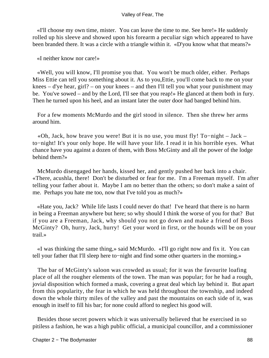«I'll choose my own time, mister. You can leave the time to me. See here!» He suddenly rolled up his sleeve and showed upon his forearm a peculiar sign which appeared to have been branded there. It was a circle with a triangle within it. «D'you know what that means?»

«I neither know nor care!»

 «Well, you will know, I'll promise you that. You won't be much older, either. Perhaps Miss Ettie can tell you something about it. As to you,Ettie, you'll come back to me on your knees – d'ye hear, girl? – on your knees – and then I'll tell you what your punishment may be. You've sowed – and by the Lord, I'll see that you reap!» He glanced at them both in fury. Then he turned upon his heel, and an instant later the outer door had banged behind him.

 For a few moments McMurdo and the girl stood in silence. Then she threw her arms around him.

 «Oh, Jack, how brave you were! But it is no use, you must fly! To−night – Jack – to−night! It's your only hope. He will have your life. I read it in his horrible eyes. What chance have you against a dozen of them, with Boss McGinty and all the power of the lodge behind them?»

 McMurdo disengaged her hands, kissed her, and gently pushed her back into a chair. «There, acushla, there! Don't be disturbed or fear for me. I'm a Freeman myself. I'm after telling your father about it. Maybe I am no better than the others; so don't make a saint of me. Perhaps you hate me too, now that I've told you as much?»

 «Hate you, Jack? While life lasts I could never do that! I've heard that there is no harm in being a Freeman anywhere but here; so why should I think the worse of you for that? But if you are a Freeman, Jack, why should you not go down and make a friend of Boss McGinty? Oh, hurry, Jack, hurry! Get your word in first, or the hounds will be on your trail.»

 «I was thinking the same thing,» said McMurdo. «I'll go right now and fix it. You can tell your father that I'll sleep here to−night and find some other quarters in the morning.»

 The bar of McGinty's saloon was crowded as usual; for it was the favourite loafing place of all the rougher elements of the town. The man was popular; for he had a rough, jovial disposition which formed a mask, covering a great deal which lay behind it. But apart from this popularity, the fear in which he was held throughout the township, and indeed down the whole thirty miles of the valley and past the mountains on each side of it, was enough in itself to fill his bar; for none could afford to neglect his good will.

 Besides those secret powers which it was universally believed that he exercised in so pitiless a fashion, he was a high public official, a municipal councillor, and a commissioner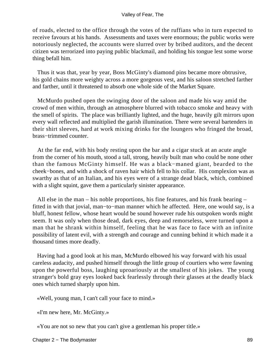of roads, elected to the office through the votes of the ruffians who in turn expected to receive favours at his hands. Assessments and taxes were enormous; the public works were notoriously neglected, the accounts were slurred over by bribed auditors, and the decent citizen was terrorized into paying public blackmail, and holding his tongue lest some worse thing befall him.

 Thus it was that, year by year, Boss McGinty's diamond pins became more obtrusive, his gold chains more weighty across a more gorgeous vest, and his saloon stretched farther and farther, until it threatened to absorb one whole side of the Market Square.

 McMurdo pushed open the swinging door of the saloon and made his way amid the crowd of men within, through an atmosphere blurred with tobacco smoke and heavy with the smell of spirits. The place was brilliantly lighted, and the huge, heavily gilt mirrors upon every wall reflected and multiplied the garish illumination. There were several bartenders in their shirt sleeves, hard at work mixing drinks for the loungers who fringed the broad, brass−trimmed counter.

 At the far end, with his body resting upon the bar and a cigar stuck at an acute angle from the corner of his mouth, stood a tall, strong, heavily built man who could be none other than the famous McGinty himself. He was a black−maned giant, bearded to the cheek−bones, and with a shock of raven hair which fell to his collar. His complexion was as swarthy as that of an Italian, and his eyes were of a strange dead black, which, combined with a slight squint, gave them a particularly sinister appearance.

 All else in the man – his noble proportions, his fine features, and his frank bearing – fitted in with that jovial, man−to−man manner which he affected. Here, one would say, is a bluff, honest fellow, whose heart would be sound however rude his outspoken words might seem. It was only when those dead, dark eyes, deep and remorseless, were turned upon a man that he shrank within himself, feeling that he was face to face with an infinite possibility of latent evil, with a strength and courage and cunning behind it which made it a thousand times more deadly.

 Having had a good look at his man, McMurdo elbowed his way forward with his usual careless audacity, and pushed himself through the little group of courtiers who were fawning upon the powerful boss, laughing uproariously at the smallest of his jokes. The young stranger's bold gray eyes looked back fearlessly through their glasses at the deadly black ones which turned sharply upon him.

«Well, young man, I can't call your face to mind.»

«I'm new here, Mr. McGinty.»

«You are not so new that you can't give a gentleman his proper title.»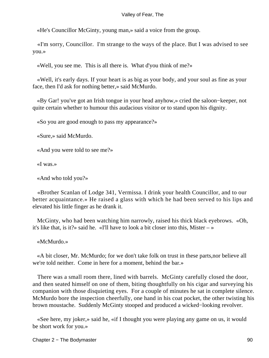«He's Councillor McGinty, young man,» said a voice from the group.

 «I'm sorry, Councillor. I'm strange to the ways of the place. But I was advised to see you.»

«Well, you see me. This is all there is. What d'you think of me?»

 «Well, it's early days. If your heart is as big as your body, and your soul as fine as your face, then I'd ask for nothing better,» said McMurdo.

 «By Gar! you've got an Irish tongue in your head anyhow,» cried the saloon−keeper, not quite certain whether to humour this audacious visitor or to stand upon his dignity.

«So you are good enough to pass my appearance?»

«Sure,» said McMurdo.

«And you were told to see me?»

«I was.»

«And who told you?»

 «Brother Scanlan of Lodge 341, Vermissa. I drink your health Councillor, and to our better acquaintance.» He raised a glass with which he had been served to his lips and elevated his little finger as he drank it.

 McGinty, who had been watching him narrowly, raised his thick black eyebrows. «Oh, it's like that, is it?» said he. «I'll have to look a bit closer into this, Mister  $-\infty$ 

«McMurdo.»

 «A bit closer, Mr. McMurdo; for we don't take folk on trust in these parts,nor believe all we're told neither. Come in here for a moment, behind the bar.»

 There was a small room there, lined with barrels. McGinty carefully closed the door, and then seated himself on one of them, biting thoughtfully on his cigar and surveying his companion with those disquieting eyes. For a couple of minutes he sat in complete silence. McMurdo bore the inspection cheerfully, one hand in his coat pocket, the other twisting his brown moustache. Suddenly McGinty stooped and produced a wicked−looking revolver.

 «See here, my joker,» said he, «if I thought you were playing any game on us, it would be short work for you.»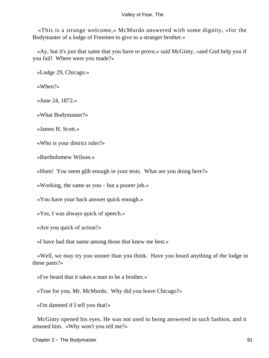«This is a strange welcome,» McMurdo answered with some dignity, «for the Bodymaster of a lodge of Freemen to give to a stranger brother.»

 «Ay, but it's just that same that you have to prove,» said McGinty, «and God help you if you fail! Where were you made?»

«Lodge 29, Chicago.»

«When?»

«June 24, 1872.»

«What Bodymaster?»

«James H. Scott.»

«Who is your district ruler?»

«Bartholomew Wilson.»

«Hum! You seem glib enough in your tests. What are you doing here?»

«Working, the same as you – but a poorer job.»

«You have your back answer quick enough.»

«Yes, I was always quick of speech.»

«Are you quick of action?»

«I have had that name among those that knew me best.»

 «Well, we may try you sooner than you think. Have you heard anything of the lodge in these parts?»

«I've heard that it takes a man to be a brother.»

«True for you, Mr. McMurdo. Why did you leave Chicago?»

«I'm damned if I tell you that!»

 McGinty opened his eyes. He was not used to being answered in such fashion, and it amused him. «Why won't you tell me?»

Chapter 2 − The Bodymaster 91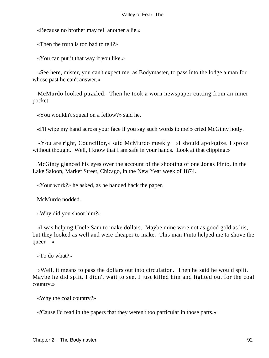«Because no brother may tell another a lie.»

«Then the truth is too bad to tell?»

«You can put it that way if you like.»

 «See here, mister, you can't expect me, as Bodymaster, to pass into the lodge a man for whose past he can't answer.»

 McMurdo looked puzzled. Then he took a worn newspaper cutting from an inner pocket.

«You wouldn't squeal on a fellow?» said he.

«I'll wipe my hand across your face if you say such words to me!» cried McGinty hotly.

 «You are right, Councillor,» said McMurdo meekly. «I should apologize. I spoke without thought. Well, I know that I am safe in your hands. Look at that clipping.»

 McGinty glanced his eyes over the account of the shooting of one Jonas Pinto, in the Lake Saloon, Market Street, Chicago, in the New Year week of 1874.

«Your work?» he asked, as he handed back the paper.

McMurdo nodded.

«Why did you shoot him?»

 «I was helping Uncle Sam to make dollars. Maybe mine were not as good gold as his, but they looked as well and were cheaper to make. This man Pinto helped me to shove the queer  $-$  »

«To do what?»

 «Well, it means to pass the dollars out into circulation. Then he said he would split. Maybe he did split. I didn't wait to see. I just killed him and lighted out for the coal country.»

«Why the coal country?»

«'Cause I'd read in the papers that they weren't too particular in those parts.»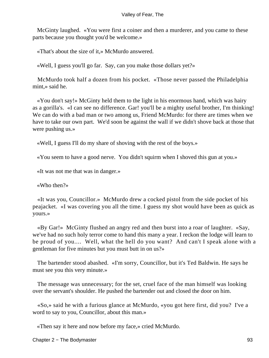McGinty laughed. «You were first a coiner and then a murderer, and you came to these parts because you thought you'd be welcome.»

«That's about the size of it,» McMurdo answered.

«Well, I guess you'll go far. Say, can you make those dollars yet?»

 McMurdo took half a dozen from his pocket. «Those never passed the Philadelphia mint,» said he.

 «You don't say!» McGinty held them to the light in his enormous hand, which was hairy as a gorilla's. «I can see no difference. Gar! you'll be a mighty useful brother, I'm thinking! We can do with a bad man or two among us, Friend McMurdo: for there are times when we have to take our own part. We'd soon be against the wall if we didn't shove back at those that were pushing us.»

«Well, I guess I'll do my share of shoving with the rest of the boys.»

«You seem to have a good nerve. You didn't squirm when I shoved this gun at you.»

«It was not me that was in danger.»

«Who then?»

 «It was you, Councillor.» McMurdo drew a cocked pistol from the side pocket of his peajacket. «I was covering you all the time. I guess my shot would have been as quick as yours.»

 «By Gar!» McGinty flushed an angry red and then burst into a roar of laughter. «Say, we've had no such holy terror come to hand this many a year. I reckon the lodge will learn to be proud of you.... Well, what the hell do you want? And can't I speak alone with a gentleman for five minutes but you must butt in on us?»

 The bartender stood abashed. «I'm sorry, Councillor, but it's Ted Baldwin. He says he must see you this very minute.»

 The message was unnecessary; for the set, cruel face of the man himself was looking over the servant's shoulder. He pushed the bartender out and closed the door on him.

 «So,» said he with a furious glance at McMurdo, «you got here first, did you? I've a word to say to you, Councillor, about this man.»

«Then say it here and now before my face,» cried McMurdo.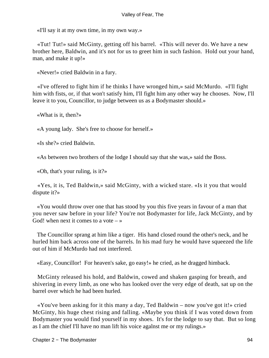«I'll say it at my own time, in my own way.»

 «Tut! Tut!» said McGinty, getting off his barrel. «This will never do. We have a new brother here, Baldwin, and it's not for us to greet him in such fashion. Hold out your hand, man, and make it up!»

«Never!» cried Baldwin in a fury.

 «I've offered to fight him if he thinks I have wronged him,» said McMurdo. «I'll fight him with fists, or, if that won't satisfy him, I'll fight him any other way he chooses. Now, I'll leave it to you, Councillor, to judge between us as a Bodymaster should.»

«What is it, then?»

«A young lady. She's free to choose for herself.»

«Is she?» cried Baldwin.

«As between two brothers of the lodge I should say that she was,» said the Boss.

«Oh, that's your ruling, is it?»

 «Yes, it is, Ted Baldwin,» said McGinty, with a wicked stare. «Is it you that would dispute it?»

 «You would throw over one that has stood by you this five years in favour of a man that you never saw before in your life? You're not Bodymaster for life, Jack McGinty, and by God! when next it comes to a vote  $-\infty$ 

 The Councillor sprang at him like a tiger. His hand closed round the other's neck, and he hurled him back across one of the barrels. In his mad fury he would have squeezed the life out of him if McMurdo had not interfered.

«Easy, Councillor! For heaven's sake, go easy!» he cried, as he dragged himback.

 McGinty released his hold, and Baldwin, cowed and shaken gasping for breath, and shivering in every limb, as one who has looked over the very edge of death, sat up on the barrel over which he had been hurled.

 «You've been asking for it this many a day, Ted Baldwin – now you've got it!» cried McGinty, his huge chest rising and falling. «Maybe you think if I was voted down from Bodymaster you would find yourself in my shoes. It's for the lodge to say that. But so long as I am the chief I'll have no man lift his voice agalnst me or my rulings.»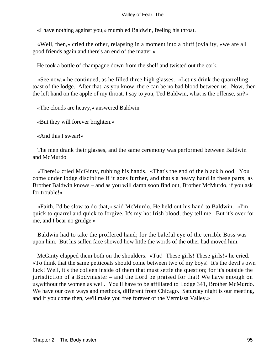«I have nothing against you,» mumbled Baldwin, feeling his throat.

 «Well, then,» cried the other, relapsing in a moment into a bluff joviality, «we are all good friends again and there's an end of the matter.»

He took a bottle of champagne down from the shelf and twisted out the cork.

 «See now,» he continued, as he filled three high glasses. «Let us drink the quarrelling toast of the lodge. After that, as you know, there can be no bad blood between us. Now, then the left hand on the apple of my throat. I say to you, Ted Baldwin, what is the offense, sir?»

«The clouds are heavy,» answered Baldwin

«But they will forever brighten.»

«And this I swear!»

 The men drank their glasses, and the same ceremony was performed between Baldwin and McMurdo

 «There!» cried McGinty, rubbing his hands. «That's the end of the black blood. You come under lodge discipline if it goes further, and that's a heavy hand in these parts, as Brother Baldwin knows – and as you will damn soon find out, Brother McMurdo, if you ask for trouble!»

 «Faith, I'd be slow to do that,» said McMurdo. He held out his hand to Baldwin. «I'm quick to quarrel and quick to forgive. It's my hot Irish blood, they tell me. But it's over for me, and I bear no grudge.»

 Baldwin had to take the proffered hand; for the baleful eye of the terrible Boss was upon him. But his sullen face showed how little the words of the other had moved him.

McGinty clapped them both on the shoulders. «Tut! These girls! These girls!» he cried. «To think that the same petticoats should come between two of my boys! It's the devil's own luck! Well, it's the colleen inside of them that must settle the question; for it's outside the jurisdiction of a Bodymaster – and the Lord be praised for that! We have enough on us,without the women as well. You'll have to be affiliated to Lodge 341, Brother McMurdo. We have our own ways and methods, different from Chicago. Saturday night is our meeting, and if you come then, we'll make you free forever of the Vermissa Valley.»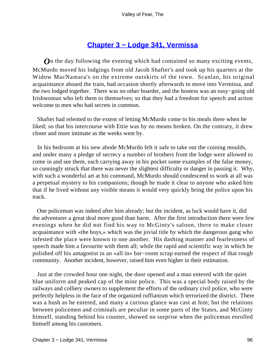# **[Chapter 3 − Lodge 341, Vermissa](#page-149-0)**

*O*n the day following the evening which had contained so many exciting events, McMurdo moved his lodgings from old Jacob Shafter's and took up his quarters at the Widow MacNamara's on the extreme outskirts of the town. Scanlan, his original acquaintance aboard the train, had occasion shortly afterwards to move into Vermissa, and the two lodged together. There was no other boarder, and the hostess was an easy−going old Irishwoman who left them to themselves; so that they had a freedom for speech and action welcome to men who had secrets in common.

 Shafter had relented to the extent of letting McMurdo come to his meals there when he liked; so that his intercourse with Ettie was by no means broken. On the contrary, it drew closer and more intimate as the weeks went by.

 In his bedroom at his new abode McMurdo felt it safe to take out the coining moulds, and under many a pledge of secrecy a number of brothers from the lodge were allowed to come in and see them, each carrying away in his pocket some examples of the false money, so cunningly struck that there was never the slightest difficulty or danger in passing it. Why, with such a wonderful art at his command, McMurdo should condescend to work at all was a perpetual mystery to his companions; though he made it clear to anyone who asked him that if he lived without any visible means it would very quickly bring the police upon his track.

 One policeman was indeed after him already; but the incident, as luck would have it, did the adventurer a great deal more good than harm. After the first introduction there were few evenings when he did not find his way to McGinty's saloon, there to make closer acquaintance with «the boys,» which was the jovial title by which the dangerous gang who infested the place were known to one another. His dashing manner and fearlessness of speech made him a favourite with them all; while the rapid and scientific way in which he polished off his antagonist in an «all in» bar−room scrap earned the respect of that rough community. Another incident, however, raised him even higher in their estimation.

 Just at the crowded hour one night, the door opened and a man entered with the quiet blue uniforrn and peaked cap of the mine police. This was a special body raised by the railways and colliery owners to supplement the efforts of the ordinary civil police, who were perfectly helpless in the face of the organized ruffianism which terrorized the district. There was a hush as he entered, and many a curious glance was cast at him; but the relations between policemen and criminals are peculiar in some parts of the States, and McGinty himself, standing behind his counter, showed no surprise when the policeman enrolled himself among his customers.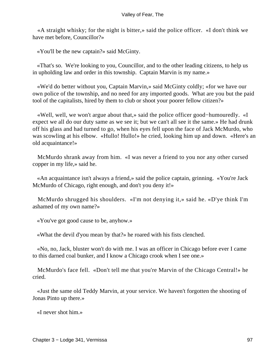«A straight whisky; for the night is bitter,» said the police officer. «I don't think we have met before, Councillor?»

«You'll be the new captain?» said McGinty.

 «That's so. We're looking to you, Councillor, and to the other leading citizens, to help us in upholding law and order in this township. Captain Marvin is my name.»

 «We'd do better without you, Captain Marvin,» said McGinty coldly; «for we have our own police of the township, and no need for any imported goods. What are you but the paid tool of the capitalists, hired by them to club or shoot your poorer fellow citizen?»

 «Well, well, we won't argue about that,» said the police officer good−humouredly. «I expect we all do our duty same as we see it; but we can't all see it the same.» He had drunk off his glass and had turned to go, when his eyes fell upon the face of Jack McMurdo, who was scowling at his elbow. «Hullo! Hullo!» he cried, looking him up and down. «Here's an old acquaintance!»

 McMurdo shrank away from him. «I was never a friend to you nor any other cursed copper in my life,» said he.

 «An acquaintance isn't always a friend,» said the police captain, grinning. «You're Jack McMurdo of Chicago, right enough, and don't you deny it!»

 McMurdo shrugged his shoulders. «I'm not denying it,» said he. «D'ye think I'm ashamed of my own name?»

«You've got good cause to be, anyhow.»

«What the devil d'you mean by that?» he roared with his fists clenched.

 «No, no, Jack, bluster won't do with me. I was an officer in Chicago before ever I came to this darned coal bunker, and I know a Chicago crook when I see one.»

 McMurdo's face fell. «Don't tell me that you're Marvin of the Chicago Central!» he cried.

 «Just the same old Teddy Marvin, at your service. We haven't forgotten the shooting of Jonas Pinto up there.»

«I never shot him.»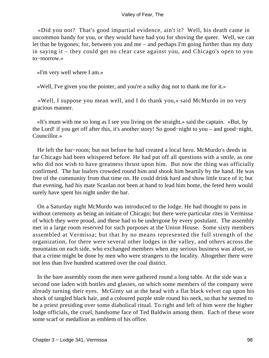«Did you not? That's good impartial evidence, ain't it? Well, his death came in uncommon handy for you, or they would have had you for shoving the queer. Well, we can let that be bygones; for, between you and me – and perhaps I'm going further than my duty in saying it – they could get no clear case against you, and Chicago's open to you to−morrow.»

«I'm very well where I am.»

«Well, I've given you the pointer, and you're a sulky dog not to thank me for it.»

 «Well, I suppose you mean well, and I do thank you,» said McMurdo in no very gracious manner.

 «It's mum with me so long as I see you living on the straight,» said the captain. «But, by the Lord! if you get off after this, it's another story! So good−night to you – and good−night, Councillor.»

 He left the bar−room; but not before he had created a local hero. McMurdo's deeds in far Chicago had been whispered before. He had put off all questions with a smile, as one who did not wish to have greatness thrust upon him. But now the thing was officially confirmed. The bar loafers crowded round him and shook him heartily by the hand. He was free of the community from that time on. He could drink hard and show little trace of it; but that evening, had his mate Scanlan not been at hand to lead him home, the feted hero would surely have spent his night under the bar.

 On a Saturday night McMurdo was introduced to the lodge. He had thought to pass in without ceremony as being an initiate of Chicago; but there were particular rites in Vermissa of which they were proud, and these had to be undergone by every postulant. The assembly met in a large room reserved for such purposes at the Union House. Some sixty members assembled at Vermissa; but that by no means represented the full strength of the organization, for there were several other lodges in the valley, and others across the mountains on each side, who exchanged members when any serious business was afoot, so that a crime might be done by men who were strangers to the locality. Altogether there were not less than five hundred scattered over the coal district.

 In the bare assembly room the men were gathered round a long table. At the side was a second one laden with bottles and glasses, on which some members of the company were already turning their eyes. McGinty sat at the head with a flat black velvet cap upon his shock of tangled black hair, and a coloured purple stole round his neck, so that he seemed to be a priest presiding over some diabolical ritual. To right and left of him were the higher lodge officials, the cruel, handsome face of Ted Baldwin among them. Each of these wore some scarf or medallion as emblem of his office.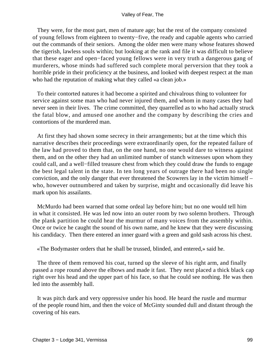They were, for the most part, men of mature age; but the rest of the company consisted of young fellows from eighteen to twenty−five, the ready and capable agents who carried out the commands of their seniors. Among the older men were many whose features showed the tigerish, lawless souls within; but looking at the rank and file it was difficult to believe that these eager and open−faced young fellows were in very truth a dangerous gang of murderers, whose minds had suffered such complete moral perversion that they took a horrible pride in their proficiency at the business, and looked with deepest respect at the man who had the reputation of making what they called «a clean job.»

 To their contorted natures it had become a spirited and chivalrous thing to volunteer for service against some man who had never injured them, and whom in many cases they had never seen in their lives. The crime committed, they quarrelled as to who had actually struck the fatal blow, and amused one another and the company by describing the cries and contortions of the murdered man.

 At first they had shown some secrecy in their arrangements; but at the time which this narrative describes their proceedings were extraordinarily open, for the repeated failure of the law had proved to them that, on the one hand, no one would dare to witness against them, and on the other they had an unlimited number of stanch witnesses upon whom they could call, and a well−filled treasure chest from which they could draw the funds to engage the best legal talent in the state. In ten long years of outrage there had been no single conviction, and the only danger that ever threatened the Scowrers lay in the victim himself – who, however outnumbered and taken by surprise, might and occasionally did leave his mark upon his assailants.

 McMurdo had been warned that some ordeal lay before him; but no one would tell him in what it consisted. He was led now into an outer room by two solemn brothers. Through the plank partition he could hear the murmur of many voices from the assembly within. Once or twice he caught the sound of his own name, and he knew that they were discussing his candidacy. Then there entered an inner guard with a green and gold sash across his chest.

«The Bodymaster orders that he shall be trussed, blinded, and entered,» said he.

 The three of them removed his coat, turned up the sleeve of his right arm, and finally passed a rope round above the elbows and made it fast. They next placed a thick black cap right over his head and the upper part of his face, so that he could see nothing. He was then led into the assembly hall.

 It was pitch dark and very oppressive under his hood. He heard the rustle and murmur of the people round him, and then the voice of McGinty sounded dull and distant through the covering of his ears.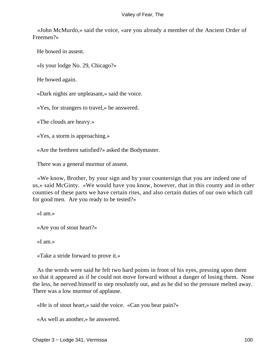«John McMurdo,» said the voice, «are you already a member of the Ancient Order of Freemen?»

He bowed in assent.

«Is your lodge No. 29, Chicago?»

He bowed again.

«Dark nights are unpleasant,» said the voice.

«Yes, for strangers to travel,» he answered.

«The clouds are heavy.»

«Yes, a storm is approaching.»

«Are the brethren satisfied?» asked the Bodymaster.

There was a general murmur of assent.

 «We know, Brother, by your sign and by your countersign that you are indeed one of us,» said McGinty. «We would have you know, however, that in this county and in other counties of these parts we have certain rites, and also certain duties of our own which call for good men. Are you ready to be tested?»

«I am.»

«Are you of stout heart?»

«I am.»

«Take a stride forward to prove it.»

 As the words were said he felt two hard points in front of his eyes, pressing upon them so that it appeared as if he could not move forward without a danger of losing them. None the less, he nerved himself to step resolutely out, and as he did so the pressure melted away. There was a low murmur of applause.

«He is of stout heart,» said the voice. «Can you bear pain?»

«As well as another,» he answered.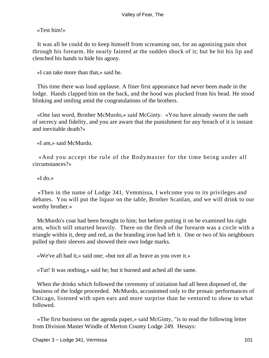«Test him!»

 It was all he could do to keep himself from screaming out, for an agonizing pain shot through his forearm. He nearly fainted at the sudden shock of it; but he bit his lip and clenched his hands to hide his agony.

«I can take more than that,» said he.

 This time there was loud applause. A finer first appearance had never been made in the lodge. Hands clapped him on the back, and the hood was plucked from his head. He stood blinking and smiling amid the congratulations of the brothers.

 «One last word, Brother McMurdo,» said McGinty. «You have already sworn the oath of secrecy and fidelity, and you are aware that the punishment for any breach of it is instant and inevitable death?»

«I am,» said McMurdo.

 «And you accept the rule of the Bodymaster for the time being under all circumstances?»

«I do.»

 «Then in the name of Lodge 341, Vemmissa, I welcome you to its privileges and debates. You will put the liquor on the table, Brother Scanlan, and we will drink to our worthy brother.»

 McMurdo's coat had been brought to him; but before putting it on he examined his right arm, which still smarted heavily. There on the flesh of the forearm was a circle with a triangle within it, deep and red, as the branding iron had left it. One or two of his neighbours pulled up their sleeves and showed their own lodge marks.

«We've all had it,» said one; «but not all as brave as you over it.»

«Tut! It was nothing,» said he; but it burned and ached all the same.

 When the drinks which followed the ceremony of initiation had all been disposed of, the business of the lodge proceeded. McMurdo, accustomed only to the prosaic performances of Chicago, listened with open ears and more surprise than he ventured to show to what followed.

 «The first business on the agenda paper,» said McGinty, "is to read the following letter from Division Master Windle of Merton County Lodge 249. Hesays: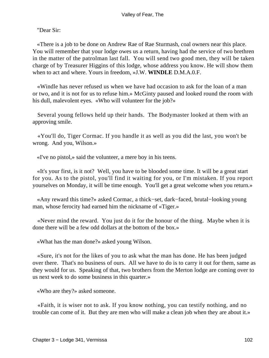"Dear Sir:

 «There is a job to be done on Andrew Rae of Rae Sturmash, coal owners near this place. You will remember that your lodge owes us a return, having had the service of two brethren in the matter of the patrolman last fall. You will send two good men, they will be taken charge of by Treasurer Higgins of this lodge, whose address you know. He will show them when to act and where. Yours in freedom, »J.W. **WINDLE** D.M.A.0.F.

 «Windle has never refused us when we have had occasion to ask for the loan of a man or two, and it is not for us to refuse him.» McGinty paused and looked round the room with his dull, malevolent eyes. «Who will volunteer for the job?»

 Several young fellows held up their hands. The Bodymaster looked at them with an approving smile.

 «You'll do, Tiger Cormac. If you handle it as well as you did the last, you won't be wrong. And you, Wilson.»

«I've no pistol,» said the volunteer, a mere boy in his teens.

 «It's your first, is it not? Well, you have to be blooded some time. It will be a great start for you. As to the pistol, you'll find it waiting for you, or I'm mistaken. If you report yourselves on Monday, it will be time enough. You'll get a great welcome when you return.»

 «Any reward this time?» asked Cormac, a thick−set, dark−faced, brutal−looking young man, whose ferocity had earned him the nickname of «Tiger.»

 «Never mind the reward. You just do it for the honour of the thing. Maybe when it is done there will be a few odd dollars at the bottom of the box.»

«What has the man done?» asked young Wilson.

 «Sure, it's not for the likes of you to ask what the man has done. He has been judged over there. That's no business of ours. All we have to do is to carry it out for them, same as they would for us. Speaking of that, two brothers from the Merton lodge are coming over to us next week to do some business in this quarter.»

«Who are they?» asked someone.

 «Faith, it is wiser not to ask. If you know nothing, you can testify nothing, and no trouble can come of it. But they are men who will make a clean job when they are about it.»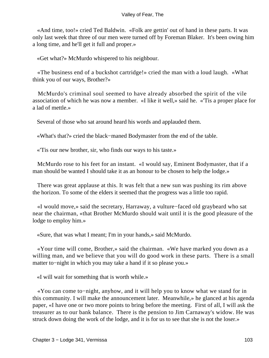«And time, too!» cried Ted Baldwin. «Folk are gettin' out of hand in these parts. It was only last week that three of our men were turned off by Foreman Blaker. It's been owing him a long time, and he'll get it full and proper.»

«Get what?» McMurdo whispered to his neighbour.

 «The business end of a buckshot cartridge!» cried the man with a loud laugh. «What think you of our ways, Brother?»

 McMurdo's criminal soul seemed to have already absorbed the spirit of the vile association of which he was now a member. «I like it well,» said he. «'Tis a proper place for a lad of mettle.»

Several of those who sat around heard his words and applauded them.

«What's that?» cried the black−maned Bodymaster from the end of the table.

«'Tis our new brother, sir, who finds our ways to his taste.»

 McMurdo rose to his feet for an instant. «I would say, Eminent Bodymaster, that if a man should be wanted I should take it as an honour to be chosen to help the lodge.»

 There was great applause at this. It was felt that a new sun was pushing its rim above the horizon. To some of the elders it seemed that the progress was a little too rapid.

 «I would move,» said the secretary, Harraway, a vulture−faced old graybeard who sat near the chairman, «that Brother McMurdo should wait until it is the good pleasure of the lodge to employ him.»

«Sure, that was what I meant; I'm in your hands,» said McMurdo.

 «Your time will come, Brother,» said the chairman. «We have marked you down as a willing man, and we believe that you will do good work in these parts. There is a small matter to−night in which you may take a hand if it so please you.»

«I will wait for something that is worth while.»

 «You can come to−night, anyhow, and it will help you to know what we stand for in this community. I will make the announcement later. Meanwhile,» he glanced at his agenda paper, «I have one or two more points to bring before the meeting. First of all, I will ask the treasurer as to our bank balance. There is the pension to Jim Carnaway's widow. He was struck down doing the work of the lodge, and it is for us to see that she is not the loser.»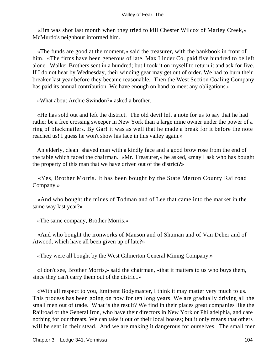«Jim was shot last month when they tried to kill Chester Wilcox of Marley Creek,» McMurdo's neighbour informed him.

 «The funds are good at the moment,» said the treasurer, with the bankbook in front of him. «The firms have been generous of late. Max Linder Co. paid five hundred to be left alone. Walker Brothers sent in a hundred; but I took it on myself to return it and ask for five. If I do not hear by Wednesday, their winding gear may get out of order. We had to burn their breaker last year before they became reasonable. Then the West Section Coaling Company has paid its annual contribution. We have enough on hand to meet any obligations.»

«What about Archie Swindon?» asked a brother.

 «He has sold out and left the district. The old devil left a note for us to say that he had rather be a free crossing sweeper in New York than a large mine owner under the power of a ring of blackmailers. By Gar! it was as well that he made a break for it before the note reached us! I guess he won't show his face in this valley again.»

 An elderly, clean−shaved man with a kindly face and a good brow rose from the end of the table which faced the chairman. «Mr. Treasurer,» he asked, «may I ask who has bought the property of this man that we have driven out of the district?»

 «Yes, Brother Morris. It has been bought by the State Merton County Railroad Company.»

 «And who bought the mines of Todman and of Lee that came into the market in the same way last year?»

«The same company, Brother Morris.»

 «And who bought the ironworks of Manson and of Shuman and of Van Deher and of Atwood, which have all been given up of late?»

«They were all bought by the West Gilmerton General Mining Company.»

 «I don't see, Brother Morris,» said the chairman, «that it matters to us who buys them, since they can't carry them out of the district.»

 «With all respect to you, Eminent Bodymaster, I think it may matter very much to us. This process has been going on now for ten long years. We are gradually driving all the small men out of trade. What is the result? We find in their places great companies like the Railroad or the General Iron, who have their directors in New York or Philadelphia, and care nothing for our threats. We can take it out of their local bosses; but it only means that others will be sent in their stead. And we are making it dangerous for ourselves. The small men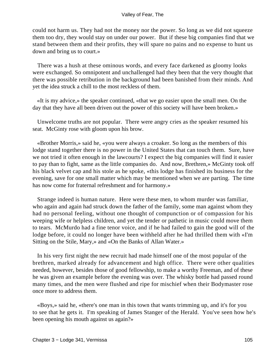could not harm us. They had not the money nor the power. So long as we did not squeeze them too dry, they would stay on under our power. But if these big companies find that we stand between them and their profits, they will spare no pains and no expense to hunt us down and bring us to court.»

 There was a hush at these ominous words, and every face darkened as gloomy looks were exchanged. So omnipotent and unchallenged had they been that the very thought that there was possible retribution in the background had been banished from their minds. And yet the idea struck a chill to the most reckless of them.

 «It is my advice,» the speaker continued, «that we go easier upon the small men. On the day that they have all been driven out the power of this society will have been broken.»

 Unwelcome truths are not popular. There were angry cries as the speaker resumed his seat. McGinty rose with gloom upon his brow.

 «Brother Morris,» said he, «you were always a croaker. So long as the members of this lodge stand together there is no power in the United States that can touch them. Sure, have we not tried it often enough in the lawcourts? I expect the big companies will find it easier to pay than to fight, same as the little companies do. And now, Brethren,» McGinty took off his black velvet cap and his stole as he spoke, «this lodge has finished its business for the evening, save for one small matter which may be mentioned when we are parting. The time has now come for fraternal refreshment and for harmony.»

 Strange indeed is human nature. Here were these men, to whom murder was familiar, who again and again had struck down the father of the family, some man against whom they had no personal feeling, without one thought of compunction or of compassion for his weeping wife or helpless children, and yet the tender or pathetic in music could move them to tears. McMurdo had a fine tenor voice, and if he had failed to gain the good will of the lodge before, it could no longer have been withheld after he had thrilled them with «I'm Sitting on the Stile, Mary,» and «On the Banks of Allan Water.»

 In his very first night the new recruit had made himself one of the most popular of the brethren, marked already for advancement and high office. There were other qualities needed, however, besides those of good fellowship, to make a worthy Freeman, and of these he was given an example before the evening was over. The whisky bottle had passed round many times, and the men were flushed and ripe for mischief when their Bodymaster rose once more to address them.

 «Boys,» said he, «there's one man in this town that wants trimming up, and it's for you to see that he gets it. I'm speaking of James Stanger of the Herald. You've seen how he's been opening his mouth against us again?»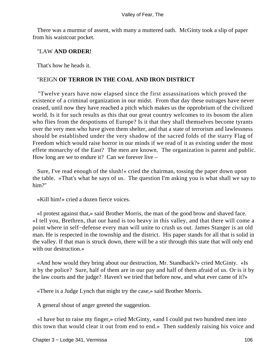There was a murmur of assent, with many a muttered oath. McGinty took a slip of paper from his waistcoat pocket.

### "LAW **AND ORDER!**

That's how he heads it.

### "REIGN **OF TERROR IN THE COAL AND IRON DISTRICT**

 "Twelve years have now elapsed since the first assassinations which proved the existence of a criminal organization in our midst. From that day these outrages have never ceased, until now they have reached a pitch which makes us the opprobrium of the civilized world. Is it for such results as this that our great country welcomes to its bosom the alien who flies from the despotisms of Europe? Is it that they shall themselves become tyrants over the very men who have given them shelter, and that a state of terrorism and lawlessness should be established under the very shadow of the sacred folds of the starry Flag of Freedom which would raise horror in our minds if we read of it as existing under the most effete monarchy of the East? The men are known. The organization is patent and public. How long are we to endure it? Can we forever live –

 Sure, I've read enough of the slush!« cried the chairman, tossing the paper down upon the table. »That's what he says of us. The question I'm asking you is what shall we say to him?"

«Kill him!» cried a dozen fierce voices.

 «I protest against that,» said Brother Morris, the man of the good brow and shaved face. «I tell you, Brethren, that our hand is too heavy in this valley, and that there will come a point where in self−defense every man will unite to crush us out. James Stanger is an old man. He is respected in the township and the district. His paper stands for all that is solid in the valley. If that man is struck down, there will be a stir through this state that will only end with our destruction.»

 «And how would they bring about our destruction, Mr. Standback?» cried McGinty. «Is it by the police? Sure, half of them are in our pay and half of them afraid of us. Or is it by the law courts and the judge? Haven't we tried that before now, and what ever came of it?»

«There is a Judge Lynch that might try the case,» said Brother Morris.

A general shout of anger greeted the suggestion.

 «I have but to raise my finger,» cried McGinty, «and I could put two hundred men into this town that would clear it out from end to end.» Then suddenly raising his voice and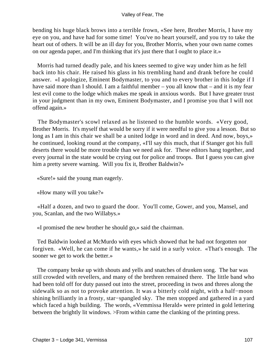bending his huge black brows into a terrible frown, «See here, Brother Morris, I have my eye on you, and have had for some time! You've no heart yourself, and you try to take the heart out of others. It will be an ill day for you, Brother Morris, when your own name comes on our agenda paper, and I'm thinking that it's just there that I ought to place it.»

 Morris had turned deadly pale, and his knees seemed to give way under him as he fell back into his chair. He raised his glass in his trembling hand and drank before he could answer. «I apologize, Eminent Bodymaster, to you and to every brother in this lodge if I have said more than I should. I am a faithful member – you all know that – and it is my fear lest evil come to the lodge which makes me speak in anxious words. But I have greater trust in your judgment than in my own, Eminent Bodymaster, and I promise you that I will not offend again.»

 The Bodymaster's scowl relaxed as he listened to the humble words. «Very good, Brother Morris. It's myself that would be sorry if it were needful to give you a lesson. But so long as I am in this chair we shall be a united lodge in word and in deed. And now, boys,» he continued, looking round at the company, «I'll say this much, that if Stanger got his full deserts there would be more trouble than we need ask for. These editors hang together, and every journal in the state would be crying out for police and troops. But I guess you can give him a pretty severe warning. Will you fix it, Brother Baldwin?»

«Sure!» said the young man eagerly.

«How many will you take?»

 «Half a dozen, and two to guard the door. You'll come, Gower, and you, Mansel, and you, Scanlan, and the two Willabys.»

«I promised the new brother he should go,» said the chairman.

 Ted Baldwin looked at McMurdo with eyes which showed that he had not forgotten nor forgiven. «Well, he can come if he wants,» he said in a surly voice. «That's enough. The sooner we get to work the better.»

 The company broke up with shouts and yells and snatches of drunken song. The bar was still crowded with revellers, and many of the brethren remained there. The little band who had been told off for duty passed out into the street, proceeding in twos and threes along the sidewalk so as not to provoke attention. It was a bitterly cold night, with a half−moon shining brilliantly in a frosty, star−spangled sky. The men stopped and gathered in a yard which faced a high building. The words, «Vemmissa Herald» were printed in gold lettering between the brightly lit windows. >From within came the clanking of the printing press.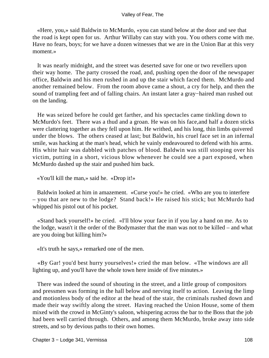«Here, you,» said Baldwin to McMurdo, «you can stand below at the door and see that the road is kept open for us. Arthur Willaby can stay with you. You others come with me. Have no fears, boys; for we have a dozen witnesses that we are in the Union Bar at this very moment.»

 It was nearly midnight, and the street was deserted save for one or two revellers upon their way home. The party crossed the road, and, pushing open the door of the newspaper office, Baldwin and his men rushed in and up the stair which faced them. McMurdo and another remained below. From the room above came a shout, a cry for help, and then the sound of trampling feet and of falling chairs. An instant later a gray−haired man rushed out on the landing.

 He was seized before he could get farther, and his spectacles came tinkling down to McMurdo's feet. There was a thud and a groan. He was on his face,and half a dozen sticks were clattering together as they fell upon him. He writhed, and his long, thin limbs quivered under the blows. The others ceased at last; but Baldwin, his cruel face set in an infernal smile, was hacking at the man's head, which he vainly endeavoured to defend with his arms. His white hair was dabbled with patches of blood. Baldwin was still stooping over his victim, putting in a short, vicious blow whenever he could see a part exposed, when McMurdo dashed up the stair and pushed him back.

«You'll kill the man,» said he. «Drop it!»

 Baldwin looked at him in amazement. «Curse you!» he cried. «Who are you to interfere – you that are new to the lodge? Stand back!» He raised his stick; but McMurdo had whipped his pistol out of his pocket.

 «Stand back yourself!» he cried. «I'll blow your face in if you lay a hand on me. As to the lodge, wasn't it the order of the Bodymaster that the man was not to be killed – and what are you doing but killing him?»

«It's truth he says,» remarked one of the men.

 «By Gar! you'd best hurry yourselves!» cried the man below. «The windows are all lighting up, and you'll have the whole town here inside of five minutes.»

 There was indeed the sound of shouting in the street, and a little group of compositors and pressmen was forming in the hall below and nerving itself to action. Leaving the limp and motionless body of the editor at the head of the stair, the criminals rushed down and made their way swiftly along the street. Having reached the Union House, some of them mixed with the crowd in McGinty's saloon, whispering across the bar to the Boss that the job had been well carried through. Others, and among them McMurdo, broke away into side streets, and so by devious paths to their own homes.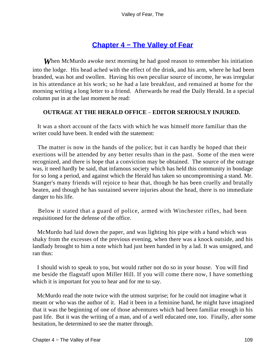## **[Chapter 4 − The Valley of Fear](#page-149-0)**

*W*hen McMurdo awoke next morning he had good reason to remember his initiation into the lodge. His head ached with the effect of the drink, and his arm, where he had been branded, was hot and swollen. Having his own peculiar source of income, he was irregular in his attendance at his work; so he had a late breakfast, and remained at home for the morning writing a long letter to a friend. Afterwards he read the Daily Herald. In a special column put in at the last moment he read:

### **OUTRAGE AT THE HERALD OFFICE** – **EDITOR SERIOUSLY INJURED.**

 It was a short account of the facts with which he was himself more familiar than the writer could have been. It ended with the statement:

 The matter is now in the hands of the police; but it can hardly be hoped that their exertions will be attended by any better results than in the past. Some of the men were recognized, and there is hope that a conviction may be obtained. The source of the outrage was, it need hardly be said, that infamous society which has held this community in bondage for so long a period, and against which the Herald has taken so uncompromising a stand. Mr. Stanger's many friends will rejoice to hear that, though he has been cruelly and brutally beaten, and though he has sustained severe injuries about the head, there is no immediate danger to his life.

 Below it stated that a guard of police, armed with Winchester rifles, had been requisitioned for the defense of the office.

 McMurdo had laid down the paper, and was lighting his pipe with a hand which was shaky from the excesses of the previous evening, when there was a knock outside, and his landlady brought to him a note which had just been handed in by a lad. It was unsigned, and ran thus:

 I should wish to speak to you, but would rather not do so in your house. You will find me beside the flagstaff upon Miller Hill. If you will come there now, I have something which it is important for you to hear and for me to say.

 McMurdo read the note twice with the utmost surprise; for he could not imagine what it meant or who was the author of it. Had it been in a feminine hand, he might have imagined that it was the beginning of one of those adventures which had been familiar enough in his past life. But it was the writing of a man, and of a well educated one, too. Finally, after some hesitation, he determined to see the matter through.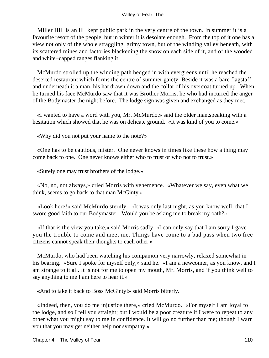Miller Hill is an ill−kept public park in the very centre of the town. In summer it is a favourite resort of the people, but in winter it is desolate enough. From the top of it one has a view not only of the whole straggling, grimy town, but of the winding valley beneath, with its scattered mines and factories blackening the snow on each side of it, and of the wooded and white−capped ranges flanking it.

 McMurdo strolled up the winding path hedged in with evergreens until he reached the deserted restaurant which forms the centre of summer gaiety. Beside it was a bare flagstaff, and underneath it a man, his hat drawn down and the collar of his overcoat turned up. When he turned his face McMurdo saw that it was Brother Morris, he who had incurred the anger of the Bodymaster the night before. The lodge sign was given and exchanged as they met.

 «I wanted to have a word with you, Mr. McMurdo,» said the older man,speaking with a hesitation which showed that he was on delicate ground. «It was kind of you to come.»

«Why did you not put your name to the note?»

 «One has to be cautious, mister. One never knows in times like these how a thing may come back to one. One never knows either who to trust or who not to trust.»

«Surely one may trust brothers of the lodge.»

 «No, no, not always,» cried Morris with vehemence. «Whatever we say, even what we think, seems to go back to that man McGinty.»

 «Look here!» said McMurdo sternly. «It was only last night, as you know well, that I swore good faith to our Bodymaster. Would you be asking me to break my oath?»

 «If that is the view you take,» said Morris sadly, «I can only say that I am sorry I gave you the trouble to come and meet me. Things have come to a bad pass when two free citizens cannot speak their thoughts to each other.»

 McMurdo, who had been watching his companion very narrowly, relaxed somewhat in his bearing. «Sure I spoke for myself only,» said he. «I am a newcomer, as you know, and I am strange to it all. It is not for me to open my mouth, Mr. Morris, and if you think well to say anything to me I am here to hear it.»

«And to take it back to Boss McGinty!» said Morris bitterly.

 «Indeed, then, you do me injustice there,» cried McMurdo. «For myself I am loyal to the lodge, and so I tell you straight; but I would be a poor creature if I were to repeat to any other what you might say to me in confidence. It will go no further than me; though I warn you that you may get neither help nor sympathy.»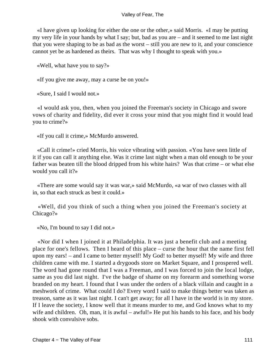«I have given up looking for either the one or the other,» said Morris. «I may be putting my very life in your hands by what I say; but, bad as you are – and it seemed to me last night that you were shaping to be as bad as the worst – still you are new to it, and your conscience cannot yet be as hardened as theirs. That was why I thought to speak with you.»

«Well, what have you to say?»

«If you give me away, may a curse be on you!»

«Sure, I said I would not.»

 «I would ask you, then, when you joined the Freeman's society in Chicago and swore vows of charity and fidelity, did ever it cross your mind that you might find it would lead you to crime?»

«If you call it crime,» McMurdo answered.

 «Call it crime!» cried Morris, his voice vibrating with passion. «You have seen little of it if you can call it anything else. Was it crime last night when a man old enough to be your father was beaten till the blood dripped from his white hairs? Was that crime – or what else would you call it?»

 «There are some would say it was war,» said McMurdo, «a war of two classes with all in, so that each struck as best it could.»

 «Well, did you think of such a thing when you joined the Freeman's society at Chicago?»

«No, I'm bound to say I did not.»

 «Nor did I when I joined it at Philadelphia. It was just a benefit club and a meeting place for one's fellows. Then I heard of this place – curse the hour that the name first fell upon my ears! – and I came to better myself! My God! to better myself! My wife and three children came with me. I started a drygoods store on Market Square, and I prospered well. The word had gone round that I was a Freeman, and I was forced to join the local lodge, same as you did last night. I've the badge of shame on my forearm and something worse branded on my heart. I found that I was under the orders of a black villain and caught in a meshwork of crime. What could I do? Every word I said to make things better was taken as treason, same as it was last night. I can't get away; for all I have in the world is in my store. If I leave the society, I know well that it means murder to me, and God knows what to my wife and children. Oh, man, it is awful – awful!» He put his hands to his face, and his body shook with convulsive sobs.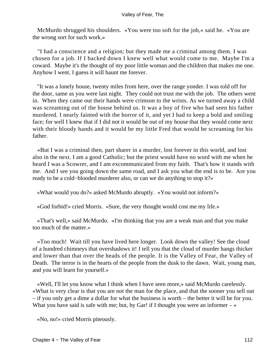McMurdo shrugged his shoulders. «You were too soft for the job,» said he. «You are the wrong sort for such work.»

 "I had a conscience and a religion; but they made me a criminal among them. I was chosen for a job. If I backed down I knew well what would come to me. Maybe I'm a coward. Maybe it's the thought of my poor little woman and the children that makes me one. Anyhow I went. I guess it will haunt me forever.

 "It was a lonely house, twenty miles from here, over the range yonder. I was told off for the door, same as you were last night. They could not trust me with the job. The others went in. When they came out their hands were crimson to the wrists. As we turned away a child was screaming out of the house behind us. It was a boy of five who had seen his father murdered. I nearly fainted with the horror of it, and yet I had to keep a bold and smiling face; for well I knew that if I did not it would be out of my house that they would come next with their bloody hands and it would be my little Fred that would be screaming for his father.

 «But I was a criminal then, part sharer in a murder, lost forever in this world, and lost also in the next. I am a good Catholic; but the priest would have no word with me when he heard I was a Scowrer, and I am excommunicated from my faith. That's how it stands with me. And I see you going down the same road, and I ask you what the end is to be. Are you ready to be a cold−blooded murderer also, or can we do anything to stop it?»

«What would you do?» asked McMurdo abruptly. «You would not inform?»

«God forbid!» cried Morris. «Sure, the very thought would cost me my life.»

 «That's well,» said McMurdo. «I'm thinking that you are a weak man and that you make too much of the matter.»

 «Too much! Wait till you have lived here longer. Look down the valley! See the cloud of a hundred chimneys that overshadows it! I tell you that the cloud of murder hangs thicker and lower than that over the heads of the people. It is the Valley of Fear, the Valley of Death. The terror is in the hearts of the people from the dusk to the dawn. Wait, young man, and you will learn for yourself.»

 «Well, I'll let you know what I think when I have seen more,» said McMurdo carelessly. «What is very clear is that you are not the man for the place, and that the sooner you sell out – if you only get a dime a dollar for what the business is worth – the better it will be for you. What you have said is safe with me; but, by Gar! if I thought you were an informer  $-\infty$ 

«No, no!» cried Morris piteously.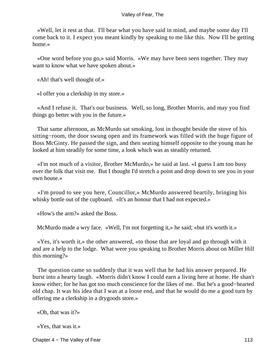«Well, let it rest at that. I'll bear what you have said in mind, and maybe some day I'll come back to it. I expect you meant kindly by speaking to me like this. Now I'll be getting home.»

 «One word before you go,» said Morris. «We may have been seen together. They may want to know what we have spoken about.»

«Ah! that's well thought of.»

«I offer you a clerkship in my store.»

 «And I refuse it. That's our business. Well, so long, Brother Morris, and may you find things go better with you in the future.»

 That same afternoon, as McMurdo sat smoking, lost in thought beside the stove of his sitting−room, the door swung open and its framework was filled with the huge figure of Boss McGinty. He passed the sign, and then seating himself opposite to the young man he looked at him steadily for some time, a look which was as steadily returned.

 «I'm not much of a visitor, Brother McMurdo,» he said at last. «I guess I am too busy over the folk that visit me. But I thought I'd stretch a point and drop down to see you in your own house.»

 «I'm proud to see you here, Councillor,» McMurdo answered heartily, bringing his whisky bottle out of the cupboard. «It's an honour that I had not expected.»

«How's the arm?» asked the Boss.

McMurdo made a wry face. «Well, I'm not forgetting it,» he said; «but it's worth it.»

 «Yes, it's worth it,» the other answered, «to those that are loyal and go through with it and are a help to the lodge. What were you speaking to Brother Morris about on Miller Hill this morning?»

 The question came so suddenly that it was well that he had his answer prepared. He burst into a hearty laugh. «Morris didn't know I could earn a living here at home. He shan't know either; for he has got too much conscience for the likes of me. But he's a good−hearted old chap. It was his idea that I was at a loose end, and that he would do me a good turn by offering me a clerkship in a drygoods store.»

«Oh, that was it?»

«Yes, that was it.»

Chapter 4 − The Valley of Fear 113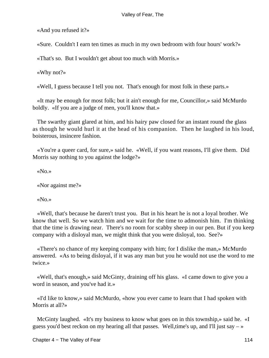«And you refused it?»

«Sure. Couldn't I earn ten times as much in my own bedroom with four hours' work?»

«That's so. But I wouldn't get about too much with Morris.»

«Why not?»

«Well, I guess because I tell you not. That's enough for most folk in these parts.»

 «It may be enough for most folk; but it ain't enough for me, Councillor,» said McMurdo boldly. «If you are a judge of men, you'll know that.»

 The swarthy giant glared at him, and his hairy paw closed for an instant round the glass as though he would hurl it at the head of his companion. Then he laughed in his loud, boisterous, insincere fashion.

 «You're a queer card, for sure,» said he. «Well, if you want reasons, I'll give them. Did Morris say nothing to you against the lodge?»

«No.»

«Nor against me?»

«No.»

 «Well, that's because he daren't trust you. But in his heart he is not a loyal brother. We know that well. So we watch him and we wait for the time to admonish him. I'm thinking that the time is drawing near. There's no room for scabby sheep in our pen. But if you keep company with a disloyal man, we might think that you were disloyal, too. See?»

 «There's no chance of my keeping company with him; for I dislike the man,» McMurdo answered. «As to being disloyal, if it was any man but you he would not use the word to me twice.»

 «Well, that's enough,» said McGinty, draining off his glass. «I came down to give you a word in season, and you've had it.»

 «I'd like to know,» said McMurdo, «how you ever came to learn that I had spoken with Morris at all?»

 McGinty laughed. «It's my business to know what goes on in this township,» said he. «I guess you'd best reckon on my hearing all that passes. Well, time's up, and I'll just say  $-\infty$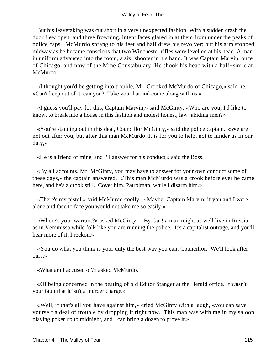But his leavetaking was cut short in a very unexpected fashion. With a sudden crash the door flew open, and three frowning, intent faces glared in at them from under the peaks of police caps. McMurdo sprang to his feet and half drew his revolver; but his arm stopped midway as he became conscious that two Winchester rifles were levelled at his head. A man in uniform advanced into the room, a six−shooter in his hand. It was Captain Marvin, once of Chicago, and now of the Mine Constabulary. He shook his head with a half−smile at McMurdo.

 «I thought you'd be getting into trouble, Mr. Crooked McMurdo of Chicago,» said he. «Can't keep out of it, can you? Take your hat and come along with us.»

 «I guess you'll pay for this, Captain Marvin,» said McGinty. «Who are you, I'd like to know, to break into a house in this fashion and molest honest, law−abiding men?»

 «You're standing out in this deal, Councillor McGinty,» said the police captain. «We are not out after you, but after this man McMurdo. It is for you to help, not to hinder us in our duty,»

«He is a friend of mine, and I'll answer for his conduct,» said the Boss.

 «By all accounts, Mr. McGinty, you may have to answer for your own conduct some of these days,» the captain answered. «This man McMurdo was a crook before ever he came here, and he's a crook still. Cover him, Patrolman, while I disarm him.»

 «There's my pistol,» said McMurdo coolly. «Maybe, Captain Marvin, if you and I were alone and face to face you would not take me so easily.»

 «Where's your warrant?» asked McGinty. «By Gar! a man might as well live in Russia as in Vemmissa while folk like you are running the police. It's a capitalist outrage, and you'll hear more of it, I reckon.»

 «You do what you think is your duty the best way you can, Councillor. We'll look after ours.»

«What am I accused of?» asked McMurdo.

 «Of being concerned in the beating of old Editor Stanger at the Herald office. It wasn't your fault that it isn't a murder charge.»

 «Well, if that's all you have against him,» cried McGinty with a laugh, «you can save yourself a deal of trouble by dropping it right now. This man was with me in my saloon playing poker up to midnight, and I can bring a dozen to prove it.»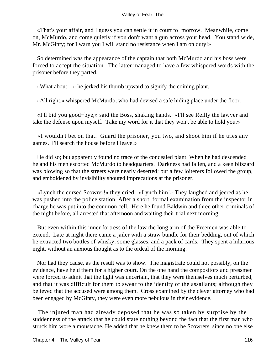«That's your affair, and I guess you can settle it in court to−morrow. Meanwhile, come on, McMurdo, and come quietly if you don't want a gun across your head. You stand wide, Mr. McGinty; for I warn you I will stand no resistance when I am on duty!»

 So determined was the appearance of the captain that both McMurdo and his boss were forced to accept the situation. The latter managed to have a few whispered words with the prisoner before they parted.

«What about  $-\infty$  he jerked his thumb upward to signify the coining plant.

«All right,» whispered McMurdo, who had devised a safe hiding place under the floor.

 «I'll bid you good−bye,» said the Boss, shaking hands. «I'll see Reilly the lawyer and take the defense upon myself. Take my word for it that they won't be able to hold you.»

 «I wouldn't bet on that. Guard the prisoner, you two, and shoot him if he tries any games. I'll search the house before I leave.»

 He did so; but apparently found no trace of the concealed plant. When he had descended he and his men escorted McMurdo to headquarters. Darkness had fallen, and a keen blizzard was blowing so that the streets were nearly deserted; but a few loiterers followed the group, and emboldened by invisibility shouted imprecations at the prisoner.

 «Lynch the cursed Scowrer!» they cried. «Lynch him!» They laughed and jeered as he was pushed into the police station. After a short, formal examination from the inspector in charge he was put into the common cell. Here he found Baldwin and three other criminals of the night before, all arrested that afternoon and waiting their trial next morning.

 But even within this inner fortress of the law the long arm of the Freemen was able to extend. Late at night there came a jailer with a straw bundle for their bedding, out of which he extracted two bottles of whisky, some glasses, and a pack of cards. They spent a hilarious night, without an anxious thought as to the ordeal of the morning.

 Nor had they cause, as the result was to show. The magistrate could not possibly, on the evidence, have held them for a higher court. On the one hand the compositors and pressmen were forced to admit that the light was uncertain, that they were themselves much perturbed, and that it was difficult for them to swear to the identity of the assailants; although they believed that the accused were among them. Cross examined by the clever attorney who had been engaged by McGinty, they were even more nebulous in their evidence.

 The injured man had already deposed that he was so taken by surprise by the suddenness of the attack that he could state nothing beyond the fact that the first man who struck him wore a moustache. He added that he knew them to be Scowrers, since no one else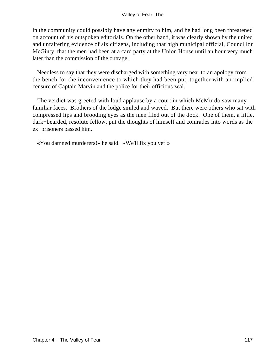in the community could possibly have any enmity to him, and he had long been threatened on account of his outspoken editorials. On the other hand, it was clearly shown by the united and unfaltering evidence of six citizens, including that high municipal official, Councillor McGinty, that the men had been at a card party at the Union House until an hour very much later than the commission of the outrage.

 Needless to say that they were discharged with something very near to an apology from the bench for the inconvenience to which they had been put, together with an implied censure of Captain Marvin and the police for their officious zeal.

 The verdict was greeted with loud applause by a court in which McMurdo saw many familiar faces. Brothers of the lodge smiled and waved. But there were others who sat with compressed lips and brooding eyes as the men filed out of the dock. One of them, a little, dark−bearded, resolute fellow, put the thoughts of himself and comrades into words as the ex−prisoners passed him.

«You damned murderers!» he said. «We'll fix you yet!»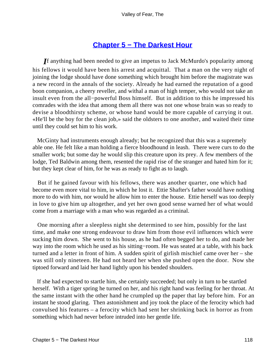## **[Chapter 5 − The Darkest Hour](#page-149-0)**

*I*f anything had been needed to give an impetus to Jack McMurdo's popularity among his fellows it would have been his arrest and acquittal. That a man on the very night of joining the lodge should have done something which brought him before the magistrate was a new record in the annals of the society. Already he had earned the reputation of a good boon companion, a cheery reveller, and withal a man of high temper, who would not take an insult even from the all−powerful Boss himself. But in addition to this he impressed his comrades with the idea that among them all there was not one whose brain was so ready to devise a bloodthirsty scheme, or whose hand would be more capable of carrying it out. «He'll be the boy for the clean job,» said the oldsters to one another, and waited their time until they could set him to his work.

 McGinty had instruments enough already; but he recognized that this was a supremely able one. He felt like a man holding a fierce bloodhound in leash. There were curs to do the smaller work; but some day he would slip this creature upon its prey. A few members of the lodge, Ted Baldwin among them, resented the rapid rise of the stranger and hated him for it; but they kept clear of him, for he was as ready to fight as to laugh.

 But if he gained favour with his fellows, there was another quarter, one which had become even more vital to him, in which he lost it. Ettie Shafter's father would have nothing more to do with him, nor would he allow him to enter the house. Ettie herself was too deeply in love to give him up altogether, and yet her own good sense warned her of what would come from a marriage with a man who was regarded as a criminal.

 One morning after a sleepless night she determined to see him, possibly for the last time, and make one strong endeavour to draw him from those evil influences which were sucking him down. She went to his house, as he had often begged her to do, and made her way into the room which he used as his sitting−room. He was seated at a table, with his back turned and a letter in front of him. A sudden spirit of girlish mischief came over her – she was still only nineteen. He had not heard her when she pushed open the door. Now she tiptoed forward and laid her hand lightly upon his bended shoulders.

 If she had expected to startle him, she certainly succeeded; but only in turn to be startled herself. With a tiger spring he turned on her, and his right hand was feeling for her throat. At the same instant with the other hand he crumpled up the paper that lay before him. For an instant he stood glaring. Then astonishment and joy took the place of the ferocity which had convulsed his features – a ferocity which had sent her shrinking back in horror as from something which had never before intruded into her gentle life.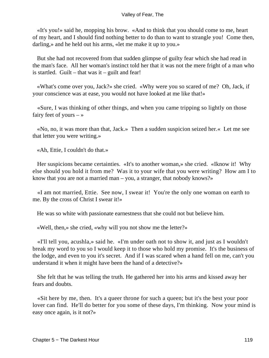«It's you!» said he, mopping his brow. «And to think that you should come to me, heart of my heart, and I should find nothing better to do than to want to strangle you! Come then, darling,» and he held out his arms, «let me make it up to you.»

 But she had not recovered from that sudden glimpse of guilty fear which she had read in the man's face. All her woman's instinct told her that it was not the mere fright of a man who is startled. Guilt – that was  $it$  – guilt and fear!

 «What's come over you, Jack?» she cried. «Why were you so scared of me? Oh, Jack, if your conscience was at ease, you would not have looked at me like that!»

 «Sure, I was thinking of other things, and when you came tripping so lightly on those fairy feet of yours  $-\infty$ 

 «No, no, it was more than that, Jack.» Then a sudden suspicion seized her.« Let me see that letter you were writing.»

«Ah, Ettie, I couldn't do that.»

 Her suspicions became certainties. «It's to another woman,» she cried. «Iknow it! Why else should you hold it from me? Was it to your wife that you were writing? How am I to know that you are not a married man – you, a stranger, that nobody knows?»

 «I am not married, Ettie. See now, I swear it! You're the only one woman on earth to me. By the cross of Christ I swear it!»

He was so white with passionate earnestness that she could not but believe him.

«Well, then,» she cried, «why will you not show me the letter?»

 «I'll tell you, acushla,» said he. «I'm under oath not to show it, and just as I wouldn't break my word to you so I would keep it to those who hold my promise. It's the business of the lodge, and even to you it's secret. And if I was scared when a hand fell on me, can't you understand it when it might have been the hand of a detective?»

 She felt that he was telling the truth. He gathered her into his arms and kissed away her fears and doubts.

 «Sit here by me, then. It's a queer throne for such a queen; but it's the best your poor lover can find. He'll do better for you some of these days, I'm thinking. Now your mind is easy once again, is it not?»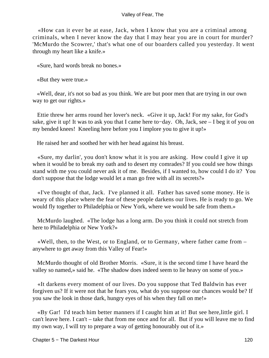«How can it ever be at ease, Jack, when I know that you are a criminal among criminals, when I never know the day that I may hear you are in court for murder? 'McMurdo the Scowrer,' that's what one of our boarders called you yesterday. It went through my heart like a knife.»

«Sure, hard words break no bones.»

«But they were true.»

 «Well, dear, it's not so bad as you think. We are but poor men that are trying in our own way to get our rights.»

 Ettie threw her arms round her lover's neck. «Give it up, Jack! For my sake, for God's sake, give it up! It was to ask you that I came here to−day. Oh, Jack, see – I beg it of you on my bended knees! Kneeling here before you I implore you to give it up!»

He raised her and soothed her with her head against his breast.

 «Sure, my darlin', you don't know what it is you are asking. How could I give it up when it would be to break my oath and to desert my comrades? If you could see how things stand with me you could never ask it of me. Besides, if I wanted to, how could I do it? You don't suppose that the lodge would let a man go free with all its secrets?»

 «I've thought of that, Jack. I've planned it all. Father has saved some money. He is weary of this place where the fear of these people darkens our lives. He is ready to go. We would fly together to Philadelphia or New York, where we would be safe from them.»

 McMurdo laughed. «The lodge has a long arm. Do you think it could not stretch from here to Philadelphia or New York?»

 «Well, then, to the West, or to England, or to Germany, where father came from – anywhere to get away from this Valley of Fear!»

 McMurdo thought of old Brother Morris. «Sure, it is the second time I have heard the valley so named,» said he. «The shadow does indeed seem to lie heavy on some of you.»

 «It darkens every moment of our lives. Do you suppose that Ted Baldwin has ever forgiven us? If it were not that he fears you, what do you suppose our chances would be? If you saw the look in those dark, hungry eyes of his when they fall on me!»

 «By Gar! I'd teach him better manners if I caught him at it! But see here,little girl. I can't leave here. I can't – take that from me once and for all. But if you will leave me to find my own way, I will try to prepare a way of getting honourably out of it.»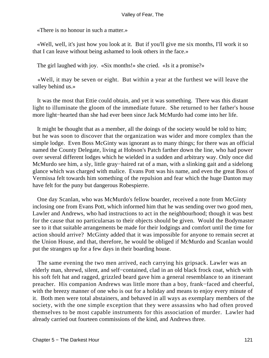«There is no honour in such a matter.»

 «Well, well, it's just how you look at it. But if you'll give me six months, I'll work it so that I can leave without being ashamed to look others in the face.»

The girl laughed with joy. «Six months!» she cried. «Is it a promise?»

 «Well, it may be seven or eight. But within a year at the furthest we will leave the valley behind us.»

 It was the most that Ettie could obtain, and yet it was something. There was this distant light to illuminate the gloom of the immediate future. She returned to her father's house more light−hearted than she had ever been since Jack McMurdo had come into her life.

 It might be thought that as a member, all the doings of the society would be told to him; but he was soon to discover that the organization was wider and more complex than the simple lodge. Even Boss McGinty was ignorant as to many things; for there was an official named the County Delegate, living at Hobson's Patch farther down the line, who had power over several different lodges which he wielded in a sudden and arbitrary way. Only once did McMurdo see him, a sly, little gray−haired rat of a man, with a slinking gait and a sidelong glance which was charged with malice. Evans Pott was his name, and even the great Boss of Vermissa felt towards him something of the repulsion and fear which the huge Danton may have felt for the puny but dangerous Robespierre.

 One day Scanlan, who was McMurdo's fellow boarder, received a note from McGinty inclosing one from Evans Pott, which informed him that he was sending over two good men, Lawler and Andrews, who had instructions to act in the neighbourhood; though it was best for the cause that no particularsas to their objects should be given. Would the Bodymaster see to it that suitable arrangements be made for their lodgings and comfort until the time for action should arrive? McGinty added that it was impossible for anyone to remain secret at the Union House, and that, therefore, he would be obliged if McMurdo and Scanlan would put the strangers up for a few days in their boarding house.

 The same evening the two men arrived, each carrying his gripsack. Lawler was an elderly man, shrewd, silent, and self−contained, clad in an old black frock coat, which with his soft felt hat and ragged, grizzled beard gave him a general resemblance to an itinerant preacher. His companion Andrews was little more than a boy, frank−faced and cheerful, with the breezy manner of one who is out for a holiday and means to enjoy every minute of it. Both men were total abstainers, and behaved in all ways as exemplary members of the society, with the one simple exception that they were assassins who had often proved themselves to be most capable instruments for this association of murder. Lawler had already carried out fourteen commissions of the kind, and Andrews three.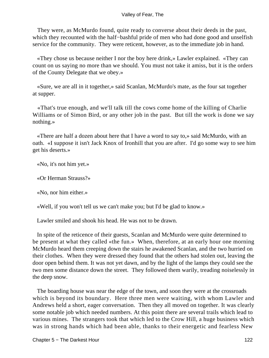They were, as McMurdo found, quite ready to converse about their deeds in the past, which they recounted with the half−bashful pride of men who had done good and unselfish service for the community. They were reticent, however, as to the immediate job in hand.

 «They chose us because neither I nor the boy here drink,» Lawler explained. «They can count on us saying no more than we should. You must not take it amiss, but it is the orders of the County Delegate that we obey.»

 «Sure, we are all in it together,» said Scanlan, McMurdo's mate, as the four sat together at supper.

 «That's true enough, and we'll talk till the cows come home of the killing of Charlie Williams or of Simon Bird, or any other job in the past. But till the work is done we say nothing.»

 «There are half a dozen about here that I have a word to say to,» said McMurdo, with an oath. «I suppose it isn't Jack Knox of Ironhill that you are after. I'd go some way to see him get his deserts.»

«No, it's not him yet.»

«Or Herman Strauss?»

«No, nor him either.»

«Well, if you won't tell us we can't make you; but I'd be glad to know.»

Lawler smiled and shook his head. He was not to be drawn.

 In spite of the reticence of their guests, Scanlan and McMurdo were quite determined to be present at what they called «the fun.» When, therefore, at an early hour one morning McMurdo heard them creeping down the stairs he awakened Scanlan, and the two hurried on their clothes. When they were dressed they found that the others had stolen out, leaving the door open behind them. It was not yet dawn, and by the light of the lamps they could see the two men some distance down the street. They followed them warily, treading noiselessly in the deep snow.

 The boarding house was near the edge of the town, and soon they were at the crossroads which is beyond its boundary. Here three men were waiting, with whom Lawler and Andrews held a short, eager conversation. Then they all moved on together. It was clearly some notable job which needed numbers. At this point there are several trails which lead to various mines. The strangers took that which led to the Crow Hill, a huge business which was in strong hands which had been able, thanks to their energetic and fearless New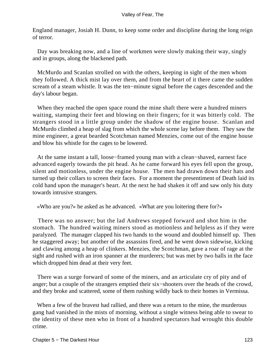England manager, Josiah H. Dunn, to keep some order and discipline during the long reign of terror.

 Day was breaking now, and a line of workmen were slowly making their way, singly and in groups, along the blackened path.

 McMurdo and Scanlan strolled on with the others, keeping in sight of the men whom they followed. A thick mist lay over them, and from the heart of it there came the sudden scream of a steam whistle. It was the ten−minute signal before the cages descended and the day's labour began.

 When they reached the open space round the mine shaft there were a hundred miners waiting, stamping their feet and blowing on their fingers; for it was bitterly cold. The strangers stood in a little group under the shadow of the engine house. Scanlan and McMurdo climbed a heap of slag from which the whole scene lay before them. They saw the mine engineer, a great bearded Scotchman named Menzies, come out of the engine house and blow his whistle for the cages to be lowered.

 At the same instant a tall, loose−framed young man with a clean−shaved, earnest face advanced eagerly towards the pit head. As he came forward his eyes fell upon the group, silent and motionless, under the engine house. The men had drawn down their hats and turned up their collars to screen their faces. For a moment the presentiment of Death laid its cold hand upon the manager's heart. At the next he had shaken it off and saw only his duty towards intrusive strangers.

«Who are you?» he asked as he advanced. «What are you loitering there for?»

 There was no answer; but the lad Andrews stepped forward and shot him in the stomach. The hundred waiting miners stood as motionless and helpless as if they were paralyzed. The manager clapped his two hands to the wound and doubled himself up. Then he staggered away; but another of the assassins fired, and he went down sidewise, kicking and clawing among a heap of clinkers. Menzies, the Scotchman, gave a roar of rage at the sight and rushed with an iron spanner at the murderers; but was met by two balls in the face which dropped him dead at their very feet.

 There was a surge forward of some of the miners, and an articulate cry of pity and of anger; but a couple of the strangers emptied their six−shooters over the heads of the crowd, and they broke and scattered, some of them rushing wildly back to their homes in Vermissa.

 When a few of the bravest had rallied, and there was a return to the mine, the murderous gang had vanished in the mists of morning, without a single witness being able to swear to the identity of these men who in front of a hundred spectators had wrought this double crime.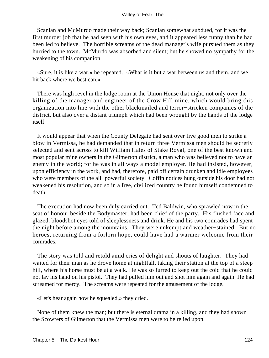Scanlan and McMurdo made their way back; Scanlan somewhat subdued, for it was the first murder job that he had seen with his own eyes, and it appeared less funny than he had been led to believe. The horrible screams of the dead manager's wife pursued them as they hurried to the town. McMurdo was absorbed and silent; but he showed no sympathy for the weakening of his companion.

 «Sure, it is like a war,» he repeated. «What is it but a war between us and them, and we hit back where we best can.»

 There was high revel in the lodge room at the Union House that night, not only over the killing of the manager and engineer of the Crow Hill mine, which would bring this organization into line with the other blackmailed and terror−stricken companies of the district, but also over a distant triumph which had been wrought by the hands of the lodge itself.

 It would appear that when the County Delegate had sent over five good men to strike a blow in Vermissa, he had demanded that in return three Vermissa men should be secretly selected and sent across to kill William Hales of Stake Royal, one of the best known and most popular mine owners in the Gilmerton district, a man who was believed not to have an enemy in the world; for he was in all ways a model employer. He had insisted, however, upon efficiency in the work, and had, therefore, paid off certain drunken and idle employees who were members of the all−powerful society. Coffin notices hung outside his door had not weakened his resolution, and so in a free, civilized country he found himself condemned to death.

 The execution had now been duly carried out. Ted Baldwin, who sprawled now in the seat of honour beside the Bodymaster, had been chief of the party. His flushed face and glazed, bloodshot eyes told of sleeplessness and drink. He and his two comrades had spent the night before among the mountains. They were unkempt and weather−stained. But no heroes, returning from a forlorn hope, could have had a warmer welcome from their comrades.

 The story was told and retold amid cries of delight and shouts of laughter. They had waited for their man as he drove home at nightfall, taking their station at the top of a steep hill, where his horse must be at a walk. He was so furred to keep out the cold that he could not lay his hand on his pistol. They had pulled him out and shot him again and again. He had screamed for mercy. The screams were repeated for the amusement of the lodge.

«Let's hear again how he squealed,» they cried.

 None of them knew the man; but there is eternal drama in a killing, and they had shown the Scowrers of Gilmerton that the Vermissa men were to be relied upon.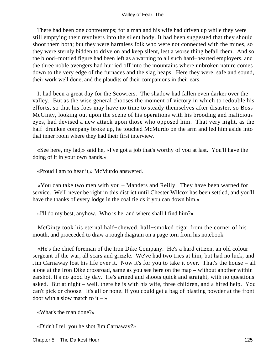There had been one contretemps; for a man and his wife had driven up while they were still emptying their revolvers into the silent body. It had been suggested that they should shoot them both; but they were harmless folk who were not connected with the mines, so they were sternly bidden to drive on and keep silent, lest a worse thing befall them. And so the blood−mottled figure had been left as a warning to all such hard−hearted employers, and the three noble avengers had hurried off into the mountains where unbroken nature comes down to the very edge of the furnaces and the slag heaps. Here they were, safe and sound, their work well done, and the plaudits of their companions in their ears.

 It had been a great day for the Scowrers. The shadow had fallen even darker over the valley. But as the wise general chooses the moment of victory in which to redouble his efforts, so that his foes may have no time to steady themselves after disaster, so Boss McGinty, looking out upon the scene of his operations with his brooding and malicious eyes, had devised a new attack upon those who opposed him. That very night, as the half−drunken company broke up, he touched McMurdo on the arm and led him aside into that inner room where they had their first interview.

 «See here, my lad,» said he, «I've got a job that's worthy of you at last. You'll have the doing of it in your own hands.»

«Proud I am to hear it,» McMurdo answered.

 «You can take two men with you – Manders and Reilly. They have been warned for service. We'll never be right in this district until Chester Wilcox has been settled, and you'll have the thanks of every lodge in the coal fields if you can down him.»

«I'll do my best, anyhow. Who is he, and where shall I find him?»

 McGinty took his eternal half−chewed, half−smoked cigar from the corner of his mouth, and proceeded to draw a rough diagram on a page torn from his notebook.

 «He's the chief foreman of the Iron Dike Company. He's a hard citizen, an old colour sergeant of the war, all scars and grizzle. We've had two tries at him; but had no luck, and Jim Carnaway lost his life over it. Now it's for you to take it over. That's the house – all alone at the Iron Dike crossroad, same as you see here on the map – without another within earshot. It's no good by day. He's armed and shoots quick and straight, with no questions asked. But at night – well, there he is with his wife, three children, and a hired help. You can't pick or choose. It's all or none. If you could get a bag of blasting powder at the front door with a slow match to it  $-\infty$ 

«What's the man done?»

«Didn't I tell you he shot Jim Carnaway?»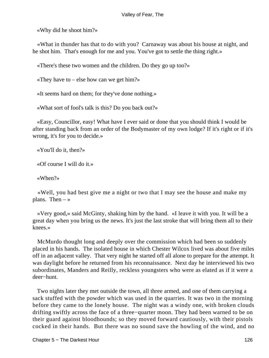«Why did he shoot him?»

 «What in thunder has that to do with you? Carnaway was about his house at night, and he shot him. That's enough for me and you. You've got to settle the thing right.»

«There's these two women and the children. Do they go up too?»

«They have to – else how can we get him?»

«It seems hard on them; for they've done nothing.»

«What sort of fool's talk is this? Do you back out?»

 «Easy, Councillor, easy! What have I ever said or done that you should think I would be after standing back from an order of the Bodymaster of my own lodge? If it's right or if it's wrong, it's for you to decide.»

«You'll do it, then?»

«Of course I will do it.»

«When?»

 «Well, you had best give me a night or two that I may see the house and make my plans. Then  $-\infty$ 

 «Very good,» said McGinty, shaking him by the hand. «I leave it with you. It will be a great day when you bring us the news. It's just the last stroke that will bring them all to their knees.»

 McMurdo thought long and deeply over the commission which had been so suddenly placed in his hands. The isolated house in which Chester Wilcox lived was about five miles off in an adjacent valley. That very night he started off all alone to prepare for the attempt. It was daylight before he returned from his reconnaissance. Next day he interviewed his two subordinates, Manders and Reilly, reckless youngsters who were as elated as if it were a deer−hunt.

 Two nights later they met outside the town, all three armed, and one of them carrying a sack stuffed with the powder which was used in the quarries. It was two in the morning before they came to the lonely house. The night was a windy one, with broken clouds drifting swiftly across the face of a three−quarter moon. They had been warned to be on their guard against bloodhounds; so they moved forward cautiously, with their pistols cocked in their hands. But there was no sound save the howling of the wind, and no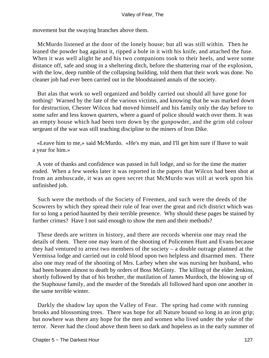movement but the swaying branches above them.

 McMurdo listened at the door of the lonely house; but all was still within. Then he leaned the powder bag against it, ripped a hole in it with his knife, and attached the fuse. When it was well alight he and his two companions took to their heels, and were some distance off, safe and snug in a sheltering ditch, before the shattering roar of the explosion, with the low, deep rumble of the collapsing building, told them that their work was done. No cleaner job had ever been carried out in the bloodstained annals of the society.

 But alas that work so well organized and boldly carried out should all have gone for nothing! Warned by the fate of the various victims, and knowing that he was marked down for destruction, Chester Wilcox had moved himself and his family only the day before to some safer and less known quarters, where a guard of police should watch over them. It was an empty house which had been torn down by the gunpowder, and the grim old colour sergeant of the war was still teaching discipline to the miners of Iron Dike.

 «Leave him to me,» said McMurdo. «He's my man, and I'll get him sure if Ihave to wait a year for him.»

 A vote of thanks and confidence was passed in full lodge, and so for the time the matter ended. When a few weeks later it was reported in the papers that Wilcox had been shot at from an ambuscade, it was an open secret that McMurdo was still at work upon his unfinished job.

 Such were the methods of the Society of Freemen, and such were the deeds of the Scowrers by which they spread their rule of fear over the great and rich district which was for so long a period haunted by their terrible presence. Why should these pages be stained by further crimes? Have I not said enough to show the men and their methods?

 These deeds are written in history, and there are records wherein one may read the details of them. There one may learn of the shooting of Policemen Hunt and Evans because they had ventured to arrest two members of the society – a double outrage planned at the Vermissa lodge and carried out in cold blood upon two helpless and disarmed men. There also one may read of the shooting of Mrs. Larbey when she was nursing her husband, who had been beaten almost to death by orders of Boss McGinty. The killing of the elder Jenkins, shortly followed by that of his brother, the mutilation of James Murdoch, the blowing up of the Staphouse family, and the murder of the Stendals all followed hard upon one another in the same terrible winter.

 Darkly the shadow lay upon the Valley of Fear. The spring had come with running brooks and blossoming trees. There was hope for all Nature bound so long in an iron grip; but nowhere was there any hope for the men and women who lived under the yoke of the terror. Never had the cloud above them been so dark and hopeless as in the early summer of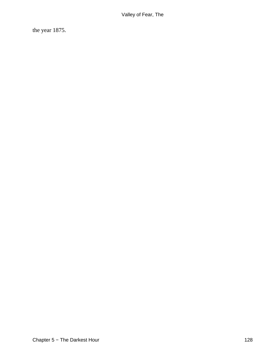the year 1875.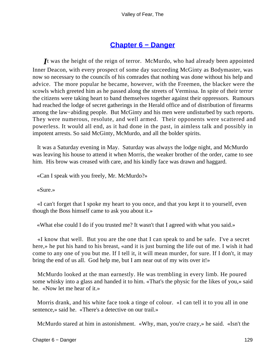### **[Chapter 6 − Danger](#page-149-0)**

*I*t was the height of the reign of terror. McMurdo, who had already been appointed Inner Deacon, with every prospect of some day succeeding McGinty as Bodymaster, was now so necessary to the councils of his comrades that nothing was done without his help and advice. The more popular he became, however, with the Freemen, the blacker were the scowls which greeted him as he passed along the streets of Vermissa. In spite of their terror the citizens were taking heart to band themselves together against their oppressors. Rumours had reached the lodge of secret gatherings in the Herald office and of distribution of firearms among the law−abiding people. But McGinty and his men were undisturbed by such reports. They were numerous, resolute, and well armed. Their opponents were scattered and powerless. It would all end, as it had done in the past, in aimless talk and possibly in impotent arrests. So said McGinty, McMurdo, and all the bolder spirits.

 It was a Saturday evening in May. Saturday was always the lodge night, and McMurdo was leaving his house to attend it when Morris, the weaker brother of the order, came to see him. His brow was creased with care, and his kindly face was drawn and haggard.

«Can I speak with you freely, Mr. McMurdo?»

«Sure.»

 «I can't forget that I spoke my heart to you once, and that you kept it to yourself, even though the Boss himself came to ask you about it.»

«What else could I do if you trusted me? It wasn't that I agreed with what you said.»

 «I know that well. But you are the one that I can speak to and be safe. I've a secret here,» he put his hand to his breast, «and it is just burning the life out of me. I wish it had come to any one of you but me. If I tell it, it will mean murder, for sure. If I don't, it may bring the end of us all. God help me, but I am near out of my wits over it!»

 McMurdo looked at the man earnestly. He was trembling in every limb. He poured some whisky into a glass and handed it to him. «That's the physic for the likes of you,» said he. «Now let me hear of it.»

 Morris drank, and his white face took a tinge of colour. «I can tell it to you all in one sentence,» said he. «There's a detective on our trail.»

McMurdo stared at him in astonishment. «Why, man, you're crazy,» he said. «Isn't the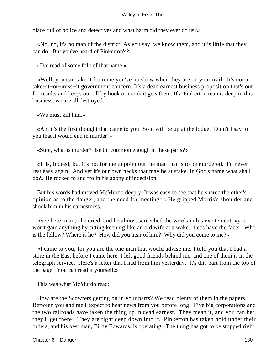place full of police and detectives and what harm did they ever do us?»

 «No, no, it's no man of the district. As you say, we know them, and it is little that they can do. But you've heard of Pinkerton's?»

«I've read of some folk of that name.»

 «Well, you can take it from me you've no show when they are on your trail. It's not a take−it−or−miss−it government concern. It's a dead earnest business proposition that's out for results and keeps out till by hook or crook it gets them. If a Pinkerton man is deep in this business, we are all destroyed.»

«We must kill him.»

 «Ah, it's the first thought that came to you! So it will be up at the lodge. Didn't I say to you that it would end in murder?»

«Sure, what is murder? Isn't it common enough in these parts?»

 «It is, indeed; but it's not for me to point out the man that is to be murdered. I'd never rest easy again. And yet it's our own necks that may be at stake. In God's name what shall I do?» He rocked to and fro in his agony of indecision.

 But his words had moved McMurdo deeply. It was easy to see that he shared the other's opinion as to the danger, and the need for meeting it. He gripped Morris's shoulder and shook him in his earnestness.

 «See here, man,» he cried, and he almost screeched the words in his excitement, «you won't gain anything by sitting keening like an old wife at a wake. Let's have the facts. Who is the fellow? Where is he? How did you hear of him? Why did you come to me?»

 «I came to you; for you are the one man that would advise me. I told you that I had a store in the East before I came here. I left good friends behind me, and one of them is in the telegraph service. Here's a letter that I had from him yesterday. It's this part from the top of the page. You can read it yourself.»

This was what McMurdo read:

 How are the Scowrers getting on in your parts? We read plenty of them in the papers. Between you and me I expect to hear news from you before long. Five big corporations and the two railroads have taken the thing up in dead earnest. They mean it, and you can bet they'll get there! They are right deep down into it. Pinkerton has taken hold under their orders, and his best man, Birdy Edwards, is operating. The thing has got to be stopped right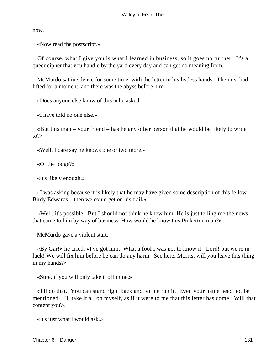now.

«Now read the postscript.»

 Of course, what I give you is what I learned in business; so it goes no further. It's a queer cipher that you handle by the yard every day and can get no meaning from.

 McMurdo sat in silence for some time, with the letter in his listless hands. The mist had lifted for a moment, and there was the abyss before him.

«Does anyone else know of this?» he asked.

«I have told no one else.»

 «But this man – your friend – has he any other person that he would be likely to write to?»

«Well, I dare say he knows one or two more.»

«Of the lodge?»

«It's likely enough.»

 «I was asking because it is likely that he may have given some description of this fellow Birdy Edwards – then we could get on his trail.»

 «Well, it's possible. But I should not think he knew him. He is just telling me the news that came to him by way of business. How would he know this Pinkerton man?»

McMurdo gave a violent start.

 «By Gar!» he cried, «I've got him. What a fool I was not to know it. Lord! but we're in luck! We will fix him before he can do any harm. See here, Morris, will you leave this thing in my hands?»

«Sure, if you will only take it off mine.»

 «I'll do that. You can stand right back and let me run it. Even your name need not be mentioned. I'll take it all on myself, as if it were to me that this letter has come. Will that content you?»

«It's just what I would ask.»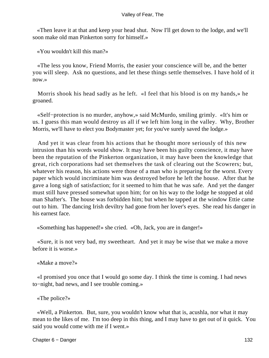«Then leave it at that and keep your head shut. Now I'll get down to the lodge, and we'll soon make old man Pinkerton sorry for himself.»

«You wouldn't kill this man?»

 «The less you know, Friend Morris, the easier your conscience will be, and the better you will sleep. Ask no questions, and let these things settle themselves. I have hold of it now.»

 Morris shook his head sadly as he left. «I feel that his blood is on my hands,» he groaned.

 «Self−protection is no murder, anyhow,» said McMurdo, smiling grimly. «It's him or us. I guess this man would destroy us all if we left him long in the valley. Why, Brother Morris, we'll have to elect you Bodymaster yet; for you've surely saved the lodge.»

 And yet it was clear from his actions that he thought more seriously of this new intrusion than his words would show. It may have been his guilty conscience, it may have been the reputation of the Pinkerton organization, it may have been the knowledge that great, rich corporations had set themselves the task of clearing out the Scowrers; but, whatever his reason, his actions were those of a man who is preparing for the worst. Every paper which would incriminate him was destroyed before he left the house. After that he gave a long sigh of satisfaction; for it seemed to him that he was safe. And yet the danger must still have pressed somewhat upon him; for on his way to the lodge he stopped at old man Shafter's. The house was forbidden him; but when he tapped at the window Ettie came out to him. The dancing Irish deviltry had gone from her lover's eyes. She read his danger in his earnest face.

«Something has happened!» she cried. «Oh, Jack, you are in danger!»

 «Sure, it is not very bad, my sweetheart. And yet it may be wise that we make a move before it is worse.»

«Make a move?»

 «I promised you once that I would go some day. I think the time is coming. I had news to−night, bad news, and I see trouble coming.»

«The police?»

 «Well, a Pinkerton. But, sure, you wouldn't know what that is, acushla, nor what it may mean to the likes of me. I'm too deep in this thing, and I may have to get out of it quick. You said you would come with me if I went.»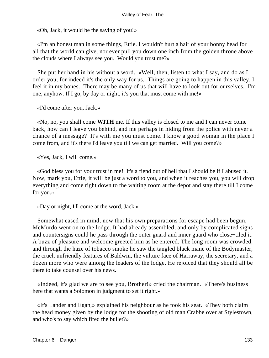«Oh, Jack, it would be the saving of you!»

 «I'm an honest man in some things, Ettie. I wouldn't hurt a hair of your bonny head for all that the world can give, nor ever pull you down one inch from the golden throne above the clouds where I always see you. Would you trust me?»

 She put her hand in his without a word. «Well, then, listen to what I say, and do as I order you, for indeed it's the only way for us. Things are going to happen in this valley. I feel it in my bones. There may be many of us that will have to look out for ourselves. I'm one, anyhow. If I go, by day or night, it's you that must come with me!»

«I'd come after you, Jack.»

 «No, no, you shall come **WITH** me. If this valley is closed to me and I can never come back, how can I leave you behind, and me perhaps in hiding from the police with never a chance of a message? It's with me you must come. I know a good woman in the place I come from, and it's there I'd leave you till we can get married. Will you come?»

«Yes, Jack, I will come.»

 «God bless you for your trust in me! It's a fiend out of hell that I should be if I abused it. Now, mark you, Ettie, it will be just a word to you, and when it reaches you, you will drop everything and come right down to the waiting room at the depot and stay there till I come for you.»

«Day or night, I'll come at the word, Jack.»

 Somewhat eased in mind, now that his own preparations for escape had been begun, McMurdo went on to the lodge. It had already assembled, and only by complicated signs and countersigns could he pass through the outer guard and inner guard who close−tiled it. A buzz of pleasure and welcome greeted him as he entered. The long room was crowded, and through the haze of tobacco smoke he saw the tangled black mane of the Bodymaster, the cruel, unfriendly features of Baldwin, the vulture face of Harraway, the secretary, and a dozen more who were among the leaders of the lodge. He rejoiced that they should all be there to take counsel over his news.

 «Indeed, it's glad we are to see you, Brother!» cried the chairman. «There's business here that wants a Solomon in judgment to set it right.»

 «It's Lander and Egan,» explained his neighbour as he took his seat. «They both claim the head money given by the lodge for the shooting of old man Crabbe over at Stylestown, and who's to say which fired the bullet?»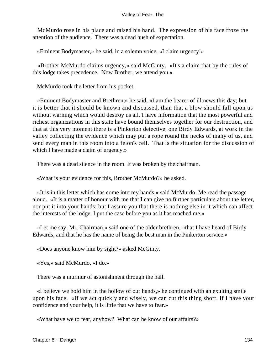McMurdo rose in his place and raised his hand. The expression of his face froze the attention of the audience. There was a dead hush of expectation.

«Eminent Bodymaster,» he said, in a solemn voice, «I claim urgency!»

 «Brother McMurdo claims urgency,» said McGinty. «It's a claim that by the rules of this lodge takes precedence. Now Brother, we attend you.»

McMurdo took the letter from his pocket.

 «Eminent Bodymaster and Brethren,» he said, «I am the bearer of ill news this day; but it is better that it should be known and discussed, than that a blow should fall upon us without warning which would destroy us all. I have information that the most powerful and richest organizations in this state have bound themselves together for our destruction, and that at this very moment there is a Pinkerton detective, one Birdy Edwards, at work in the valley collecting the evidence which may put a rope round the necks of many of us, and send every man in this room into a felon's cell. That is the situation for the discussion of which I have made a claim of urgency.»

There was a dead silence in the room. It was broken by the chairman.

«What is your evidence for this, Brother McMurdo?» he asked.

 «It is in this letter which has come into my hands,» said McMurdo. Me read the passage aloud. «It is a matter of honour with me that I can give no further particulars about the letter, nor put it into your hands; but I assure you that there is nothing else in it which can affect the interests of the lodge. I put the case before you as it has reached me.»

 «Let me say, Mr. Chairman,» said one of the older brethren, «that I have heard of Birdy Edwards, and that he has the name of being the best man in the Pinkerton service.»

«Does anyone know him by sight?» asked McGinty.

«Yes,» said McMurdo, «I do.»

There was a murmur of astonishment through the hall.

 «I believe we hold him in the hollow of our hands,» he continued with an exulting smile upon his face. «If we act quickly and wisely, we can cut this thing short. If I have your confidence and your help, it is little that we have to fear.»

«What have we to fear, anyhow? What can he know of our affairs?»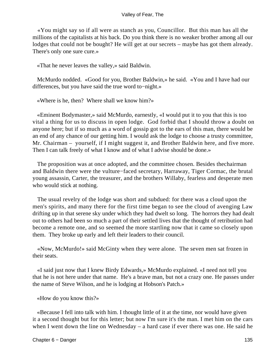«You might say so if all were as stanch as you, Councillor. But this man has all the millions of the capitalists at his back. Do you think there is no weaker brother among all our lodges that could not be bought? He will get at our secrets – maybe has got them already. There's only one sure cure.»

«That he never leaves the valley,» said Baldwin.

 McMurdo nodded. «Good for you, Brother Baldwin,» he said. «You and I have had our differences, but you have said the true word to−night.»

«Where is he, then? Where shall we know him?»

 «Eminent Bodymaster,» said McMurdo, earnestly, «I would put it to you that this is too vital a thing for us to discuss in open lodge. God forbid that I should throw a doubt on anyone here; but if so much as a word of gossip got to the ears of this man, there would be an end of any chance of our getting him. I would ask the lodge to choose a trusty committee, Mr. Chairman – yourself, if I might suggest it, and Brother Baldwin here, and five more. Then I can talk freely of what I know and of what I advise should be done.»

 The proposition was at once adopted, and the committee chosen. Besides thechairman and Baldwin there were the vulture−faced secretary, Harraway, Tiger Cormac, the brutal young assassin, Carter, the treasurer, and the brothers Willaby, fearless and desperate men who would stick at nothing.

 The usual revelry of the lodge was short and subdued: for there was a cloud upon the men's spirits, and many there for the first time began to see the cloud of avenging Law drifting up in that serene sky under which they had dwelt so long. The horrors they had dealt out to others had been so much a part of their settled lives that the thought of retribution had become a remote one, and so seemed the more startling now that it came so closely upon them. They broke up early and left their leaders to their council.

 «Now, McMurdo!» said McGinty when they were alone. The seven men sat frozen in their seats.

 «I said just now that I knew Birdy Edwards,» McMurdo explained. «I need not tell you that he is not here under that name. He's a brave man, but not a crazy one. He passes under the name of Steve Wilson, and he is lodging at Hobson's Patch.»

«How do you know this?»

 «Because I fell into talk with him. I thought little of it at the time, nor would have given it a second thought but for this letter; but now I'm sure it's the man. I met him on the cars when I went down the line on Wednesday – a hard case if ever there was one. He said he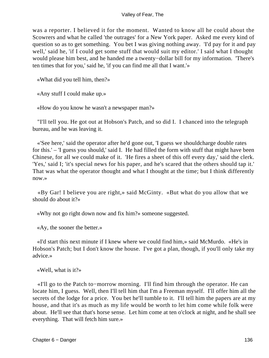was a reporter. I believed it for the moment. Wanted to know all he could about the Scowrers and what he called 'the outrages' for a New York paper. Asked me every kind of question so as to get something. You bet I was giving nothing away. 'I'd pay for it and pay well,' said he, 'if I could get some stuff that would suit my editor.' I said what I thought would please him best, and he handed me a twenty−dollar bill for my information. 'There's ten times that for you,' said he, 'if you can find me all that I want.'»

«What did you tell him, then?»

«Any stuff I could make up.»

«How do you know he wasn't a newspaper man?»

 "I'll tell you. He got out at Hobson's Patch, and so did I. I chanced into the telegraph bureau, and he was leaving it.

 «'See here,' said the operator after he'd gone out, 'I guess we shouldcharge double rates for this.' – 'I guess you should,' said I. He had filled the form with stuff that might have been Chinese, for all we could make of it. 'He fires a sheet of this off every day,' said the clerk. 'Yes,' said I; 'it's special news for his paper, and he's scared that the others should tap it.' That was what the operator thought and what I thought at the time; but I think differently now.»

 «By Gar! I believe you are right,» said McGinty. «But what do you allow that we should do about it?»

«Why not go right down now and fix him?» someone suggested.

«Ay, the sooner the better.»

 «I'd start this next minute if I knew where we could find him,» said McMurdo. «He's in Hobson's Patch; but I don't know the house. I've got a plan, though, if you'll only take my advice.»

«Well, what is it?»

 «I'll go to the Patch to−morrow morning. I'll find him through the operator. He can locate him, I guess. Well, then I'll tell him that I'm a Freeman myself. I'll offer him all the secrets of the lodge for a price. You bet he'll tumble to it. I'll tell him the papers are at my house, and that it's as much as my life would be worth to let him come while folk were about. He'll see that that's horse sense. Let him come at ten o'clock at night, and he shall see everything. That will fetch him sure.»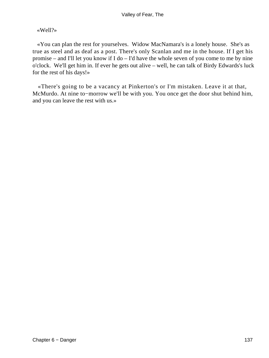### «Well?»

 «You can plan the rest for yourselves. Widow MacNamara's is a lonely house. She's as true as steel and as deaf as a post. There's only Scanlan and me in the house. If I get his promise – and I'll let you know if I do – I'd have the whole seven of you come to me by nine o'clock. We'll get him in. If ever he gets out alive – well, he can talk of Birdy Edwards's luck for the rest of his days!»

 «There's going to be a vacancy at Pinkerton's or I'm mistaken. Leave it at that, McMurdo. At nine to−morrow we'll be with you. You once get the door shut behind him, and you can leave the rest with us.»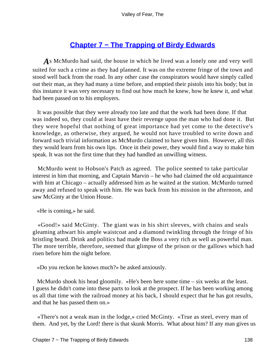# **[Chapter 7 − The Trapping of Birdy Edwards](#page-149-0)**

*A*s McMurdo had said, the house in which he lived was a lonely one and very well suited for such a crime as they had planned. It was on the extreme fringe of the town and stood well back from the road. In any other case the conspirators would have simply called out their man, as they had many a time before, and emptied their pistols into his body; but in this instance it was very necessary to find out how much he knew, how he knew it, and what had been passed on to his employers.

 It was possible that they were already too late and that the work had been done. If that was indeed so, they could at least have their revenge upon the man who had done it. But they were hopeful that nothing of great importance had yet come to the detective's knowledge, as otherwise, they argued, he would not have troubled to write down and forward such trivial information as McMurdo claimed to have given him. However, all this they would learn from his own lips. Once in their power, they would find a way to make him speak. It was not the first time that they had handled an unwilling witness.

 McMurdo went to Hobson's Patch as agreed. The police seemed to take particular interest in him that morning, and Captain Marvin – he who had claimed the old acquaintance with him at Chicago – actually addressed him as he waited at the station. McMurdo turned away and refused to speak with him. He was back from his mission in the afternoon, and saw McGinty at the Union House.

«He is coming,» he said.

 «Good!» said McGinty. The giant was in his shirt sleeves, with chains and seals gleaming athwart his ample waistcoat and a diamond twinkling through the fringe of his bristling beard. Drink and politics had made the Boss a very rich as well as powerful man. The more terrible, therefore, seemed that glimpse of the prison or the gallows which had risen before him the night before.

«Do you reckon he knows much?» he asked anxiously.

 McMurdo shook his head gloomily. «He's been here some time – six weeks at the least. I guess he didn't come into these parts to look at the prospect. If he has been working among us all that time with the railroad money at his back, I should expect that he has got results, and that he has passed them on.»

 «There's not a weak man in the lodge,» cried McGinty. «True as steel, every man of them. And yet, by the Lord! there is that skunk Morris. What about him? If any man gives us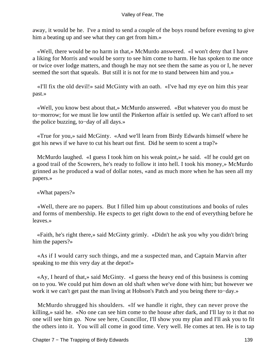away, it would be he. I've a mind to send a couple of the boys round before evening to give him a beating up and see what they can get from him.»

 «Well, there would be no harm in that,» McMurdo answered. «I won't deny that I have a liking for Morris and would be sorry to see him come to harm. He has spoken to me once or twice over lodge matters, and though he may not see them the same as you or I, he never seemed the sort that squeals. But still it is not for me to stand between him and you.»

 «I'll fix the old devil!» said McGinty with an oath. «I've had my eye on him this year past.»

 «Well, you know best about that,» McMurdo answered. «But whatever you do must be to−morrow; for we must lie low until the Pinkerton affair is settled up. We can't afford to set the police buzzing, to−day of all days.»

 «True for you,» said McGinty. «And we'll learn from Birdy Edwards himself where he got his news if we have to cut his heart out first. Did he seem to scent a trap?»

 McMurdo laughed. «I guess I took him on his weak point,» he said. «If he could get on a good trail of the Scowrers, he's ready to follow it into hell. I took his money,» McMurdo grinned as he produced a wad of dollar notes, «and as much more when he has seen all my papers.»

«What papers?»

 «Well, there are no papers. But I filled him up about constitutions and books of rules and forms of membership. He expects to get right down to the end of everything before he leaves.»

 «Faith, he's right there,» said McGinty grimly. «Didn't he ask you why you didn't bring him the papers?»

 «As if I would carry such things, and me a suspected man, and Captain Marvin after speaking to me this very day at the depot!»

 «Ay, I heard of that,» said McGinty. «I guess the heavy end of this business is coming on to you. We could put him down an old shaft when we've done with him; but however we work it we can't get past the man living at Hobson's Patch and you being there to−day.»

 McMurdo shrugged his shoulders. «If we handle it right, they can never prove the killing,» said he. «No one can see him come to the house after dark, and I'll lay to it that no one will see him go. Now see here, Councillor, I'll show you my plan and I'll ask you to fit the others into it. You will all come in good time. Very well. He comes at ten. He is to tap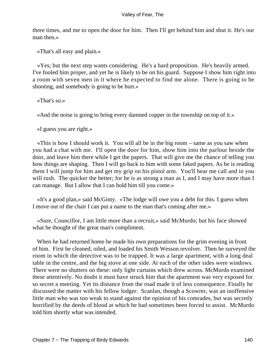three times, and me to open the door for him. Then I'll get behind him and shut it. He's our man then.»

«That's all easy and plain.»

 «Yes; but the next step wants considering. He's a hard proposition. He's heavily armed. I've fooled him proper, and yet he is likely to be on his guard. Suppose I show him right into a room with seven men in it where he expected to find me alone. There is going to be shooting, and somebody is going to be hurt.»

«That's so.»

«And the noise is going to bring every damned copper in the township on top of it.»

«I guess you are right.»

 «This is how I should work it. You will all be in the big room – same as you saw when you had a chat with me. I'll open the door for him, show him into the parlour beside the door, and leave him there while I get the papers. That will give me the chance of telling you how things are shaping. Then I will go back to him with some faked papers. As he is reading them I will jump for him and get my grip on his pistol arm. You'll hear me call and in you will rush. The quicker the better; for he is as strong a man as I, and I may have more than I can manage. But I allow that I can hold him till you come.»

 «It's a good plan,» said McGinty. «The lodge will owe you a debt for this. I guess when I move out of the chair I can put a name to the man that's coming after me.»

 «Sure, Councillor, I am little more than a recruit,» said McMurdo; but his face showed what he thought of the great man's compliment.

 When he had returned home he made his own preparations for the grim evening in front of him. First he cleaned, oiled, and loaded his Smith Wesson revolver. Then he surveyed the room in which the detective was to be trapped. It was a large apartment, with a long deal table in the centre, and the big stove at one side. At each of the other sides were windows. There were no shutters on these: only light curtains which drew across. McMurdo examined these attentively. No doubt it must have struck him that the apartment was very exposed for so secret a meeting. Yet its distance from the road made it of less consequence. Finally he discussed the matter with his fellow lodger. Scanlan, though a Scowrer, was an inoffensive little man who was too weak to stand against the opinion of his comrades, but was secretly horrified by the deeds of blood at which he had sometimes been forced to assist. McMurdo told him shortly what was intended.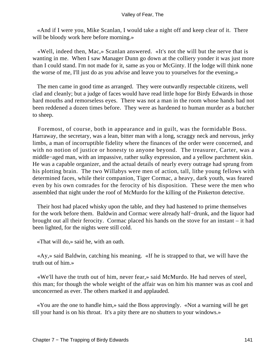«And if I were you, Mike Scanlan, I would take a night off and keep clear of it. There will be bloody work here before morning.»

 «Well, indeed then, Mac,» Scanlan answered. «It's not the will but the nerve that is wanting in me. When I saw Manager Dunn go down at the colliery yonder it was just more than I could stand. I'm not made for it, same as you or McGinty. If the lodge will think none the worse of me, I'll just do as you advise and leave you to yourselves for the evening.»

 The men came in good time as arranged. They were outwardly respectable citizens, well clad and cleanly; but a judge of faces would have read little hope for Birdy Edwards in those hard mouths and remorseless eyes. There was not a man in the room whose hands had not been reddened a dozen times before. They were as hardened to human murder as a butcher to sheep.

 Foremost, of course, both in appearance and in guilt, was the formidable Boss. Harraway, the secretary, was a lean, bitter man with a long, scraggy neck and nervous, jerky limbs, a man of incorruptible fidelity where the finances of the order were concerned, and with no notion of justice or honesty to anyone beyond. The treasurer, Carter, was a middle−aged man, with an impassive, rather sulky expression, and a yellow parchment skin. He was a capable organizer, and the actual details of nearly every outrage had sprung from his plotting brain. The two Willabys were men of action, tall, lithe young fellows with determined faces, while their companion, Tiger Cormac, a heavy, dark youth, was feared even by his own comrades for the ferocity of his disposition. These were the men who assembled that night under the roof of McMurdo for the killing of the Pinkerton detective.

 Their host had placed whisky upon the table, and they had hastened to prime themselves for the work before them. Baldwin and Cormac were already half−drunk, and the liquor had brought out all their ferocity. Cormac placed his hands on the stove for an instant – it had been lighted, for the nights were still cold.

«That will do,» said he, with an oath.

 «Ay,» said Baldwin, catching his meaning. «If he is strapped to that, we will have the truth out of him.»

 «We'll have the truth out of him, never fear,» said McMurdo. He had nerves of steel, this man; for though the whole weight of the affair was on him his manner was as cool and unconcerned as ever. The others marked it and applauded.

 «You are the one to handle him,» said the Boss approvingly. «Not a warning will he get till your hand is on his throat. It's a pity there are no shutters to your windows.»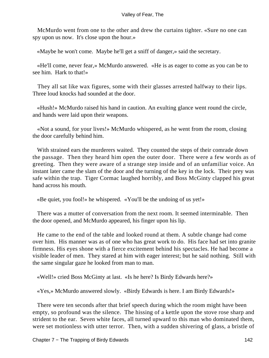McMurdo went from one to the other and drew the curtains tighter. «Sure no one can spy upon us now. It's close upon the hour.»

«Maybe he won't come. Maybe he'll get a sniff of danger,» said the secretary.

 «He'll come, never fear,» McMurdo answered. «He is as eager to come as you can be to see him. Hark to that!»

 They all sat like wax figures, some with their glasses arrested halfway to their lips. Three loud knocks had sounded at the door.

 «Hush!» McMurdo raised his hand in caution. An exulting glance went round the circle, and hands were laid upon their weapons.

 «Not a sound, for your lives!» McMurdo whispered, as he went from the room, closing the door carefully behind him.

 With strained ears the murderers waited. They counted the steps of their comrade down the passage. Then they heard him open the outer door. There were a few words as of greeting. Then they were aware of a strange step inside and of an unfamiliar voice. An instant later came the slam of the door and the turning of the key in the lock. Their prey was safe within the trap. Tiger Cormac laughed horribly, and Boss McGinty clapped his great hand across his mouth.

«Be quiet, you fool!» he whispered. «You'll be the undoing of us yet!»

 There was a mutter of conversation from the next room. It seemed interminable. Then the door opened, and McMurdo appeared, his finger upon his lip.

 He came to the end of the table and looked round at them. A subtle change had come over him. His manner was as of one who has great work to do. His face had set into granite firmness. His eyes shone with a fierce excitement behind his spectacles. He had become a visible leader of men. They stared at him with eager interest; but he said nothing. Still with the same singular gaze he looked from man to man.

«Well!» cried Boss McGinty at last. «Is he here? Is Birdy Edwards here?»

«Yes,» McMurdo answered slowly. «Birdy Edwards is here. I am Birdy Edwards!»

 There were ten seconds after that brief speech during which the room might have been empty, so profound was the silence. The hissing of a kettle upon the stove rose sharp and strident to the ear. Seven white faces, all turned upward to this man who dominated them, were set motionless with utter terror. Then, with a sudden shivering of glass, a bristle of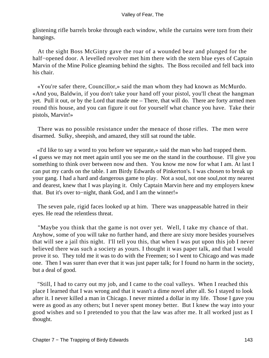glistening rifle barrels broke through each window, while the curtains were torn from their hangings.

 At the sight Boss McGinty gave the roar of a wounded bear and plunged for the half−opened door. A levelled revolver met him there with the stern blue eyes of Captain Marvin of the Mine Police gleaming behind the sights. The Boss recoiled and fell back into his chair.

 «You're safer there, Councillor,» said the man whom they had known as McMurdo. «And you, Baldwin, if you don't take your hand off your pistol, you'll cheat the hangman yet. Pull it out, or by the Lord that made me – There, that will do. There are forty armed men round this house, and you can figure it out for yourself what chance you have. Take their pistols, Marvin!»

 There was no possible resistance under the menace of those rifles. The men were disarmed. Sulky, sheepish, and amazed, they still sat round the table.

 «I'd like to say a word to you before we separate,» said the man who had trapped them. «I guess we may not meet again until you see me on the stand in the courthouse. I'll give you something to think over between now and then. You know me now for what I am. At last I can put my cards on the table. I am Birdy Edwards of Pinkerton's. I was chosen to break up your gang. I had a hard and dangerous game to play. Not a soul, not one soul,not my nearest and dearest, knew that I was playing it. Only Captain Marvin here and my employers knew that. But it's over to−night, thank God, and I am the winner!»

 The seven pale, rigid faces looked up at him. There was unappeasable hatred in their eyes. He read the relentless threat.

 "Maybe you think that the game is not over yet. Well, I take my chance of that. Anyhow, some of you will take no further hand, and there are sixty more besides yourselves that will see a jail this night. I'll tell you this, that when I was put upon this job I never believed there was such a society as yours. I thought it was paper talk, and that I would prove it so. They told me it was to do with the Freemen; so I went to Chicago and was made one. Then I was surer than ever that it was just paper talk; for I found no harm in the society, but a deal of good.

 "Still, I had to carry out my job, and I came to the coal valleys. When I reached this place I learned that I was wrong and that it wasn't a dime novel after all. So I stayed to look after it. I never killed a man in Chicago. I never minted a dollar in my life. Those I gave you were as good as any others; but I never spent money better. But I knew the way into your good wishes and so I pretended to you that the law was after me. It all worked just as I thought.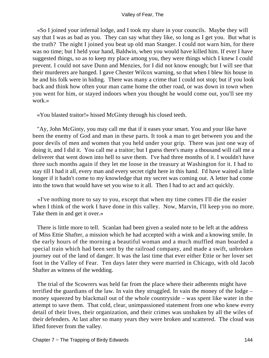«So I joined your infernal lodge, and I took my share in your councils. Maybe they will say that I was as bad as you. They can say what they like, so long as I get you. But what is the truth? The night I joined you beat up old man Stanger. I could not warn him, for there was no time; but I held your hand, Baldwin, when you would have killed him. If ever I have suggested things, so as to keep my place among you, they were things which I knew I could prevent. I could not save Dunn and Menzies, for I did not know enough; but I will see that their murderers are hanged. I gave Chester Wilcox warning, so that when I blew his house in he and his folk were in hiding. There was many a crime that I could not stop; but if you look back and think how often your man came home the other road, or was down in town when you went for him, or stayed indoors when you thought he would come out, you'll see my work.»

«You blasted traitor!» hissed McGinty through his closed teeth.

 "Ay, John McGinty, you may call me that if it eases your smart. You and your like have been the enemy of God and man in these parts. It took a man to get between you and the poor devils of men and women that you held under your grip. There was just one way of doing it, and I did it. You call me a traitor; but I guess there's many a thousand will call me a deliverer that went down into hell to save them. I've had three months of it. I wouldn't have three such months again if they let me loose in the treasury at Washington for it. I had to stay till I had it all, every man and every secret right here in this hand. I'd have waited a little longer if it hadn't come to my knowledge that my secret was coming out. A letter had come into the town that would have set you wise to it all. Then I had to act and act quickly.

 «I've nothing more to say to you, except that when my time comes I'll die the easier when I think of the work I have done in this valley. Now, Marvin, I'll keep you no more. Take them in and get it over.»

 There is little more to tell. Scanlan had been given a sealed note to be left at the address of Miss Ettie Shafter, a mission which he had accepted with a wink and a knowing smile. In the early hours of the morning a beautiful woman and a much muffled man boarded a special train which had been sent by the railroad company, and made a swift, unbroken journey out of the land of danger. It was the last time that ever either Ettie or her lover set foot in the Valley of Fear. Ten days later they were married in Chicago, with old Jacob Shafter as witness of the wedding.

 The trial of the Scowrers was held far from the place where their adherents might have terrified the guardians of the law. In vain they struggled. In vain the money of the lodge – money squeezed by blackmail out of the whole countryside – was spent like water in the attempt to save them. That cold, clear, unimpassioned statement from one who knew every detail of their lives, their organization, and their crimes was unshaken by all the wiles of their defenders. At last after so many years they were broken and scattered. The cloud was lifted forever from the valley.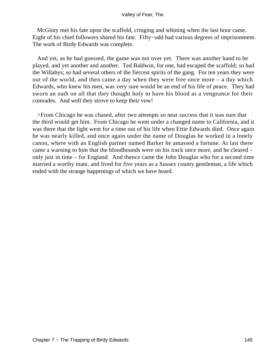McGinty met his fate upon the scaffold, cringing and whining when the last hour came. Eight of his chief followers shared his fate. Fifty−odd had various degrees of imprisonment. The work of Birdy Edwards was complete.

 And yet, as he had guessed, the game was not over yet. There was another hand to be played, and yet another and another. Ted Baldwin, for one, had escaped the scaffold; so had the Willabys; so had several others of the fiercest spirits of the gang. For ten years they were out of the world, and then came a day when they were free once more – a day which Edwards, who knew his men, was very sure would be an end of his life of peace. They had sworn an oath on all that they thought holy to have his blood as a vengeance for their comrades. And well they strove to keep their vow!

 >From Chicago he was chased, after two attempts so near success that it was sure that the third would get him. From Chicago he went under a changed name to California, and it was there that the light went for a time out of his life when Ettie Edwards died. Once again he was nearly killed, and once again under the name of Douglas he worked in a lonely canon, where with an English partner named Barker he amassed a fortune. At last there came a warning to him that the bloodhounds were on his track once more, and he cleared – only just in time – for England. And thence came the John Douglas who for a second time married a worthy mate, and lived for five years as a Sussex county gentleman, a life which ended with the strange happenings of which we have heard.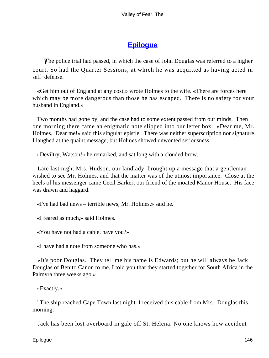# **[Epilogue](#page-149-0)**

<span id="page-146-0"></span>**The police trial had passed, in which the case of John Douglas was referred to a higher** court. So had the Quarter Sessions, at which he was acquitted as having acted in self−defense.

 «Get him out of England at any cost,» wrote Holmes to the wife. «There are forces here which may be more dangerous than those he has escaped. There is no safety for your husband in England.»

 Two months had gone by, and the case had to some extent passed from our minds. Then one morning there came an enigmatic note slipped into our letter box. «Dear me, Mr. Holmes. Dear me!» said this singular epistle. There was neither superscription nor signature. I laughed at the quaint message; but Holmes showed unwonted seriousness.

«Deviltry, Watson!» he remarked, and sat long with a clouded brow.

 Late last night Mrs. Hudson, our landlady, brought up a message that a gentleman wished to see Mr. Holmes, and that the matter was of the utmost importance. Close at the heels of his messenger came Cecil Barker, our friend of the moated Manor House. His face was drawn and haggard.

«I've had bad news – terrible news, Mr. Holmes,» said he.

«I feared as much,» said Holmes.

«You have not had a cable, have you?»

«I have had a note from someone who has.»

 «It's poor Douglas. They tell me his name is Edwards; but he will always be Jack Douglas of Benito Canon to me. I told you that they started together for South Africa in the Palmyra three weeks ago.»

«Exactly.»

 "The ship reached Cape Town last night. I received this cable from Mrs. Douglas this morning:

Jack has been lost overboard in gale off St. Helena. No one knows how accident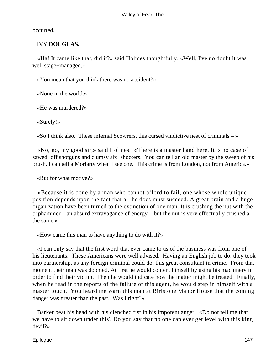occurred.

### IVY **DOUGLAS.**

 «Ha! It came like that, did it?» said Holmes thoughtfully. «Well, I've no doubt it was well stage−managed.»

«You mean that you think there was no accident?»

«None in the world.»

«He was murdered?»

«Surely!»

«So I think also. These infernal Scowrers, this cursed vindictive nest of criminals – »

 «No, no, my good sir,» said Holmes. «There is a master hand here. It is no case of sawed−off shotguns and clumsy six−shooters. You can tell an old master by the sweep of his brush. I can tell a Moriarty when I see one. This crime is from London, not from America.»

«But for what motive?»

 «Because it is done by a man who cannot afford to fail, one whose whole unique position depends upon the fact that all he does must succeed. A great brain and a huge organization have been turned to the extinction of one man. It is crushing the nut with the triphammer – an absurd extravagance of energy – but the nut is very effectually crushed all the same.»

«How came this man to have anything to do with it?»

 «I can only say that the first word that ever came to us of the business was from one of his lieutenants. These Americans were well advised. Having an English job to do, they took into partnership, as any foreign criminal could do, this great consultant in crime. From that moment their man was doomed. At first he would content himself by using his machinery in order to find their victim. Then he would indicate how the matter might be treated. Finally, when he read in the reports of the failure of this agent, he would step in himself with a master touch. You heard me warn this man at Birlstone Manor House that the coming danger was greater than the past. Was I right?»

 Barker beat his head with his clenched fist in his impotent anger. «Do not tell me that we have to sit down under this? Do you say that no one can ever get level with this king devil?»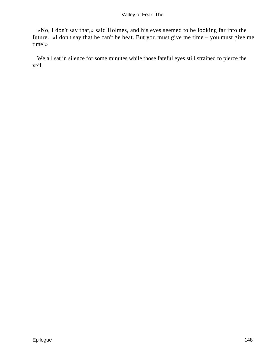«No, I don't say that,» said Holmes, and his eyes seemed to be looking far into the future. «I don't say that he can't be beat. But you must give me time – you must give me time!»

 We all sat in silence for some minutes while those fateful eyes still strained to pierce the veil.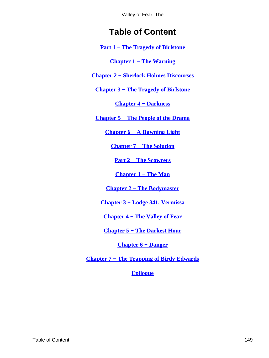# **Table of Content**

<span id="page-149-0"></span>**[Part 1 − The Tragedy of Birlstone](#page-3-0)**

**[Chapter 1 − The Warning](#page-4-0)**

**[Chapter 2 − Sherlock Holmes Discourses](#page-12-0)**

**[Chapter 3 − The Tragedy of Birlstone](#page-20-0)**

**[Chapter 4 − Darkness](#page-28-0)**

**[Chapter 5 − The People of the Drama](#page-38-0)**

**[Chapter 6 − A Dawning Light](#page-49-0)**

**[Chapter 7 − The Solution](#page-59-0)**

**[Part 2 − The Scowrers](#page-72-0)**

**[Chapter 1 − The Man](#page-73-0)**

**[Chapter 2 − The Bodymaster](#page-81-0)**

**[Chapter 3 − Lodge 341, Vermissa](#page-96-0)**

**[Chapter 4 − The Valley of Fear](#page-109-0)**

**[Chapter 5 − The Darkest Hour](#page-118-0)**

**[Chapter 6 − Danger](#page-129-0)**

**[Chapter 7 − The Trapping of Birdy Edwards](#page-138-0)**

**[Epilogue](#page-146-0)**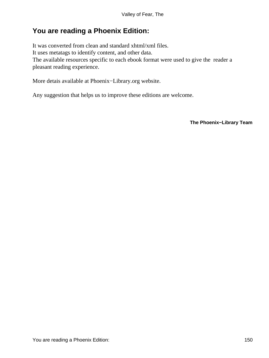## **You are reading a Phoenix Edition:**

It was converted from clean and standard xhtml/xml files. It uses metatags to identify content, and other data. The available resources specific to each ebook format were used to give the reader a pleasant reading experience.

More detais available at Phoenix−Library.org website.

Any suggestion that helps us to improve these editions are welcome.

**The Phoenix−Library Team**